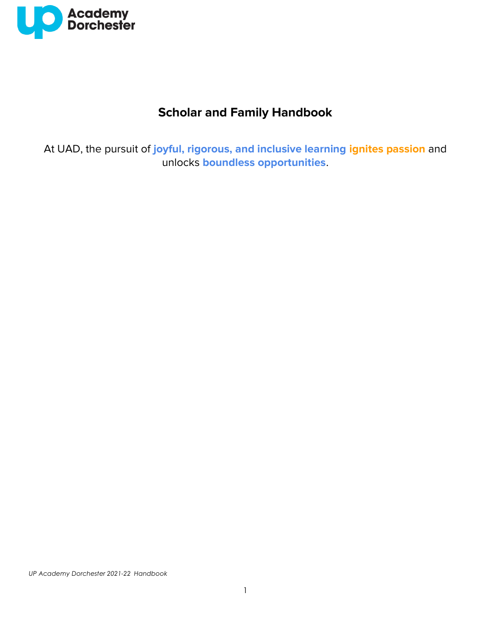

# **Scholar and Family Handbook**

At UAD, the pursuit of **joyful, rigorous, and inclusive learning ignites passion** and unlocks **boundless opportunities**.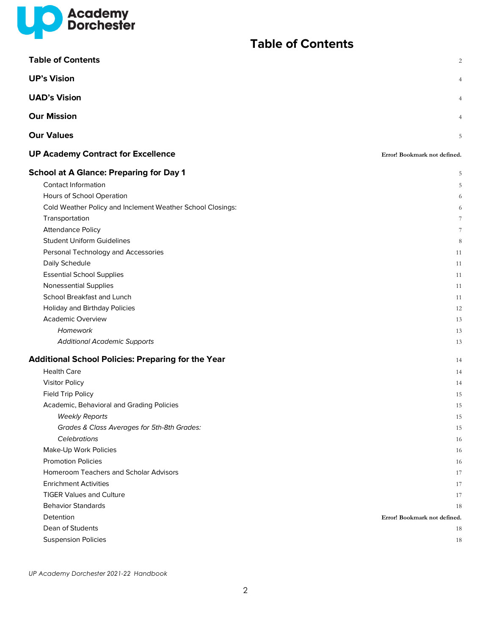

# <span id="page-1-0"></span>**Table of Contents**

| <b>Table of Contents</b>                                   | $\overline{c}$               |
|------------------------------------------------------------|------------------------------|
| <b>UP's Vision</b>                                         | $\overline{4}$               |
| <b>UAD's Vision</b>                                        | 4                            |
| <b>Our Mission</b>                                         | $\overline{4}$               |
| <b>Our Values</b>                                          | 5                            |
| <b>UP Academy Contract for Excellence</b>                  | Error! Bookmark not defined. |
| <b>School at A Glance: Preparing for Day 1</b>             | 5                            |
| Contact Information                                        | 5                            |
| Hours of School Operation                                  | 6                            |
| Cold Weather Policy and Inclement Weather School Closings: | 6                            |
| Transportation                                             | 7                            |
| <b>Attendance Policy</b>                                   | 7                            |
| <b>Student Uniform Guidelines</b>                          | $\,8\,$                      |
| Personal Technology and Accessories                        | 11                           |
| Daily Schedule                                             | 11                           |
| <b>Essential School Supplies</b>                           | 11                           |
| Nonessential Supplies                                      | 11                           |
| School Breakfast and Lunch                                 | 11                           |
| Holiday and Birthday Policies                              | 12                           |
| <b>Academic Overview</b>                                   | 13                           |
| Homework                                                   | 13                           |
| <b>Additional Academic Supports</b>                        | 13                           |
| <b>Additional School Policies: Preparing for the Year</b>  | 14                           |
| <b>Health Care</b>                                         | 14                           |
| <b>Visitor Policy</b>                                      | 14                           |
| <b>Field Trip Policy</b>                                   | 15                           |
| Academic, Behavioral and Grading Policies                  | 15                           |
| <b>Weekly Reports</b>                                      | 15                           |
| Grades & Class Averages for 5th-8th Grades:                | 15                           |
| Celebrations                                               | 16                           |
| Make-Up Work Policies                                      | 16                           |
| <b>Promotion Policies</b>                                  | 16                           |
| Homeroom Teachers and Scholar Advisors                     | 17                           |
| <b>Enrichment Activities</b>                               | 17                           |
| <b>TIGER Values and Culture</b>                            | 17                           |
| <b>Behavior Standards</b>                                  | 18                           |
| Detention                                                  | Error! Bookmark not defined. |
| Dean of Students                                           | 18                           |
| <b>Suspension Policies</b>                                 | 18                           |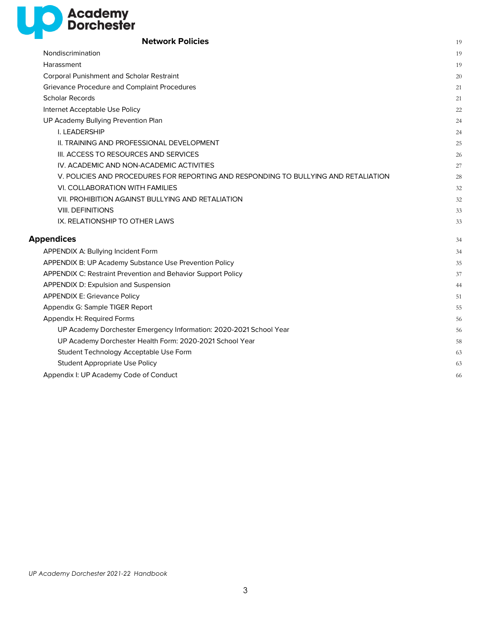

| <b>Network Policies</b>                                                             | 19                               |
|-------------------------------------------------------------------------------------|----------------------------------|
| Nondiscrimination                                                                   | 19                               |
| Harassment                                                                          | 19                               |
| Corporal Punishment and Scholar Restraint                                           | 20                               |
| Grievance Procedure and Complaint Procedures                                        | 21                               |
| <b>Scholar Records</b>                                                              | 21                               |
| Internet Acceptable Use Policy                                                      | 22                               |
| UP Academy Bullying Prevention Plan                                                 | 24                               |
| I. LEADERSHIP                                                                       | 24                               |
| II. TRAINING AND PROFESSIONAL DEVELOPMENT                                           | 25                               |
| III. ACCESS TO RESOURCES AND SERVICES                                               | 26                               |
| IV. ACADEMIC AND NON-ACADEMIC ACTIVITIES                                            | 27                               |
| V. POLICIES AND PROCEDURES FOR REPORTING AND RESPONDING TO BULLYING AND RETALIATION | 28                               |
| VI. COLLABORATION WITH FAMILIES                                                     | 32                               |
| VII. PROHIBITION AGAINST BULLYING AND RETALIATION                                   | 32                               |
| <b>VIII. DEFINITIONS</b>                                                            | 33                               |
| IX. RELATIONSHIP TO OTHER LAWS                                                      | 33                               |
|                                                                                     | 34                               |
| APPENDIX A: Bullying Incident Form                                                  | 34                               |
| APPENDIX B: UP Academy Substance Use Prevention Policy                              | 35                               |
| APPENDIX C: Restraint Prevention and Behavior Support Policy                        | 37                               |
| APPENDIX D: Expulsion and Suspension                                                | 44                               |
| <b>APPENDIX E: Grievance Policy</b>                                                 | 51                               |
| Appendix G: Sample TIGER Report                                                     | 55                               |
| Appendix H: Required Forms                                                          | 56                               |
| UP Academy Dorchester Emergency Information: 2020-2021 School Year                  | 56                               |
| UP Academy Dorchester Health Form: 2020-2021 School Year                            | 58                               |
| Student Technology Acceptable Use Form                                              | 63                               |
| <b>Student Appropriate Use Policy</b>                                               | 63                               |
| Appendix I: UP Academy Code of Conduct                                              | 66                               |
|                                                                                     | DUICIICSICI<br><b>Appendices</b> |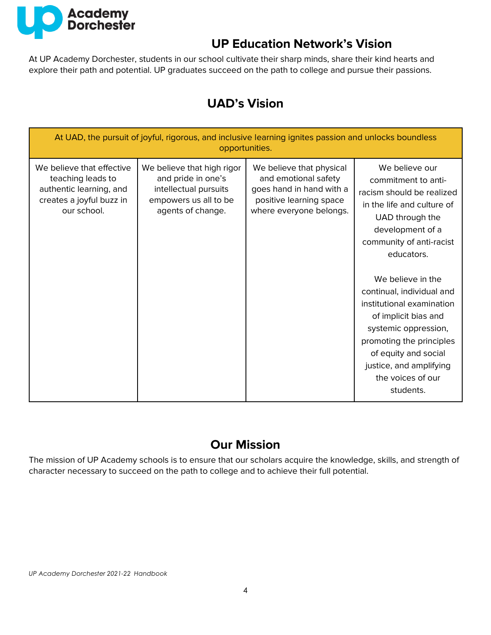

# <span id="page-3-0"></span>**UP Education Network's Vision**

<span id="page-3-1"></span>At UP Academy Dorchester, students in our school cultivate their sharp minds, share their kind hearts and explore their path and potential. UP graduates succeed on the path to college and pursue their passions.

# **UAD's Vision**

| At UAD, the pursuit of joyful, rigorous, and inclusive learning ignites passion and unlocks boundless<br>opportunities. |                                                                                                                         |                                                                                                                                    |                                                                                                                                                                                                                                                                                                                                                                                                                                   |  |
|-------------------------------------------------------------------------------------------------------------------------|-------------------------------------------------------------------------------------------------------------------------|------------------------------------------------------------------------------------------------------------------------------------|-----------------------------------------------------------------------------------------------------------------------------------------------------------------------------------------------------------------------------------------------------------------------------------------------------------------------------------------------------------------------------------------------------------------------------------|--|
| We believe that effective<br>teaching leads to<br>authentic learning, and<br>creates a joyful buzz in<br>our school.    | We believe that high rigor<br>and pride in one's<br>intellectual pursuits<br>empowers us all to be<br>agents of change. | We believe that physical<br>and emotional safety<br>goes hand in hand with a<br>positive learning space<br>where everyone belongs. | We believe our<br>commitment to anti-<br>racism should be realized<br>in the life and culture of<br>UAD through the<br>development of a<br>community of anti-racist<br>educators.<br>We believe in the<br>continual, individual and<br>institutional examination<br>of implicit bias and<br>systemic oppression,<br>promoting the principles<br>of equity and social<br>justice, and amplifying<br>the voices of our<br>students. |  |

# **Our Mission**

<span id="page-3-2"></span>The mission of UP Academy schools is to ensure that our scholars acquire the knowledge, skills, and strength of character necessary to succeed on the path to college and to achieve their full potential.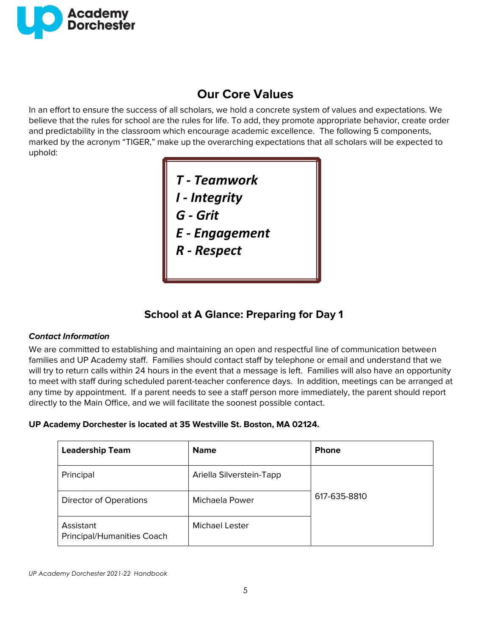

## <span id="page-4-0"></span>**Our Core Values**

In an effort to ensure the success of all scholars, we hold a concrete system of values and expectations. We believe that the rules for school are the rules for life. To add, they promote appropriate behavior, create order and predictability in the classroom which encourage academic excellence. The following 5 components, marked by the acronym "TIGER," make up the overarching expectations that all scholars will be expected to uphold:



## **School at A Glance: Preparing for Day 1**

## <span id="page-4-2"></span><span id="page-4-1"></span>*Contact Information*

We are committed to establishing and maintaining an open and respectful line of communication between families and UP Academy staff. Families should contact staff by telephone or email and understand that we will try to return calls within 24 hours in the event that a message is left. Families will also have an opportunity to meet with staff during scheduled parent-teacher conference days. In addition, meetings can be arranged at any time by appointment. If a parent needs to see a staff person more immediately, the parent should report directly to the Main Office, and we will facilitate the soonest possible contact.

#### **UP Academy Dorchester is located at 35 Westville St. Boston, MA 02124.**

| <b>Leadership Team</b>                  | <b>Name</b>              | <b>Phone</b> |
|-----------------------------------------|--------------------------|--------------|
| Principal                               | Ariella Silverstein-Tapp |              |
| <b>Director of Operations</b>           | Michaela Power           | 617-635-8810 |
| Assistant<br>Principal/Humanities Coach | <b>Michael Lester</b>    |              |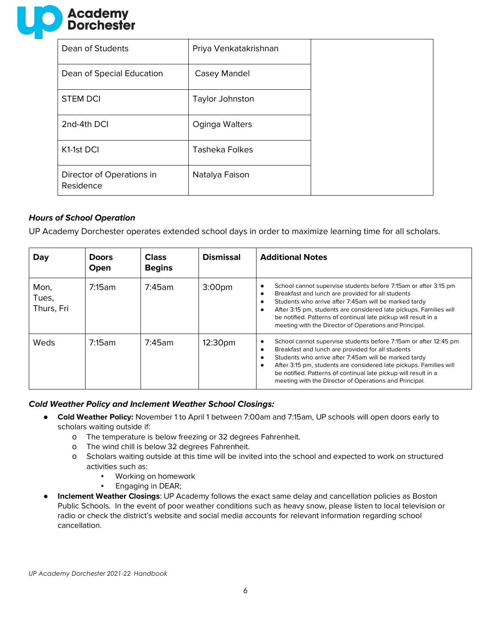

| Dean of Students                       | Priya Venkatakrishnan |  |
|----------------------------------------|-----------------------|--|
| Dean of Special Education              | Casey Mandel          |  |
| <b>STEM DCI</b>                        | Taylor Johnston       |  |
| 2nd-4th DCI                            | Oginga Walters        |  |
| K1-1st DCI                             | <b>Tasheka Folkes</b> |  |
| Director of Operations in<br>Residence | Natalya Faison        |  |

### <span id="page-5-0"></span>*Hours of School Operation*

UP Academy Dorchester operates extended school days in order to maximize learning time for all scholars.

| Day                         | <b>Doors</b><br>Open | <b>Class</b><br><b>Begins</b> | <b>Dismissal</b>    | <b>Additional Notes</b>                                                                                                                                                                                                                                                                                                                                                                             |
|-----------------------------|----------------------|-------------------------------|---------------------|-----------------------------------------------------------------------------------------------------------------------------------------------------------------------------------------------------------------------------------------------------------------------------------------------------------------------------------------------------------------------------------------------------|
| Mon,<br>Tues,<br>Thurs, Fri | $7:15$ am            | $7:45$ am                     | 3:00 <sub>pm</sub>  | School cannot supervise students before 7:15am or after 3:15 pm<br>٠<br>Breakfast and lunch are provided for all students<br>Students who arrive after 7:45am will be marked tardy<br>After 3:15 pm, students are considered late pickups. Families will<br>be notified. Patterns of continual late pickup will result in a<br>meeting with the Director of Operations and Principal.               |
| Weds                        | $7:15$ am            | $7:45$ am                     | 12:30 <sub>pm</sub> | School cannot supervise students before 7:15am or after 12:45 pm<br>Breakfast and lunch are provided for all students<br>٠<br>Students who arrive after 7:45am will be marked tardy<br>After 3:15 pm, students are considered late pickups. Families will<br>$\bullet$<br>be notified. Patterns of continual late pickup will result in a<br>meeting with the Director of Operations and Principal. |

#### <span id="page-5-1"></span>*Cold Weather Policy and Inclement Weather School Closings:*

- **Cold Weather Policy:** November 1 to April 1 between 7:00am and 7:15am, UP schools will open doors early to scholars waiting outside if:
	- o The temperature is below freezing or 32 degrees Fahrenheit.
	- o The wind chill is below 32 degrees Fahrenheit.
	- o Scholars waiting outside at this time will be invited into the school and expected to work on structured activities such as:
		- Working on homework
		- **•** Engaging in DEAR;
- **Inclement Weather Closings**: UP Academy follows the exact same delay and cancellation policies as Boston Public Schools. In the event of poor weather conditions such as heavy snow, please listen to local television or radio or check the district's website and social media accounts for relevant information regarding school cancellation.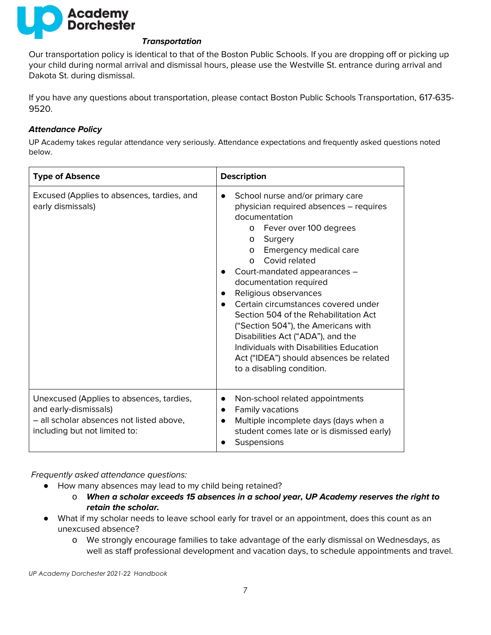

#### <span id="page-6-0"></span>*Transportation*

Our transportation policy is identical to that of the Boston Public Schools. If you are dropping off or picking up your child during normal arrival and dismissal hours, please use the Westville St. entrance during arrival and Dakota St. during dismissal.

If you have any questions about transportation, please contact Boston Public Schools Transportation, 617-635- 9520.

#### <span id="page-6-1"></span>*Attendance Policy*

UP Academy takes regular attendance very seriously. Attendance expectations and frequently asked questions noted below.

| <b>Type of Absence</b>                                                                                                                         | <b>Description</b>                                                                                                                                                                                                                                                                                                                                                                                                                                                                                                                                                                                                  |
|------------------------------------------------------------------------------------------------------------------------------------------------|---------------------------------------------------------------------------------------------------------------------------------------------------------------------------------------------------------------------------------------------------------------------------------------------------------------------------------------------------------------------------------------------------------------------------------------------------------------------------------------------------------------------------------------------------------------------------------------------------------------------|
| Excused (Applies to absences, tardies, and<br>early dismissals)                                                                                | School nurse and/or primary care<br>$\bullet$<br>physician required absences - requires<br>documentation<br>o Fever over 100 degrees<br>Surgery<br>O<br>Emergency medical care<br>$\Omega$<br>Covid related<br>$\Omega$<br>Court-mandated appearances -<br>documentation required<br>Religious observances<br>$\bullet$<br>Certain circumstances covered under<br>$\bullet$<br>Section 504 of the Rehabilitation Act<br>("Section 504"), the Americans with<br>Disabilities Act ("ADA"), and the<br>Individuals with Disabilities Education<br>Act ("IDEA") should absences be related<br>to a disabling condition. |
| Unexcused (Applies to absences, tardies,<br>and early-dismissals)<br>- all scholar absences not listed above,<br>including but not limited to: | Non-school related appointments<br>$\bullet$<br>Family vacations<br>$\bullet$<br>Multiple incomplete days (days when a<br>$\bullet$<br>student comes late or is dismissed early)<br>Suspensions                                                                                                                                                                                                                                                                                                                                                                                                                     |

*Frequently asked attendance questions:*

- How many absences may lead to my child being retained?
	- o *When a scholar exceeds 15 absences in a school year, UP Academy reserves the right to retain the scholar.*
- What if my scholar needs to leave school early for travel or an appointment, does this count as an unexcused absence?
	- o We strongly encourage families to take advantage of the early dismissal on Wednesdays, as well as staff professional development and vacation days, to schedule appointments and travel.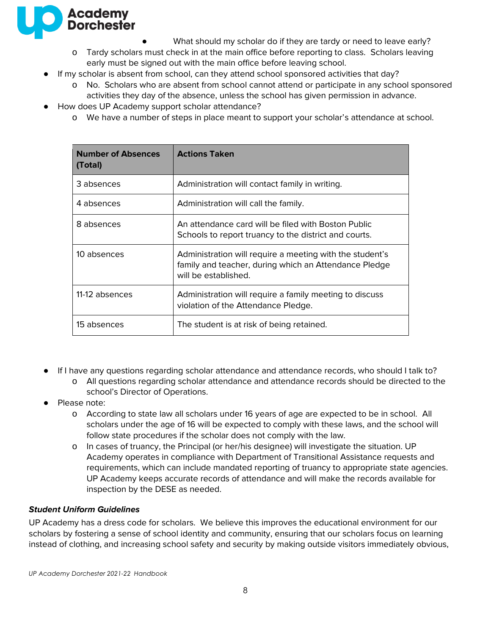

- What should my scholar do if they are tardy or need to leave early?
- o Tardy scholars must check in at the main office before reporting to class. Scholars leaving early must be signed out with the main office before leaving school.
- If my scholar is absent from school, can they attend school sponsored activities that day?
	- o No. Scholars who are absent from school cannot attend or participate in any school sponsored activities they day of the absence, unless the school has given permission in advance.
- How does UP Academy support scholar attendance?
	- o We have a number of steps in place meant to support your scholar's attendance at school.

| <b>Number of Absences</b><br>(Total) | <b>Actions Taken</b>                                                                                                                      |
|--------------------------------------|-------------------------------------------------------------------------------------------------------------------------------------------|
| 3 absences                           | Administration will contact family in writing.                                                                                            |
| 4 absences                           | Administration will call the family.                                                                                                      |
| 8 absences                           | An attendance card will be filed with Boston Public<br>Schools to report truancy to the district and courts.                              |
| 10 absences                          | Administration will require a meeting with the student's<br>family and teacher, during which an Attendance Pledge<br>will be established. |
| 11-12 absences                       | Administration will require a family meeting to discuss<br>violation of the Attendance Pledge.                                            |
| 15 absences                          | The student is at risk of being retained.                                                                                                 |

- If I have any questions regarding scholar attendance and attendance records, who should I talk to?
	- o All questions regarding scholar attendance and attendance records should be directed to the school's Director of Operations.
- Please note:
	- o According to state law all scholars under 16 years of age are expected to be in school. All scholars under the age of 16 will be expected to comply with these laws, and the school will follow state procedures if the scholar does not comply with the law.
	- o In cases of truancy, the Principal (or her/his designee) will investigate the situation. UP Academy operates in compliance with Department of Transitional Assistance requests and requirements, which can include mandated reporting of truancy to appropriate state agencies. UP Academy keeps accurate records of attendance and will make the records available for inspection by the DESE as needed.

## <span id="page-7-0"></span>*Student Uniform Guidelines*

UP Academy has a dress code for scholars. We believe this improves the educational environment for our scholars by fostering a sense of school identity and community, ensuring that our scholars focus on learning instead of clothing, and increasing school safety and security by making outside visitors immediately obvious,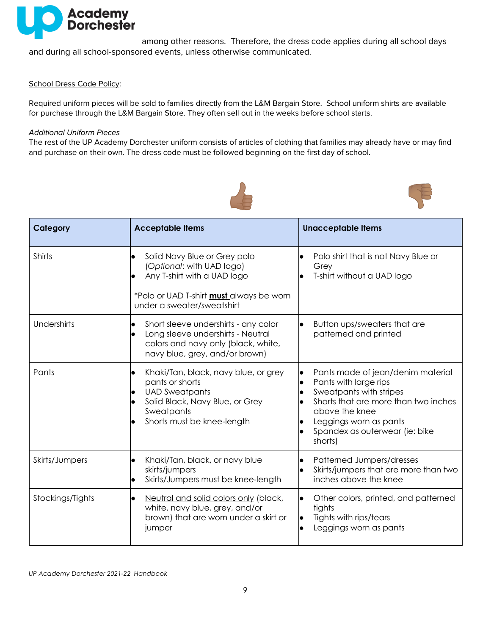

among other reasons. Therefore, the dress code applies during all school days and during all school-sponsored events, unless otherwise communicated.

#### School Dress Code Policy:

Required uniform pieces will be sold to families directly from the L&M Bargain Store. School uniform shirts are available for purchase through the L&M Bargain Store. They often sell out in the weeks before school starts.

#### *Additional Uniform Pieces*

The rest of the UP Academy Dorchester uniform consists of articles of clothing that families may already have or may find and purchase on their own. The dress code must be followed beginning on the first day of school.





| Category         | <b>Acceptable Items</b>                                                                                                                                                      | <b>Unacceptable Items</b>                                                                                                                                                                                                                  |
|------------------|------------------------------------------------------------------------------------------------------------------------------------------------------------------------------|--------------------------------------------------------------------------------------------------------------------------------------------------------------------------------------------------------------------------------------------|
| <b>Shirts</b>    | Solid Navy Blue or Grey polo<br>(Optional: with UAD logo)<br>Any T-shirt with a UAD logo<br>*Polo or UAD T-shirt <b>must</b> always be worn<br>under a sweater/sweatshirt    | Polo shirt that is not Navy Blue or<br>lo<br>Grey<br>T-shirt without a UAD logo                                                                                                                                                            |
| Undershirts      | Short sleeve undershirts - any color<br>Long sleeve undershirts - Neutral<br>colors and navy only (black, white,<br>navy blue, grey, and/or brown)                           | Button ups/sweaters that are<br>patterned and printed                                                                                                                                                                                      |
| Pants            | Khaki/Tan, black, navy blue, or grey<br>pants or shorts<br><b>UAD Sweatpants</b><br>$\bullet$<br>Solid Black, Navy Blue, or Grey<br>Sweatpants<br>Shorts must be knee-length | Pants made of jean/denim material<br>$\bullet$<br>Pants with large rips<br>le.<br>Sweatpants with stripes<br>Shorts that are more than two inches<br>above the knee<br>Leggings worn as pants<br>Spandex as outerwear (ie: bike<br>shorts) |
| Skirts/Jumpers   | Khaki/Tan, black, or navy blue<br>$\bullet$<br>skirts/jumpers<br>Skirts/Jumpers must be knee-length<br>$\bullet$                                                             | Patterned Jumpers/dresses<br>$\bullet$<br>Skirts/jumpers that are more than two<br>lo<br>inches above the knee                                                                                                                             |
| Stockings/Tights | Neutral and solid colors only (black,<br>$\bullet$<br>white, navy blue, grey, and/or<br>brown) that are worn under a skirt or<br>jumper                                      | Other colors, printed, and patterned<br>le.<br>tights<br>Tights with rips/tears<br>lo<br>Leggings worn as pants                                                                                                                            |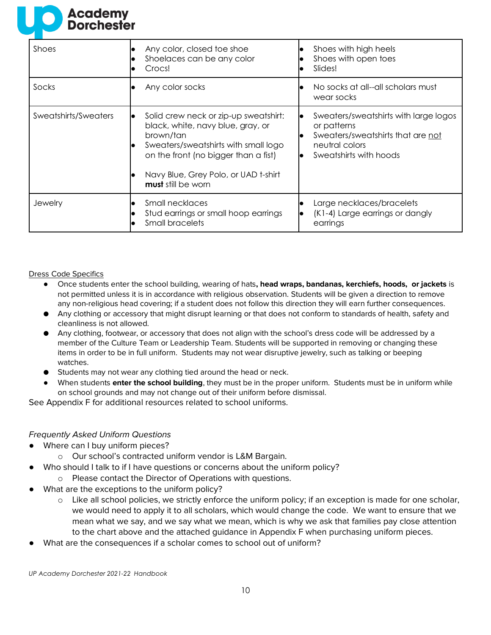

| Shoes                | Any color, closed toe shoe<br>Shoelaces can be any color<br>Crocs!                                                                                                                                                                                  | Shoes with high heels<br>Shoes with open toes<br>Slides!                                                                              |
|----------------------|-----------------------------------------------------------------------------------------------------------------------------------------------------------------------------------------------------------------------------------------------------|---------------------------------------------------------------------------------------------------------------------------------------|
| Socks                | Any color socks                                                                                                                                                                                                                                     | No socks at all--all scholars must<br>wear socks                                                                                      |
| Sweatshirts/Sweaters | Solid crew neck or zip-up sweatshirt:<br>le.<br>black, white, navy blue, gray, or<br>brown/tan<br>Sweaters/sweatshirts with small logo<br>on the front (no bigger than a fist)<br>Navy Blue, Grey Polo, or UAD t-shirt<br><b>must</b> still be worn | Sweaters/sweatshirts with large logos<br>or patterns<br>Sweaters/sweatshirts that are not<br>neutral colors<br>Sweatshirts with hoods |
| Jewelry              | Small necklaces<br>Stud earrings or small hoop earrings<br><b>Small bracelets</b>                                                                                                                                                                   | Large necklaces/bracelets<br>(K1-4) Large earrings or dangly<br>earrings                                                              |

#### Dress Code Specifics

- Once students enter the school building, wearing of hats**, head wraps, bandanas, kerchiefs, hoods, or jackets** is not permitted unless it is in accordance with religious observation. Students will be given a direction to remove any non-religious head covering; if a student does not follow this direction they will earn further consequences.
- Any clothing or accessory that might disrupt learning or that does not conform to standards of health, safety and cleanliness is not allowed.
- Any clothing, footwear, or accessory that does not align with the school's dress code will be addressed by a member of the Culture Team or Leadership Team. Students will be supported in removing or changing these items in order to be in full uniform. Students may not wear disruptive jewelry, such as talking or beeping watches.
- Students may not wear any clothing tied around the head or neck.
- When students **enter the school building**, they must be in the proper uniform. Students must be in uniform while on school grounds and may not change out of their uniform before dismissal.

See Appendix F for additional resources related to school uniforms.

#### *Frequently Asked Uniform Questions*

- Where can I buy uniform pieces?
	- o Our school's contracted uniform vendor is L&M Bargain.
- Who should I talk to if I have questions or concerns about the uniform policy?
	- o Please contact the Director of Operations with questions.
- What are the exceptions to the uniform policy?
	- o Like all school policies, we strictly enforce the uniform policy; if an exception is made for one scholar, we would need to apply it to all scholars, which would change the code. We want to ensure that we mean what we say, and we say what we mean, which is why we ask that families pay close attention to the chart above and the attached guidance in Appendix F when purchasing uniform pieces.
- What are the consequences if a scholar comes to school out of uniform?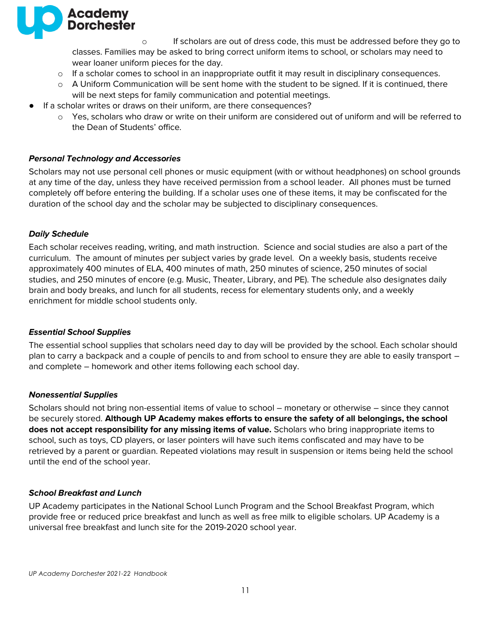

o If scholars are out of dress code, this must be addressed before they go to classes. Families may be asked to bring correct uniform items to school, or scholars may need to wear loaner uniform pieces for the day.

- $\circ$  If a scholar comes to school in an inappropriate outfit it may result in disciplinary consequences.
- $\circ$  A Uniform Communication will be sent home with the student to be signed. If it is continued, there will be next steps for family communication and potential meetings.
- If a scholar writes or draws on their uniform, are there consequences?
	- o Yes, scholars who draw or write on their uniform are considered out of uniform and will be referred to the Dean of Students' office.

### <span id="page-10-0"></span>*Personal Technology and Accessories*

Scholars may not use personal cell phones or music equipment (with or without headphones) on school grounds at any time of the day, unless they have received permission from a school leader. All phones must be turned completely off before entering the building. If a scholar uses one of these items, it may be confiscated for the duration of the school day and the scholar may be subjected to disciplinary consequences.

### <span id="page-10-1"></span>*Daily Schedule*

Each scholar receives reading, writing, and math instruction. Science and social studies are also a part of the curriculum. The amount of minutes per subject varies by grade level. On a weekly basis, students receive approximately 400 minutes of ELA, 400 minutes of math, 250 minutes of science, 250 minutes of social studies, and 250 minutes of encore (e.g. Music, Theater, Library, and PE). The schedule also designates daily brain and body breaks, and lunch for all students, recess for elementary students only, and a weekly enrichment for middle school students only.

#### <span id="page-10-2"></span>*Essential School Supplies*

The essential school supplies that scholars need day to day will be provided by the school. Each scholar should plan to carry a backpack and a couple of pencils to and from school to ensure they are able to easily transport – and complete – homework and other items following each school day.

#### <span id="page-10-3"></span>*Nonessential Supplies*

Scholars should not bring non-essential items of value to school – monetary or otherwise – since they cannot be securely stored. **Although UP Academy makes efforts to ensure the safety of all belongings, the school does not accept responsibility for any missing items of value.** Scholars who bring inappropriate items to school, such as toys, CD players, or laser pointers will have such items confiscated and may have to be retrieved by a parent or guardian. Repeated violations may result in suspension or items being held the school until the end of the school year.

#### <span id="page-10-4"></span>*School Breakfast and Lunch*

UP Academy participates in the National School Lunch Program and the School Breakfast Program, which provide free or reduced price breakfast and lunch as well as free milk to eligible scholars. UP Academy is a universal free breakfast and lunch site for the 2019-2020 school year.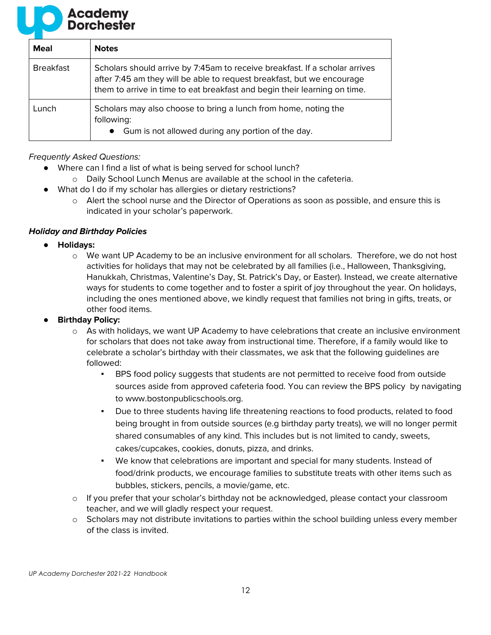

| <b>Meal</b>      | <b>Notes</b>                                                                                                                                                                                                                       |
|------------------|------------------------------------------------------------------------------------------------------------------------------------------------------------------------------------------------------------------------------------|
| <b>Breakfast</b> | Scholars should arrive by 7:45am to receive breakfast. If a scholar arrives<br>after 7:45 am they will be able to request breakfast, but we encourage<br>them to arrive in time to eat breakfast and begin their learning on time. |
| Lunch            | Scholars may also choose to bring a lunch from home, noting the<br>following:<br>Gum is not allowed during any portion of the day.<br>$\bullet$                                                                                    |

## *Frequently Asked Questions:*

- Where can I find a list of what is being served for school lunch?
	- o Daily School Lunch Menus are available at the school in the cafeteria.
- What do I do if my scholar has allergies or dietary restrictions?
	- o Alert the school nurse and the Director of Operations as soon as possible, and ensure this is indicated in your scholar's paperwork.

## <span id="page-11-0"></span>*Holiday and Birthday Policies*

- **Holidays:** 
	- o We want UP Academy to be an inclusive environment for all scholars. Therefore, we do not host activities for holidays that may not be celebrated by all families (i.e., Halloween, Thanksgiving, Hanukkah, Christmas, Valentine's Day, St. Patrick's Day, or Easter). Instead, we create alternative ways for students to come together and to foster a spirit of joy throughout the year. On holidays, including the ones mentioned above, we kindly request that families not bring in gifts, treats, or other food items.

## **Birthday Policy:**

- o As with holidays, we want UP Academy to have celebrations that create an inclusive environment for scholars that does not take away from instructional time. Therefore, if a family would like to celebrate a scholar's birthday with their classmates, we ask that the following guidelines are followed:
	- **•** BPS food policy suggests that students are not permitted to receive food from outside sources aside from approved cafeteria food. You can review the BPS policy by navigating to www.bostonpublicschools.org.
	- Due to three students having life threatening reactions to food products, related to food being brought in from outside sources (e.g birthday party treats), we will no longer permit shared consumables of any kind. This includes but is not limited to candy, sweets, cakes/cupcakes, cookies, donuts, pizza, and drinks.
	- We know that celebrations are important and special for many students. Instead of food/drink products, we encourage families to substitute treats with other items such as bubbles, stickers, pencils, a movie/game, etc.
- o If you prefer that your scholar's birthday not be acknowledged, please contact your classroom teacher, and we will gladly respect your request.
- o Scholars may not distribute invitations to parties within the school building unless every member of the class is invited.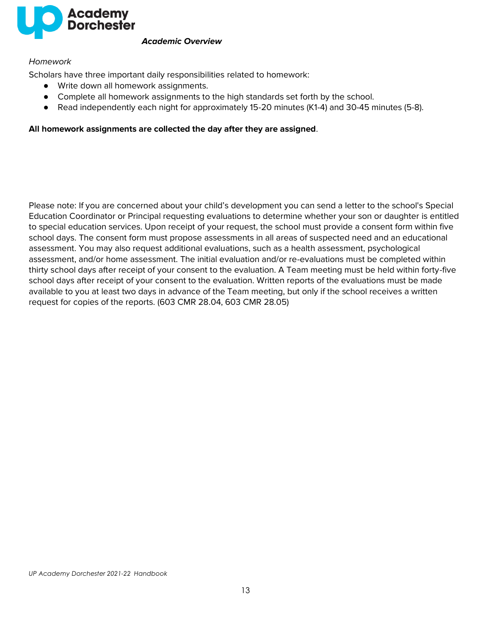

### <span id="page-12-0"></span>*Academic Overview*

#### <span id="page-12-1"></span>*Homework*

Scholars have three important daily responsibilities related to homework:

- Write down all homework assignments.
- Complete all homework assignments to the high standards set forth by the school.
- Read independently each night for approximately 15-20 minutes (K1-4) and 30-45 minutes (5-8).

### <span id="page-12-2"></span>**All homework assignments are collected the day after they are assigned**.

Please note: If you are concerned about your child's development you can send a letter to the school's Special Education Coordinator or Principal requesting evaluations to determine whether your son or daughter is entitled to special education services. Upon receipt of your request, the school must provide a consent form within five school days. The consent form must propose assessments in all areas of suspected need and an educational assessment. You may also request additional evaluations, such as a health assessment, psychological assessment, and/or home assessment. The initial evaluation and/or re-evaluations must be completed within thirty school days after receipt of your consent to the evaluation. A Team meeting must be held within forty-five school days after receipt of your consent to the evaluation. Written reports of the evaluations must be made available to you at least two days in advance of the Team meeting, but only if the school receives a written request for copies of the reports. (603 CMR 28.04, 603 CMR 28.05)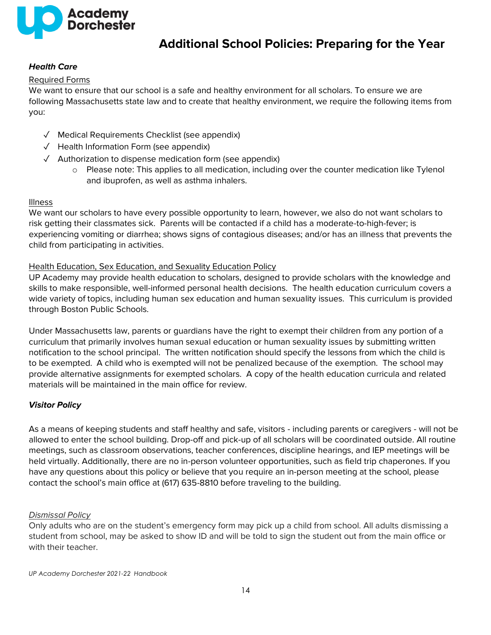

## <span id="page-13-0"></span>**Additional School Policies: Preparing for the Year**

### <span id="page-13-1"></span>*Health Care*

#### Required Forms

We want to ensure that our school is a safe and healthy environment for all scholars. To ensure we are following Massachusetts state law and to create that healthy environment, we require the following items from you:

- ✓ Medical Requirements Checklist (see appendix)
- ✓ Health Information Form (see appendix)
- ✓ Authorization to dispense medication form (see appendix)
	- o Please note: This applies to all medication, including over the counter medication like Tylenol and ibuprofen, as well as asthma inhalers.

#### Illness

We want our scholars to have every possible opportunity to learn, however, we also do not want scholars to risk getting their classmates sick. Parents will be contacted if a child has a moderate-to-high-fever; is experiencing vomiting or diarrhea; shows signs of contagious diseases; and/or has an illness that prevents the child from participating in activities.

#### Health Education, Sex Education, and Sexuality Education Policy

UP Academy may provide health education to scholars, designed to provide scholars with the knowledge and skills to make responsible, well-informed personal health decisions. The health education curriculum covers a wide variety of topics, including human sex education and human sexuality issues. This curriculum is provided through Boston Public Schools.

Under Massachusetts law, parents or guardians have the right to exempt their children from any portion of a curriculum that primarily involves human sexual education or human sexuality issues by submitting written notification to the school principal. The written notification should specify the lessons from which the child is to be exempted. A child who is exempted will not be penalized because of the exemption. The school may provide alternative assignments for exempted scholars. A copy of the health education curricula and related materials will be maintained in the main office for review.

#### <span id="page-13-2"></span>*Visitor Policy*

As a means of keeping students and staff healthy and safe, visitors - including parents or caregivers - will not be allowed to enter the school building. Drop-off and pick-up of all scholars will be coordinated outside. All routine meetings, such as classroom observations, teacher conferences, discipline hearings, and IEP meetings will be held virtually. Additionally, there are no in-person volunteer opportunities, such as field trip chaperones. If you have any questions about this policy or believe that you require an in-person meeting at the school, please contact the school's main office at (617) 635-8810 before traveling to the building.

#### *Dismissal Policy*

Only adults who are on the student's emergency form may pick up a child from school. All adults dismissing a student from school, may be asked to show ID and will be told to sign the student out from the main office or with their teacher.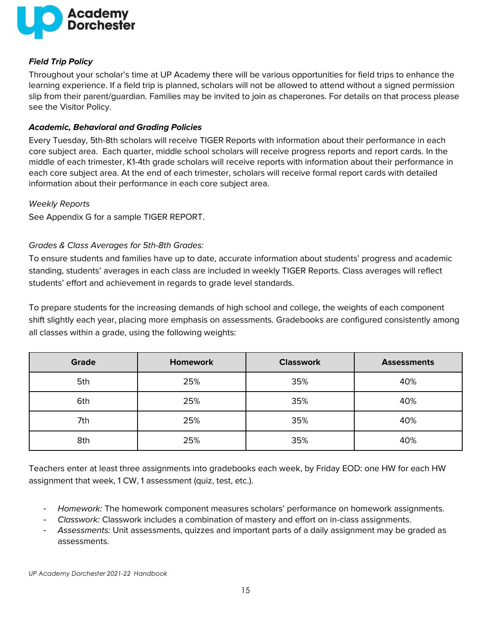

### <span id="page-14-0"></span>*Field Trip Policy*

Throughout your scholar's time at UP Academy there will be various opportunities for field trips to enhance the learning experience. If a field trip is planned, scholars will not be allowed to attend without a signed permission slip from their parent/guardian. Families may be invited to join as chaperones. For details on that process please see the Visitor Policy.

#### <span id="page-14-1"></span>*Academic, Behavioral and Grading Policies*

Every Tuesday, 5th-8th scholars will receive TIGER Reports with information about their performance in each core subject area. Each quarter, middle school scholars will receive progress reports and report cards. In the middle of each trimester, K1-4th grade scholars will receive reports with information about their performance in each core subject area. At the end of each trimester, scholars will receive formal report cards with detailed information about their performance in each core subject area.

#### <span id="page-14-2"></span>*Weekly Reports*

See Appendix G for a sample TIGER REPORT.

### <span id="page-14-3"></span>*Grades & Class Averages for 5th-8th Grades:*

To ensure students and families have up to date, accurate information about students' progress and academic standing, students' averages in each class are included in weekly TIGER Reports. Class averages will reflect students' effort and achievement in regards to grade level standards.

To prepare students for the increasing demands of high school and college, the weights of each component shift slightly each year, placing more emphasis on assessments. Gradebooks are configured consistently among all classes within a grade, using the following weights:

| Grade | <b>Homework</b> | <b>Classwork</b> | <b>Assessments</b> |
|-------|-----------------|------------------|--------------------|
| 5th   | 25%             | 35%              | 40%                |
| 6th   | 25%             | 35%              | 40%                |
| 7th   | 25%             | 35%              | 40%                |
| 8th   | 25%             | 35%              | 40%                |

Teachers enter at least three assignments into gradebooks each week, by Friday EOD: one HW for each HW assignment that week, 1 CW, 1 assessment (quiz, test, etc.).

- *Homework:* The homework component measures scholars' performance on homework assignments.
- *Classwork:* Classwork includes a combination of mastery and effort on in-class assignments.
- *Assessments:* Unit assessments, quizzes and important parts of a daily assignment may be graded as assessments.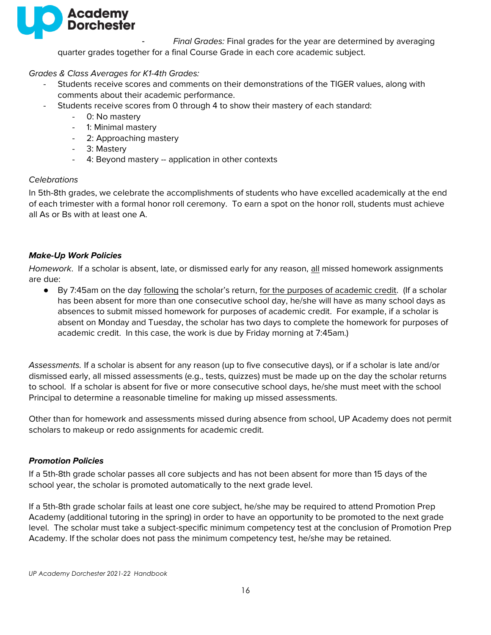

- *Final Grades:* Final grades for the year are determined by averaging quarter grades together for a final Course Grade in each core academic subject.

*Grades & Class Averages for K1-4th Grades:*

- Students receive scores and comments on their demonstrations of the TIGER values, along with comments about their academic performance.
- Students receive scores from 0 through 4 to show their mastery of each standard:
	- 0: No mastery
	- 1: Minimal mastery
	- 2: Approaching mastery
	- 3: Mastery
	- 4: Beyond mastery -- application in other contexts

#### <span id="page-15-0"></span>*Celebrations*

In 5th-8th grades, we celebrate the accomplishments of students who have excelled academically at the end of each trimester with a formal honor roll ceremony. To earn a spot on the honor roll, students must achieve all As or Bs with at least one A.

#### <span id="page-15-1"></span>*Make-Up Work Policies*

*Homework*. If a scholar is absent, late, or dismissed early for any reason, all missed homework assignments are due:

● By 7:45am on the day following the scholar's return, for the purposes of academic credit. (If a scholar has been absent for more than one consecutive school day, he/she will have as many school days as absences to submit missed homework for purposes of academic credit. For example, if a scholar is absent on Monday and Tuesday, the scholar has two days to complete the homework for purposes of academic credit. In this case, the work is due by Friday morning at 7:45am.)

*Assessments.* If a scholar is absent for any reason (up to five consecutive days), or if a scholar is late and/or dismissed early, all missed assessments (e.g., tests, quizzes) must be made up on the day the scholar returns to school. If a scholar is absent for five or more consecutive school days, he/she must meet with the school Principal to determine a reasonable timeline for making up missed assessments.

Other than for homework and assessments missed during absence from school, UP Academy does not permit scholars to makeup or redo assignments for academic credit.

#### <span id="page-15-2"></span>*Promotion Policies*

If a 5th-8th grade scholar passes all core subjects and has not been absent for more than 15 days of the school year, the scholar is promoted automatically to the next grade level.

If a 5th-8th grade scholar fails at least one core subject, he/she may be required to attend Promotion Prep Academy (additional tutoring in the spring) in order to have an opportunity to be promoted to the next grade level. The scholar must take a subject-specific minimum competency test at the conclusion of Promotion Prep Academy. If the scholar does not pass the minimum competency test, he/she may be retained.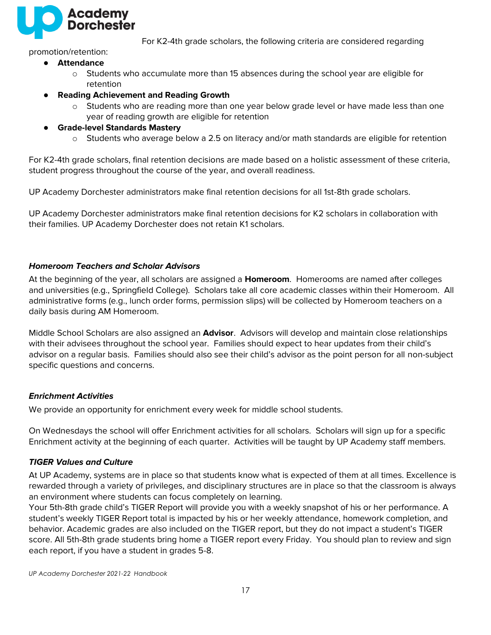

promotion/retention:

- **Attendance**
	- o Students who accumulate more than 15 absences during the school year are eligible for retention
- **Reading Achievement and Reading Growth** 
	- o Students who are reading more than one year below grade level or have made less than one year of reading growth are eligible for retention
- **Grade-level Standards Mastery**
	- o Students who average below a 2.5 on literacy and/or math standards are eligible for retention

For K2-4th grade scholars, final retention decisions are made based on a holistic assessment of these criteria, student progress throughout the course of the year, and overall readiness.

UP Academy Dorchester administrators make final retention decisions for all 1st-8th grade scholars.

UP Academy Dorchester administrators make final retention decisions for K2 scholars in collaboration with their families. UP Academy Dorchester does not retain K1 scholars.

## <span id="page-16-0"></span>*Homeroom Teachers and Scholar Advisors*

At the beginning of the year, all scholars are assigned a **Homeroom**. Homerooms are named after colleges and universities (e.g., Springfield College). Scholars take all core academic classes within their Homeroom. All administrative forms (e.g., lunch order forms, permission slips) will be collected by Homeroom teachers on a daily basis during AM Homeroom.

Middle School Scholars are also assigned an **Advisor**. Advisors will develop and maintain close relationships with their advisees throughout the school year. Families should expect to hear updates from their child's advisor on a regular basis. Families should also see their child's advisor as the point person for all non-subject specific questions and concerns.

## <span id="page-16-1"></span>*Enrichment Activities*

We provide an opportunity for enrichment every week for middle school students.

On Wednesdays the school will offer Enrichment activities for all scholars. Scholars will sign up for a specific Enrichment activity at the beginning of each quarter. Activities will be taught by UP Academy staff members.

#### <span id="page-16-2"></span>*TIGER Values and Culture*

At UP Academy, systems are in place so that students know what is expected of them at all times. Excellence is rewarded through a variety of privileges, and disciplinary structures are in place so that the classroom is always an environment where students can focus completely on learning.

Your 5th-8th grade child's TIGER Report will provide you with a weekly snapshot of his or her performance. A student's weekly TIGER Report total is impacted by his or her weekly attendance, homework completion, and behavior. Academic grades are also included on the TIGER report, but they do not impact a student's TIGER score. All 5th-8th grade students bring home a TIGER report every Friday. You should plan to review and sign each report, if you have a student in grades 5-8.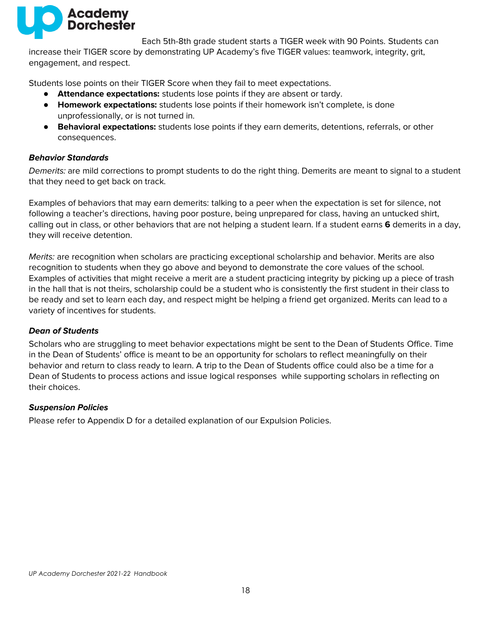

Each 5th-8th grade student starts a TIGER week with 90 Points. Students can increase their TIGER score by demonstrating UP Academy's five TIGER values: teamwork, integrity, grit, engagement, and respect.

Students lose points on their TIGER Score when they fail to meet expectations.

- **Attendance expectations:** students lose points if they are absent or tardy.
- **Homework expectations:** students lose points if their homework isn't complete, is done unprofessionally, or is not turned in.
- **Behavioral expectations:** students lose points if they earn demerits, detentions, referrals, or other consequences.

#### <span id="page-17-0"></span>*Behavior Standards*

*Demerits:* are mild corrections to prompt students to do the right thing. Demerits are meant to signal to a student that they need to get back on track.

Examples of behaviors that may earn demerits: talking to a peer when the expectation is set for silence, not following a teacher's directions, having poor posture, being unprepared for class, having an untucked shirt, calling out in class, or other behaviors that are not helping a student learn. If a student earns **6** demerits in a day, they will receive detention.

*Merits:* are recognition when scholars are practicing exceptional scholarship and behavior. Merits are also recognition to students when they go above and beyond to demonstrate the core values of the school. Examples of activities that might receive a merit are a student practicing integrity by picking up a piece of trash in the hall that is not theirs, scholarship could be a student who is consistently the first student in their class to be ready and set to learn each day, and respect might be helping a friend get organized. Merits can lead to a variety of incentives for students.

#### <span id="page-17-1"></span>*Dean of Students*

Scholars who are struggling to meet behavior expectations might be sent to the Dean of Students Office. Time in the Dean of Students' office is meant to be an opportunity for scholars to reflect meaningfully on their behavior and return to class ready to learn. A trip to the Dean of Students office could also be a time for a Dean of Students to process actions and issue logical responses while supporting scholars in reflecting on their choices.

#### <span id="page-17-2"></span>*Suspension Policies*

Please refer to Appendix D for a detailed explanation of our Expulsion Policies.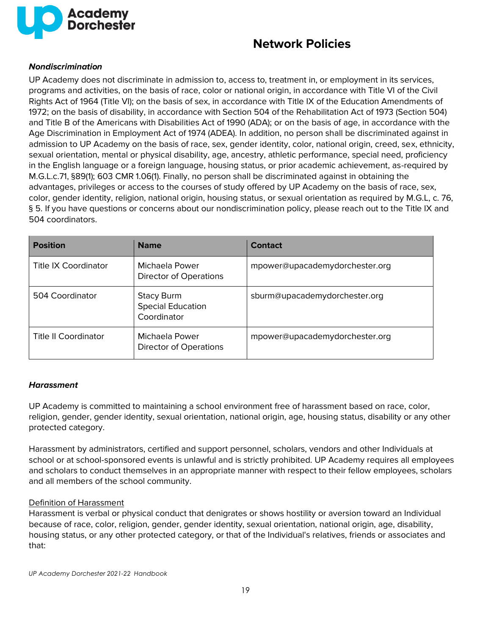

## <span id="page-18-0"></span>**Network Policies**

#### <span id="page-18-1"></span>*Nondiscrimination*

UP Academy does not discriminate in admission to, access to, treatment in, or employment in its services, programs and activities, on the basis of race, color or national origin, in accordance with Title VI of the Civil Rights Act of 1964 (Title VI); on the basis of sex, in accordance with Title IX of the Education Amendments of 1972; on the basis of disability, in accordance with Section 504 of the Rehabilitation Act of 1973 (Section 504) and Title B of the Americans with Disabilities Act of 1990 (ADA); or on the basis of age, in accordance with the Age Discrimination in Employment Act of 1974 (ADEA). In addition, no person shall be discriminated against in admission to UP Academy on the basis of race, sex, gender identity, color, national origin, creed, sex, ethnicity, sexual orientation, mental or physical disability, age, ancestry, athletic performance, special need, proficiency in the English language or a foreign language, housing status, or prior academic achievement, as-required by M.G.L.c.71, §89(1); 603 CMR 1.06(1). Finally, no person shall be discriminated against in obtaining the advantages, privileges or access to the courses of study offered by UP Academy on the basis of race, sex, color, gender identity, religion, national origin, housing status, or sexual orientation as required by M.G.L, c. 76, § 5. If you have questions or concerns about our nondiscrimination policy, please reach out to the Title IX and 504 coordinators.

| <b>Position</b>             | <b>Name</b>                                                  | Contact                        |
|-----------------------------|--------------------------------------------------------------|--------------------------------|
| <b>Title IX Coordinator</b> | Michaela Power<br>Director of Operations                     | mpower@upacademydorchester.org |
| 504 Coordinator             | <b>Stacy Burm</b><br><b>Special Education</b><br>Coordinator | sburm@upacademydorchester.org  |
| Title II Coordinator        | Michaela Power<br>Director of Operations                     | mpower@upacademydorchester.org |

#### <span id="page-18-2"></span>*Harassment*

UP Academy is committed to maintaining a school environment free of harassment based on race, color, religion, gender, gender identity, sexual orientation, national origin, age, housing status, disability or any other protected category.

Harassment by administrators, certified and support personnel, scholars, vendors and other Individuals at school or at school-sponsored events is unlawful and is strictly prohibited. UP Academy requires all employees and scholars to conduct themselves in an appropriate manner with respect to their fellow employees, scholars and all members of the school community.

#### Definition of Harassment

Harassment is verbal or physical conduct that denigrates or shows hostility or aversion toward an Individual because of race, color, religion, gender, gender identity, sexual orientation, national origin, age, disability, housing status, or any other protected category, or that of the Individual's relatives, friends or associates and that: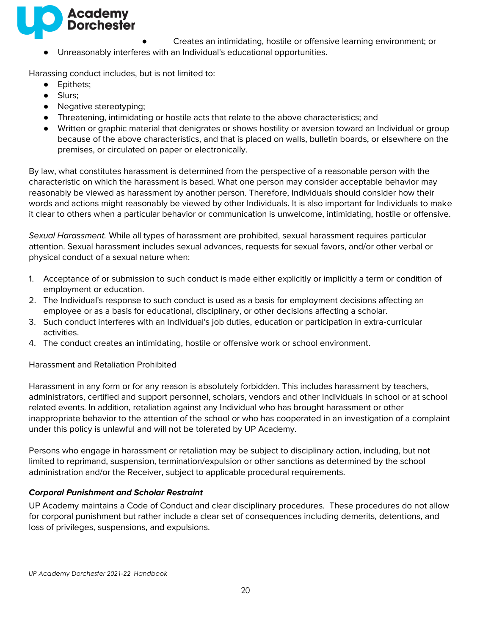

- Creates an intimidating, hostile or offensive learning environment; or
- Unreasonably interferes with an Individual's educational opportunities.

Harassing conduct includes, but is not limited to:

- Epithets;
- Slurs;
- Negative stereotyping;
- Threatening, intimidating or hostile acts that relate to the above characteristics; and
- Written or graphic material that denigrates or shows hostility or aversion toward an Individual or group because of the above characteristics, and that is placed on walls, bulletin boards, or elsewhere on the premises, or circulated on paper or electronically.

By law, what constitutes harassment is determined from the perspective of a reasonable person with the characteristic on which the harassment is based. What one person may consider acceptable behavior may reasonably be viewed as harassment by another person. Therefore, Individuals should consider how their words and actions might reasonably be viewed by other Individuals. It is also important for Individuals to make it clear to others when a particular behavior or communication is unwelcome, intimidating, hostile or offensive.

*Sexual Harassment.* While all types of harassment are prohibited, sexual harassment requires particular attention. Sexual harassment includes sexual advances, requests for sexual favors, and/or other verbal or physical conduct of a sexual nature when:

- 1. Acceptance of or submission to such conduct is made either explicitly or implicitly a term or condition of employment or education.
- 2. The Individual's response to such conduct is used as a basis for employment decisions affecting an employee or as a basis for educational, disciplinary, or other decisions affecting a scholar.
- 3. Such conduct interferes with an Individual's job duties, education or participation in extra-curricular activities.
- 4. The conduct creates an intimidating, hostile or offensive work or school environment.

## Harassment and Retaliation Prohibited

Harassment in any form or for any reason is absolutely forbidden. This includes harassment by teachers, administrators, certified and support personnel, scholars, vendors and other Individuals in school or at school related events. In addition, retaliation against any Individual who has brought harassment or other inappropriate behavior to the attention of the school or who has cooperated in an investigation of a complaint under this policy is unlawful and will not be tolerated by UP Academy.

Persons who engage in harassment or retaliation may be subject to disciplinary action, including, but not limited to reprimand, suspension, termination/expulsion or other sanctions as determined by the school administration and/or the Receiver, subject to applicable procedural requirements.

## <span id="page-19-0"></span>*Corporal Punishment and Scholar Restraint*

UP Academy maintains a Code of Conduct and clear disciplinary procedures. These procedures do not allow for corporal punishment but rather include a clear set of consequences including demerits, detentions, and loss of privileges, suspensions, and expulsions.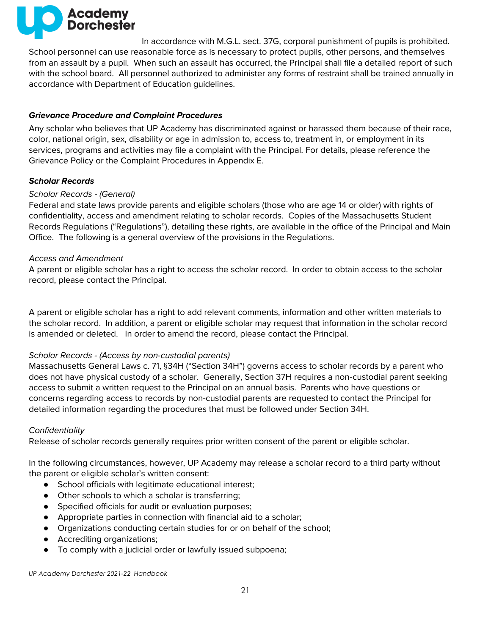

In accordance with M.G.L. sect. 37G, corporal punishment of pupils is prohibited. School personnel can use reasonable force as is necessary to protect pupils, other persons, and themselves from an assault by a pupil. When such an assault has occurred, the Principal shall file a detailed report of such with the school board. All personnel authorized to administer any forms of restraint shall be trained annually in accordance with Department of Education guidelines.

## <span id="page-20-0"></span>*Grievance Procedure and Complaint Procedures*

Any scholar who believes that UP Academy has discriminated against or harassed them because of their race, color, national origin, sex, disability or age in admission to, access to, treatment in, or employment in its services, programs and activities may file a complaint with the Principal. For details, please reference the Grievance Policy or the Complaint Procedures in Appendix E.

## <span id="page-20-1"></span>*Scholar Records*

## *Scholar Records - (General)*

Federal and state laws provide parents and eligible scholars (those who are age 14 or older) with rights of confidentiality, access and amendment relating to scholar records. Copies of the Massachusetts Student Records Regulations ("Regulations"), detailing these rights, are available in the office of the Principal and Main Office. The following is a general overview of the provisions in the Regulations.

### *Access and Amendment*

A parent or eligible scholar has a right to access the scholar record. In order to obtain access to the scholar record, please contact the Principal.

A parent or eligible scholar has a right to add relevant comments, information and other written materials to the scholar record. In addition, a parent or eligible scholar may request that information in the scholar record is amended or deleted. In order to amend the record, please contact the Principal.

## *Scholar Records - (Access by non-custodial parents)*

Massachusetts General Laws c. 71, §34H ("Section 34H") governs access to scholar records by a parent who does not have physical custody of a scholar. Generally, Section 37H requires a non-custodial parent seeking access to submit a written request to the Principal on an annual basis. Parents who have questions or concerns regarding access to records by non-custodial parents are requested to contact the Principal for detailed information regarding the procedures that must be followed under Section 34H.

#### *Confidentiality*

Release of scholar records generally requires prior written consent of the parent or eligible scholar.

In the following circumstances, however, UP Academy may release a scholar record to a third party without the parent or eligible scholar's written consent:

- School officials with legitimate educational interest;
- Other schools to which a scholar is transferring;
- Specified officials for audit or evaluation purposes;
- Appropriate parties in connection with financial aid to a scholar;
- Organizations conducting certain studies for or on behalf of the school;
- Accrediting organizations;
- To comply with a judicial order or lawfully issued subpoena;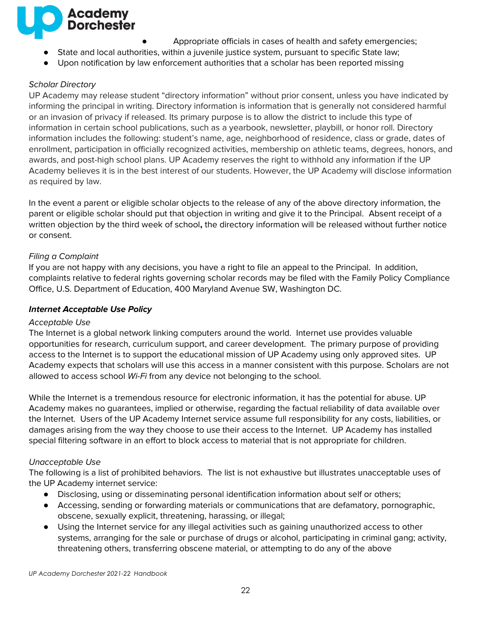

- Appropriate officials in cases of health and safety emergencies;
- State and local authorities, within a juvenile justice system, pursuant to specific State law;
- Upon notification by law enforcement authorities that a scholar has been reported missing

#### *Scholar Directory*

UP Academy may release student "directory information" without prior consent, unless you have indicated by informing the principal in writing. Directory information is information that is generally not considered harmful or an invasion of privacy if released. Its primary purpose is to allow the district to include this type of information in certain school publications, such as a yearbook, newsletter, playbill, or honor roll. Directory information includes the following: student's name, age, neighborhood of residence, class or grade, dates of enrollment, participation in officially recognized activities, membership on athletic teams, degrees, honors, and awards, and post-high school plans. UP Academy reserves the right to withhold any information if the UP Academy believes it is in the best interest of our students. However, the UP Academy will disclose information as required by law.

In the event a parent or eligible scholar objects to the release of any of the above directory information, the parent or eligible scholar should put that objection in writing and give it to the Principal.Absent receipt of a written objection by the third week of school**,** the directory information will be released without further notice or consent.

### *Filing a Complaint*

If you are not happy with any decisions, you have a right to file an appeal to the Principal. In addition, complaints relative to federal rights governing scholar records may be filed with the Family Policy Compliance Office, U.S. Department of Education, 400 Maryland Avenue SW, Washington DC.

#### <span id="page-21-0"></span>*Internet Acceptable Use Policy*

#### *Acceptable Use*

The Internet is a global network linking computers around the world. Internet use provides valuable opportunities for research, curriculum support, and career development. The primary purpose of providing access to the Internet is to support the educational mission of UP Academy using only approved sites. UP Academy expects that scholars will use this access in a manner consistent with this purpose. Scholars are not allowed to access school *Wi-Fi* from any device not belonging to the school.

While the Internet is a tremendous resource for electronic information, it has the potential for abuse. UP Academy makes no guarantees, implied or otherwise, regarding the factual reliability of data available over the Internet. Users of the UP Academy Internet service assume full responsibility for any costs, liabilities, or damages arising from the way they choose to use their access to the Internet. UP Academy has installed special filtering software in an effort to block access to material that is not appropriate for children.

#### *Unacceptable Use*

The following is a list of prohibited behaviors. The list is not exhaustive but illustrates unacceptable uses of the UP Academy internet service:

- Disclosing, using or disseminating personal identification information about self or others;
- Accessing, sending or forwarding materials or communications that are defamatory, pornographic, obscene, sexually explicit, threatening, harassing, or illegal;
- Using the Internet service for any illegal activities such as gaining unauthorized access to other systems, arranging for the sale or purchase of drugs or alcohol, participating in criminal gang; activity, threatening others, transferring obscene material, or attempting to do any of the above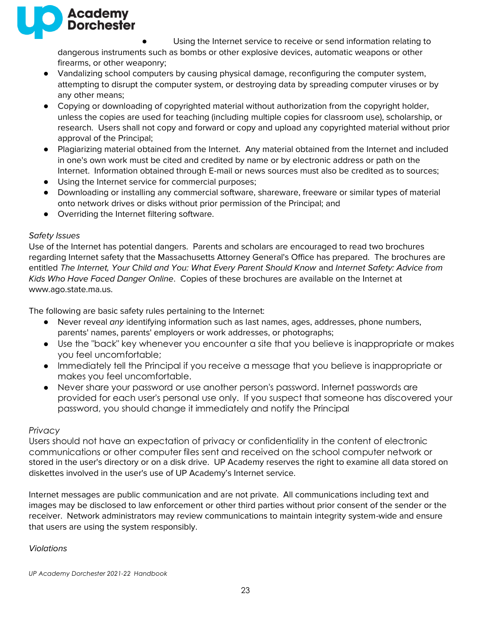

Using the Internet service to receive or send information relating to dangerous instruments such as bombs or other explosive devices, automatic weapons or other firearms, or other weaponry;

- Vandalizing school computers by causing physical damage, reconfiguring the computer system, attempting to disrupt the computer system, or destroying data by spreading computer viruses or by any other means;
- Copying or downloading of copyrighted material without authorization from the copyright holder, unless the copies are used for teaching (including multiple copies for classroom use), scholarship, or research. Users shall not copy and forward or copy and upload any copyrighted material without prior approval of the Principal;
- Plagiarizing material obtained from the Internet. Any material obtained from the Internet and included in one's own work must be cited and credited by name or by electronic address or path on the Internet. Information obtained through E-mail or news sources must also be credited as to sources;
- Using the Internet service for commercial purposes;
- Downloading or installing any commercial software, shareware, freeware or similar types of material onto network drives or disks without prior permission of the Principal; and
- Overriding the Internet filtering software.

## *Safety Issues*

Use of the Internet has potential dangers. Parents and scholars are encouraged to read two brochures regarding Internet safety that the Massachusetts Attorney General's Office has prepared. The brochures are entitled *The Internet, Your Child and You: What Every Parent Should Know* and *Internet Safety: Advice from Kids Who Have Faced Danger Online*. Copies of these brochures are available on the Internet at www.ago.state.ma.us.

The following are basic safety rules pertaining to the Internet:

- Never reveal *any* identifying information such as last names, ages, addresses, phone numbers, parents' names, parents' employers or work addresses, or photographs;
- Use the "back" key whenever you encounter a site that you believe is inappropriate or makes you feel uncomfortable;
- Immediately tell the Principal if you receive a message that you believe is inappropriate or makes you feel uncomfortable.
- Never share your password or use another person's password. Internet passwords are provided for each user's personal use only. If you suspect that someone has discovered your password, you should change it immediately and notify the Principal

## *Privacy*

Users should not have an expectation of privacy or confidentiality in the content of electronic communications or other computer files sent and received on the school computer network or stored in the user's directory or on a disk drive. UP Academy reserves the right to examine all data stored on diskettes involved in the user's use of UP Academy's Internet service.

Internet messages are public communication and are not private. All communications including text and images may be disclosed to law enforcement or other third parties without prior consent of the sender or the receiver. Network administrators may review communications to maintain integrity system-wide and ensure that users are using the system responsibly.

## *Violations*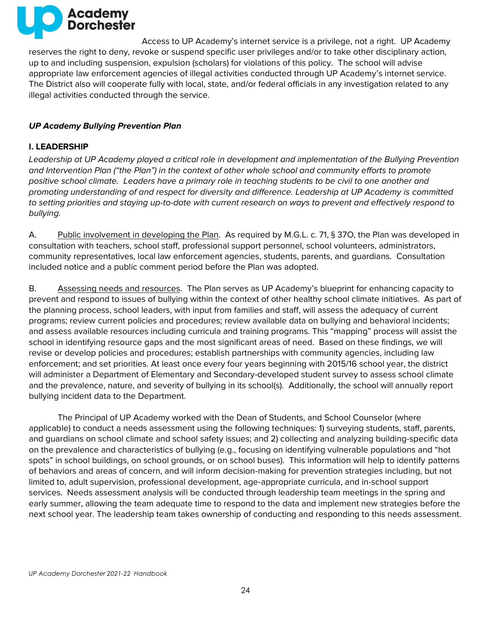

Access to UP Academy's internet service is a privilege, not a right. UP Academy reserves the right to deny, revoke or suspend specific user privileges and/or to take other disciplinary action, up to and including suspension, expulsion (scholars) for violations of this policy. The school will advise appropriate law enforcement agencies of illegal activities conducted through UP Academy's internet service. The District also will cooperate fully with local, state, and/or federal officials in any investigation related to any illegal activities conducted through the service.

## <span id="page-23-0"></span>*UP Academy Bullying Prevention Plan*

## <span id="page-23-1"></span>**I. LEADERSHIP**

Leadership at UP Academy played a critical role in development and implementation of the Bullying Prevention *and Intervention Plan ("the Plan") in the context of other whole school and community efforts to promote positive school climate. Leaders have a primary role in teaching students to be civil to one another and promoting understanding of and respect for diversity and difference. Leadership at UP Academy is committed*  to setting priorities and staying up-to-date with current research on ways to prevent and effectively respond to *bullying.* 

A. Public involvement in developing the Plan. As required by M.G.L. c. 71, § 37O, the Plan was developed in consultation with teachers, school staff, professional support personnel, school volunteers, administrators, community representatives, local law enforcement agencies, students, parents, and guardians. Consultation included notice and a public comment period before the Plan was adopted.

B. Assessing needs and resources. The Plan serves as UP Academy's blueprint for enhancing capacity to prevent and respond to issues of bullying within the context of other healthy school climate initiatives. As part of the planning process, school leaders, with input from families and staff, will assess the adequacy of current programs; review current policies and procedures; review available data on bullying and behavioral incidents; and assess available resources including curricula and training programs. This "mapping" process will assist the school in identifying resource gaps and the most significant areas of need. Based on these findings, we will revise or develop policies and procedures; establish partnerships with community agencies, including law enforcement; and set priorities. At least once every four years beginning with 2015/16 school year, the district will administer a Department of Elementary and Secondary-developed student survey to assess school climate and the prevalence, nature, and severity of bullying in its school(s). Additionally, the school will annually report bullying incident data to the Department.

 The Principal of UP Academy worked with the Dean of Students, and School Counselor (where applicable) to conduct a needs assessment using the following techniques: 1) surveying students, staff, parents, and guardians on school climate and school safety issues; and 2) collecting and analyzing building-specific data on the prevalence and characteristics of bullying (e.g., focusing on identifying vulnerable populations and "hot spots" in school buildings, on school grounds, or on school buses). This information will help to identify patterns of behaviors and areas of concern, and will inform decision-making for prevention strategies including, but not limited to, adult supervision, professional development, age-appropriate curricula, and in-school support services. Needs assessment analysis will be conducted through leadership team meetings in the spring and early summer, allowing the team adequate time to respond to the data and implement new strategies before the next school year. The leadership team takes ownership of conducting and responding to this needs assessment.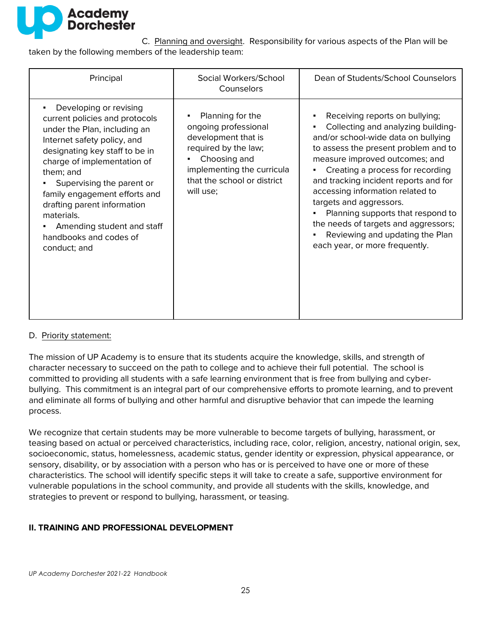

C. Planning and oversight. Responsibility for various aspects of the Plan will be

taken by the following members of the leadership team:

| Principal                                                                                                                                                                                                                                                                                                                                                                                     | Social Workers/School<br>Counselors                                                                                                                                                    | Dean of Students/School Counselors                                                                                                                                                                                                                                                                                                                                                                                                                                                                 |
|-----------------------------------------------------------------------------------------------------------------------------------------------------------------------------------------------------------------------------------------------------------------------------------------------------------------------------------------------------------------------------------------------|----------------------------------------------------------------------------------------------------------------------------------------------------------------------------------------|----------------------------------------------------------------------------------------------------------------------------------------------------------------------------------------------------------------------------------------------------------------------------------------------------------------------------------------------------------------------------------------------------------------------------------------------------------------------------------------------------|
| Developing or revising<br>٠<br>current policies and protocols<br>under the Plan, including an<br>Internet safety policy, and<br>designating key staff to be in<br>charge of implementation of<br>them; and<br>Supervising the parent or<br>family engagement efforts and<br>drafting parent information<br>materials.<br>Amending student and staff<br>handbooks and codes of<br>conduct; and | Planning for the<br>٠<br>ongoing professional<br>development that is<br>required by the law;<br>Choosing and<br>implementing the curricula<br>that the school or district<br>will use; | Receiving reports on bullying;<br>٠<br>Collecting and analyzing building-<br>٠<br>and/or school-wide data on bullying<br>to assess the present problem and to<br>measure improved outcomes; and<br>Creating a process for recording<br>٠<br>and tracking incident reports and for<br>accessing information related to<br>targets and aggressors.<br>Planning supports that respond to<br>the needs of targets and aggressors;<br>Reviewing and updating the Plan<br>each year, or more frequently. |

## D. Priority statement:

The mission of UP Academy is to ensure that its students acquire the knowledge, skills, and strength of character necessary to succeed on the path to college and to achieve their full potential. The school is committed to providing all students with a safe learning environment that is free from bullying and cyberbullying. This commitment is an integral part of our comprehensive efforts to promote learning, and to prevent and eliminate all forms of bullying and other harmful and disruptive behavior that can impede the learning process.

We recognize that certain students may be more vulnerable to become targets of bullying, harassment, or teasing based on actual or perceived characteristics, including race, color, religion, ancestry, national origin, sex, socioeconomic, status, homelessness, academic status, gender identity or expression, physical appearance, or sensory, disability, or by association with a person who has or is perceived to have one or more of these characteristics. The school will identify specific steps it will take to create a safe, supportive environment for vulnerable populations in the school community, and provide all students with the skills, knowledge, and strategies to prevent or respond to bullying, harassment, or teasing.

#### <span id="page-24-0"></span>**II. TRAINING AND PROFESSIONAL DEVELOPMENT**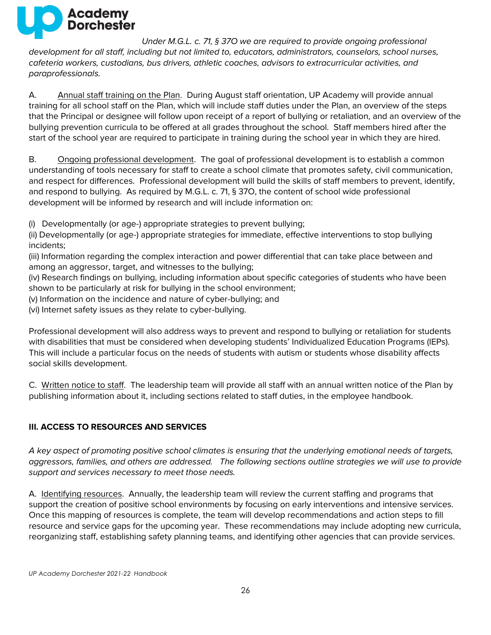

*Under M.G.L. c. 71, § 37O we are required to provide ongoing professional development for all staff, including but not limited to, educators, administrators, counselors, school nurses, cafeteria workers, custodians, bus drivers, athletic coaches, advisors to extracurricular activities, and paraprofessionals.*

A. Annual staff training on the Plan. During August staff orientation, UP Academy will provide annual training for all school staff on the Plan, which will include staff duties under the Plan, an overview of the steps that the Principal or designee will follow upon receipt of a report of bullying or retaliation, and an overview of the bullying prevention curricula to be offered at all grades throughout the school. Staff members hired after the start of the school year are required to participate in training during the school year in which they are hired.

B. Ongoing professional development. The goal of professional development is to establish a common understanding of tools necessary for staff to create a school climate that promotes safety, civil communication, and respect for differences. Professional development will build the skills of staff members to prevent, identify, and respond to bullying. As required by M.G.L. c. 71, § 37O, the content of school wide professional development will be informed by research and will include information on:

(i) Developmentally (or age-) appropriate strategies to prevent bullying;

(ii) Developmentally (or age-) appropriate strategies for immediate, effective interventions to stop bullying incidents;

(iii) Information regarding the complex interaction and power differential that can take place between and among an aggressor, target, and witnesses to the bullying;

(iv) Research findings on bullying, including information about specific categories of students who have been shown to be particularly at risk for bullying in the school environment;

(v) Information on the incidence and nature of cyber-bullying; and

(vi) Internet safety issues as they relate to cyber-bullying.

Professional development will also address ways to prevent and respond to bullying or retaliation for students with disabilities that must be considered when developing students' Individualized Education Programs (IEPs). This will include a particular focus on the needs of students with autism or students whose disability affects social skills development.

C. Written notice to staff. The leadership team will provide all staff with an annual written notice of the Plan by publishing information about it, including sections related to staff duties, in the employee handbook.

## <span id="page-25-0"></span>**III. ACCESS TO RESOURCES AND SERVICES**

*A key aspect of promoting positive school climates is ensuring that the underlying emotional needs of targets, aggressors, families, and others are addressed. The following sections outline strategies we will use to provide support and services necessary to meet those needs.*

A. Identifying resources. Annually, the leadership team will review the current staffing and programs that support the creation of positive school environments by focusing on early interventions and intensive services. Once this mapping of resources is complete, the team will develop recommendations and action steps to fill resource and service gaps for the upcoming year. These recommendations may include adopting new curricula, reorganizing staff, establishing safety planning teams, and identifying other agencies that can provide services.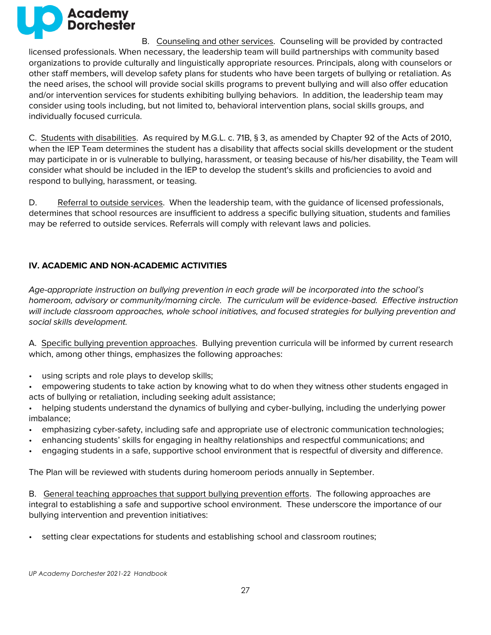

B. Counseling and other services. Counseling will be provided by contracted licensed professionals. When necessary, the leadership team will build partnerships with community based organizations to provide culturally and linguistically appropriate resources. Principals, along with counselors or other staff members, will develop safety plans for students who have been targets of bullying or retaliation. As the need arises, the school will provide social skills programs to prevent bullying and will also offer education and/or intervention services for students exhibiting bullying behaviors. In addition, the leadership team may consider using tools including, but not limited to, behavioral intervention plans, social skills groups, and individually focused curricula.

C. Students with disabilities. As required by M.G.L. c. 71B, § 3, as amended by Chapter 92 of the Acts of 2010, when the IEP Team determines the student has a disability that affects social skills development or the student may participate in or is vulnerable to bullying, harassment, or teasing because of his/her disability, the Team will consider what should be included in the IEP to develop the student's skills and proficiencies to avoid and respond to bullying, harassment, or teasing.

D. Referral to outside services. When the leadership team, with the guidance of licensed professionals, determines that school resources are insufficient to address a specific bullying situation, students and families may be referred to outside services. Referrals will comply with relevant laws and policies.

## <span id="page-26-0"></span>**IV. ACADEMIC AND NON-ACADEMIC ACTIVITIES**

*Age-appropriate instruction on bullying prevention in each grade will be incorporated into the school's homeroom, advisory or community/morning circle. The curriculum will be evidence-based. Effective instruction will include classroom approaches, whole school initiatives, and focused strategies for bullying prevention and social skills development.* 

A. Specific bullying prevention approaches. Bullying prevention curricula will be informed by current research which, among other things, emphasizes the following approaches:

- using scripts and role plays to develop skills;
- empowering students to take action by knowing what to do when they witness other students engaged in acts of bullying or retaliation, including seeking adult assistance;
- helping students understand the dynamics of bullying and cyber-bullying, including the underlying power imbalance;
- emphasizing cyber-safety, including safe and appropriate use of electronic communication technologies;
- enhancing students' skills for engaging in healthy relationships and respectful communications; and
- engaging students in a safe, supportive school environment that is respectful of diversity and difference.

The Plan will be reviewed with students during homeroom periods annually in September.

B. General teaching approaches that support bullying prevention efforts. The following approaches are integral to establishing a safe and supportive school environment. These underscore the importance of our bullying intervention and prevention initiatives:

• setting clear expectations for students and establishing school and classroom routines;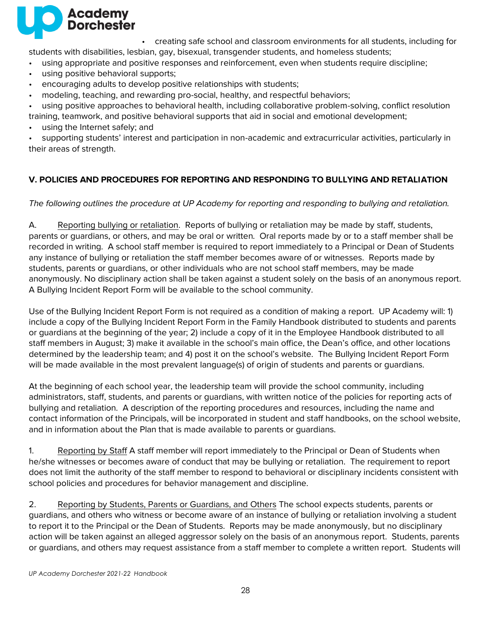

• creating safe school and classroom environments for all students, including for

students with disabilities, lesbian, gay, bisexual, transgender students, and homeless students;

- using appropriate and positive responses and reinforcement, even when students require discipline;
- using positive behavioral supports;
- encouraging adults to develop positive relationships with students;
- modeling, teaching, and rewarding pro-social, healthy, and respectful behaviors;

• using positive approaches to behavioral health, including collaborative problem-solving, conflict resolution training, teamwork, and positive behavioral supports that aid in social and emotional development;

using the Internet safely; and

• supporting students' interest and participation in non-academic and extracurricular activities, particularly in their areas of strength.

## <span id="page-27-0"></span>**V. POLICIES AND PROCEDURES FOR REPORTING AND RESPONDING TO BULLYING AND RETALIATION**

## *The following outlines the procedure at UP Academy for reporting and responding to bullying and retaliation.*

A. Reporting bullying or retaliation. Reports of bullying or retaliation may be made by staff, students, parents or guardians, or others, and may be oral or written. Oral reports made by or to a staff member shall be recorded in writing. A school staff member is required to report immediately to a Principal or Dean of Students any instance of bullying or retaliation the staff member becomes aware of or witnesses. Reports made by students, parents or guardians, or other individuals who are not school staff members, may be made anonymously. No disciplinary action shall be taken against a student solely on the basis of an anonymous report. A Bullying Incident Report Form will be available to the school community.

Use of the Bullying Incident Report Form is not required as a condition of making a report. UP Academy will: 1) include a copy of the Bullying Incident Report Form in the Family Handbook distributed to students and parents or guardians at the beginning of the year; 2) include a copy of it in the Employee Handbook distributed to all staff members in August; 3) make it available in the school's main office, the Dean's office, and other locations determined by the leadership team; and 4) post it on the school's website. The Bullying Incident Report Form will be made available in the most prevalent language(s) of origin of students and parents or guardians.

At the beginning of each school year, the leadership team will provide the school community, including administrators, staff, students, and parents or guardians, with written notice of the policies for reporting acts of bullying and retaliation. A description of the reporting procedures and resources, including the name and contact information of the Principals, will be incorporated in student and staff handbooks, on the school website, and in information about the Plan that is made available to parents or guardians.

1. Reporting by Staff A staff member will report immediately to the Principal or Dean of Students when he/she witnesses or becomes aware of conduct that may be bullying or retaliation. The requirement to report does not limit the authority of the staff member to respond to behavioral or disciplinary incidents consistent with school policies and procedures for behavior management and discipline.

2. Reporting by Students, Parents or Guardians, and Others The school expects students, parents or guardians, and others who witness or become aware of an instance of bullying or retaliation involving a student to report it to the Principal or the Dean of Students. Reports may be made anonymously, but no disciplinary action will be taken against an alleged aggressor solely on the basis of an anonymous report. Students, parents or guardians, and others may request assistance from a staff member to complete a written report. Students will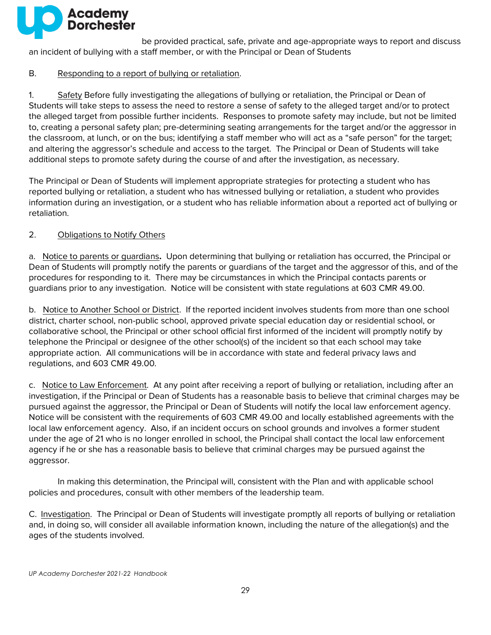

be provided practical, safe, private and age-appropriate ways to report and discuss an incident of bullying with a staff member, or with the Principal or Dean of Students

## B. Responding to a report of bullying or retaliation.

1. Safety Before fully investigating the allegations of bullying or retaliation, the Principal or Dean of Students will take steps to assess the need to restore a sense of safety to the alleged target and/or to protect the alleged target from possible further incidents. Responses to promote safety may include, but not be limited to, creating a personal safety plan; pre-determining seating arrangements for the target and/or the aggressor in the classroom, at lunch, or on the bus; identifying a staff member who will act as a "safe person" for the target; and altering the aggressor's schedule and access to the target. The Principal or Dean of Students will take additional steps to promote safety during the course of and after the investigation, as necessary.

The Principal or Dean of Students will implement appropriate strategies for protecting a student who has reported bullying or retaliation, a student who has witnessed bullying or retaliation, a student who provides information during an investigation, or a student who has reliable information about a reported act of bullying or retaliation.

## 2. Obligations to Notify Others

a. Notice to parents or guardians**.** Upon determining that bullying or retaliation has occurred, the Principal or Dean of Students will promptly notify the parents or guardians of the target and the aggressor of this, and of the procedures for responding to it. There may be circumstances in which the Principal contacts parents or guardians prior to any investigation. Notice will be consistent with state regulations at 603 CMR 49.00.

b. Notice to Another School or District. If the reported incident involves students from more than one school district, charter school, non-public school, approved private special education day or residential school, or collaborative school, the Principal or other school official first informed of the incident will promptly notify by telephone the Principal or designee of the other school(s) of the incident so that each school may take appropriate action. All communications will be in accordance with state and federal privacy laws and regulations, and 603 CMR 49.00.

c. Notice to Law Enforcement.At any point after receiving a report of bullying or retaliation, including after an investigation, if the Principal or Dean of Students has a reasonable basis to believe that criminal charges may be pursued against the aggressor, the Principal or Dean of Students will notify the local law enforcement agency. Notice will be consistent with the requirements of 603 CMR 49.00 and locally established agreements with the local law enforcement agency. Also, if an incident occurs on school grounds and involves a former student under the age of 21 who is no longer enrolled in school, the Principal shall contact the local law enforcement agency if he or she has a reasonable basis to believe that criminal charges may be pursued against the aggressor.

 In making this determination, the Principal will, consistent with the Plan and with applicable school policies and procedures, consult with other members of the leadership team.

C. Investigation. The Principal or Dean of Students will investigate promptly all reports of bullying or retaliation and, in doing so, will consider all available information known, including the nature of the allegation(s) and the ages of the students involved.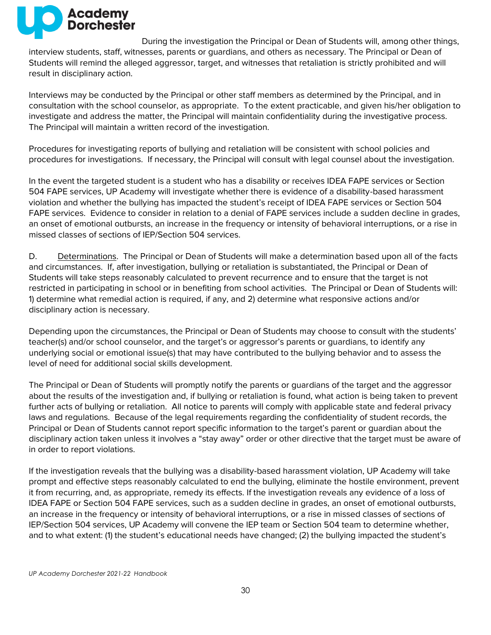

During the investigation the Principal or Dean of Students will, among other things, interview students, staff, witnesses, parents or guardians, and others as necessary. The Principal or Dean of Students will remind the alleged aggressor, target, and witnesses that retaliation is strictly prohibited and will result in disciplinary action.

Interviews may be conducted by the Principal or other staff members as determined by the Principal, and in consultation with the school counselor, as appropriate. To the extent practicable, and given his/her obligation to investigate and address the matter, the Principal will maintain confidentiality during the investigative process. The Principal will maintain a written record of the investigation.

Procedures for investigating reports of bullying and retaliation will be consistent with school policies and procedures for investigations. If necessary, the Principal will consult with legal counsel about the investigation.

In the event the targeted student is a student who has a disability or receives IDEA FAPE services or Section 504 FAPE services, UP Academy will investigate whether there is evidence of a disability-based harassment violation and whether the bullying has impacted the student's receipt of IDEA FAPE services or Section 504 FAPE services. Evidence to consider in relation to a denial of FAPE services include a sudden decline in grades, an onset of emotional outbursts, an increase in the frequency or intensity of behavioral interruptions, or a rise in missed classes of sections of IEP/Section 504 services.

D. Determinations. The Principal or Dean of Students will make a determination based upon all of the facts and circumstances. If, after investigation, bullying or retaliation is substantiated, the Principal or Dean of Students will take steps reasonably calculated to prevent recurrence and to ensure that the target is not restricted in participating in school or in benefiting from school activities. The Principal or Dean of Students will: 1) determine what remedial action is required, if any, and 2) determine what responsive actions and/or disciplinary action is necessary.

Depending upon the circumstances, the Principal or Dean of Students may choose to consult with the students' teacher(s) and/or school counselor, and the target's or aggressor's parents or guardians, to identify any underlying social or emotional issue(s) that may have contributed to the bullying behavior and to assess the level of need for additional social skills development.

The Principal or Dean of Students will promptly notify the parents or guardians of the target and the aggressor about the results of the investigation and, if bullying or retaliation is found, what action is being taken to prevent further acts of bullying or retaliation. All notice to parents will comply with applicable state and federal privacy laws and regulations. Because of the legal requirements regarding the confidentiality of student records, the Principal or Dean of Students cannot report specific information to the target's parent or guardian about the disciplinary action taken unless it involves a "stay away" order or other directive that the target must be aware of in order to report violations.

If the investigation reveals that the bullying was a disability-based harassment violation, UP Academy will take prompt and effective steps reasonably calculated to end the bullying, eliminate the hostile environment, prevent it from recurring, and, as appropriate, remedy its effects. If the investigation reveals any evidence of a loss of IDEA FAPE or Section 504 FAPE services, such as a sudden decline in grades, an onset of emotional outbursts, an increase in the frequency or intensity of behavioral interruptions, or a rise in missed classes of sections of IEP/Section 504 services, UP Academy will convene the IEP team or Section 504 team to determine whether, and to what extent: (1) the student's educational needs have changed; (2) the bullying impacted the student's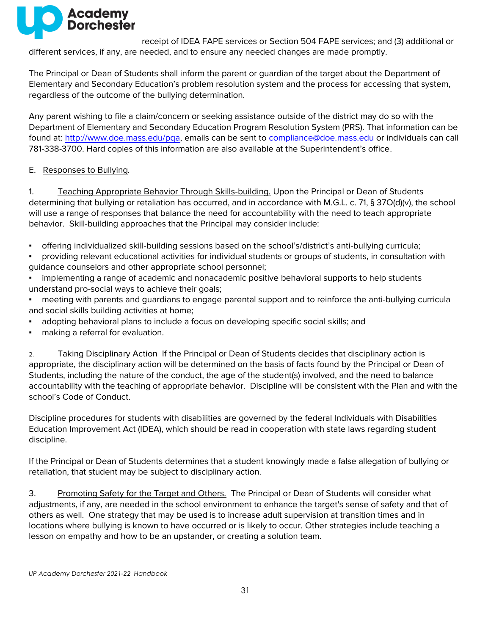

receipt of IDEA FAPE services or Section 504 FAPE services; and (3) additional or

different services, if any, are needed, and to ensure any needed changes are made promptly.

The Principal or Dean of Students shall inform the parent or guardian of the target about the Department of Elementary and Secondary Education's problem resolution system and the process for accessing that system, regardless of the outcome of the bullying determination.

Any parent wishing to file a claim/concern or seeking assistance outside of the district may do so with the Department of Elementary and Secondary Education Program Resolution System (PRS). That information can be found at[:](http://www.doe.mass.edu/pqa) [http://www.doe.mass.edu/pqa,](http://www.doe.mass.edu/pqa) emails can be sent to compliance@doe.mass.edu or individuals can call 781-338-3700. Hard copies of this information are also available at the Superintendent's office.

#### E. Responses to Bullying*.*

1. Teaching Appropriate Behavior Through Skills-building. Upon the Principal or Dean of Students determining that bullying or retaliation has occurred, and in accordance with M.G.L. c. 71, § 37O(d)(v), the school will use a range of responses that balance the need for accountability with the need to teach appropriate behavior. Skill-building approaches that the Principal may consider include:

- offering individualized skill-building sessions based on the school's/district's anti-bullying curricula;
- providing relevant educational activities for individual students or groups of students, in consultation with guidance counselors and other appropriate school personnel;
- implementing a range of academic and nonacademic positive behavioral supports to help students understand pro-social ways to achieve their goals;
- meeting with parents and guardians to engage parental support and to reinforce the anti-bullying curricula and social skills building activities at home;
- adopting behavioral plans to include a focus on developing specific social skills; and
- **•** making a referral for evaluation.

2. Taking Disciplinary Action If the Principal or Dean of Students decides that disciplinary action is appropriate, the disciplinary action will be determined on the basis of facts found by the Principal or Dean of Students, including the nature of the conduct, the age of the student(s) involved, and the need to balance accountability with the teaching of appropriate behavior. Discipline will be consistent with the Plan and with the school's Code of Conduct.

Discipline procedures for students with disabilities are governed by the federal Individuals with Disabilities Education Improvement Act (IDEA), which should be read in cooperation with state laws regarding student discipline.

If the Principal or Dean of Students determines that a student knowingly made a false allegation of bullying or retaliation, that student may be subject to disciplinary action.

3. Promoting Safety for the Target and Others. The Principal or Dean of Students will consider what adjustments, if any, are needed in the school environment to enhance the target's sense of safety and that of others as well. One strategy that may be used is to increase adult supervision at transition times and in locations where bullying is known to have occurred or is likely to occur. Other strategies include teaching a lesson on empathy and how to be an upstander, or creating a solution team.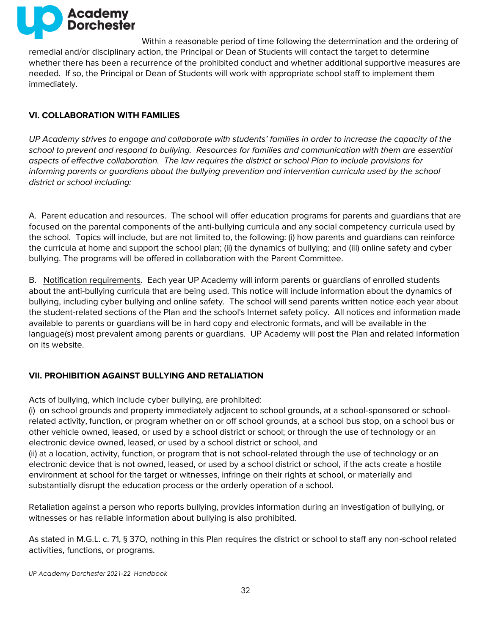

Within a reasonable period of time following the determination and the ordering of remedial and/or disciplinary action, the Principal or Dean of Students will contact the target to determine whether there has been a recurrence of the prohibited conduct and whether additional supportive measures are needed. If so, the Principal or Dean of Students will work with appropriate school staff to implement them immediately.

## <span id="page-31-0"></span>**VI. COLLABORATION WITH FAMILIES**

*UP Academy strives to engage and collaborate with students' families in order to increase the capacity of the school to prevent and respond to bullying. Resources for families and communication with them are essential aspects of effective collaboration. The law requires the district or school Plan to include provisions for informing parents or guardians about the bullying prevention and intervention curricula used by the school district or school including:*

A. Parent education and resources. The school will offer education programs for parents and guardians that are focused on the parental components of the anti-bullying curricula and any social competency curricula used by the school. Topics will include, but are not limited to, the following: (i) how parents and guardians can reinforce the curricula at home and support the school plan; (ii) the dynamics of bullying; and (iii) online safety and cyber bullying. The programs will be offered in collaboration with the Parent Committee.

B. Notification requirements. Each year UP Academy will inform parents or guardians of enrolled students about the anti-bullying curricula that are being used. This notice will include information about the dynamics of bullying, including cyber bullying and online safety. The school will send parents written notice each year about the student-related sections of the Plan and the school's Internet safety policy. All notices and information made available to parents or guardians will be in hard copy and electronic formats, and will be available in the language(s) most prevalent among parents or guardians. UP Academy will post the Plan and related information on its website.

#### <span id="page-31-1"></span>**VII. PROHIBITION AGAINST BULLYING AND RETALIATION**

Acts of bullying, which include cyber bullying, are prohibited:

(i) on school grounds and property immediately adjacent to school grounds, at a school-sponsored or schoolrelated activity, function, or program whether on or off school grounds, at a school bus stop, on a school bus or other vehicle owned, leased, or used by a school district or school; or through the use of technology or an electronic device owned, leased, or used by a school district or school, and

(ii) at a location, activity, function, or program that is not school-related through the use of technology or an electronic device that is not owned, leased, or used by a school district or school, if the acts create a hostile environment at school for the target or witnesses, infringe on their rights at school, or materially and substantially disrupt the education process or the orderly operation of a school.

Retaliation against a person who reports bullying, provides information during an investigation of bullying, or witnesses or has reliable information about bullying is also prohibited.

As stated in M.G.L. c. 71, § 37O, nothing in this Plan requires the district or school to staff any non-school related activities, functions, or programs.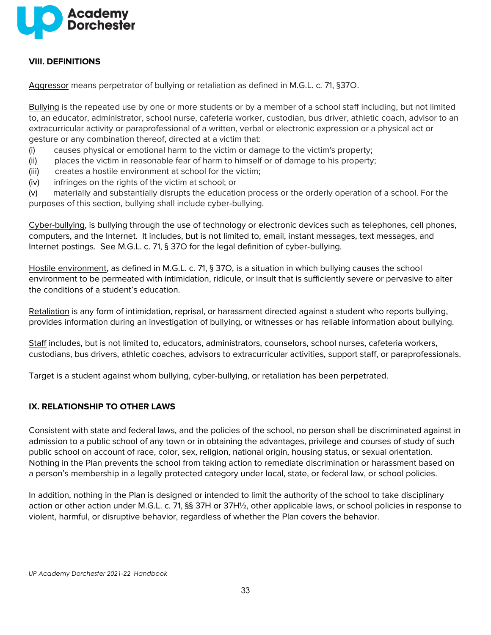

### <span id="page-32-0"></span>**VIII. DEFINITIONS**

Aggressor means perpetrator of bullying or retaliation as defined in M.G.L. c. 71, §37O.

Bullying is the repeated use by one or more students or by a member of a school staff including, but not limited to, an educator, administrator, school nurse, cafeteria worker, custodian, bus driver, athletic coach, advisor to an extracurricular activity or paraprofessional of a written, verbal or electronic expression or a physical act or gesture or any combination thereof, directed at a victim that:

(i) causes physical or emotional harm to the victim or damage to the victim's property;

- (ii) places the victim in reasonable fear of harm to himself or of damage to his property;
- (iii) creates a hostile environment at school for the victim;
- (iv) infringes on the rights of the victim at school; or

(v) materially and substantially disrupts the education process or the orderly operation of a school. For the purposes of this section, bullying shall include cyber-bullying.

Cyber-bullying, is bullying through the use of technology or electronic devices such as telephones, cell phones, computers, and the Internet. It includes, but is not limited to, email, instant messages, text messages, and Internet postings. See M.G.L. c. 71, § 37O for the legal definition of cyber-bullying.

Hostile environment, as defined in M.G.L. c. 71, § 37O, is a situation in which bullying causes the school environment to be permeated with intimidation, ridicule, or insult that is sufficiently severe or pervasive to alter the conditions of a student's education.

Retaliation is any form of intimidation, reprisal, or harassment directed against a student who reports bullying, provides information during an investigation of bullying, or witnesses or has reliable information about bullying.

Staff includes, but is not limited to, educators, administrators, counselors, school nurses, cafeteria workers, custodians, bus drivers, athletic coaches, advisors to extracurricular activities, support staff, or paraprofessionals.

Target is a student against whom bullying, cyber-bullying, or retaliation has been perpetrated.

#### <span id="page-32-1"></span>**IX. RELATIONSHIP TO OTHER LAWS**

Consistent with state and federal laws, and the policies of the school, no person shall be discriminated against in admission to a public school of any town or in obtaining the advantages, privilege and courses of study of such public school on account of race, color, sex, religion, national origin, housing status, or sexual orientation. Nothing in the Plan prevents the school from taking action to remediate discrimination or harassment based on a person's membership in a legally protected category under local, state, or federal law, or school policies.

In addition, nothing in the Plan is designed or intended to limit the authority of the school to take disciplinary action or other action under M.G.L. c. 71, §§ 37H or 37H½, other applicable laws, or school policies in response to violent, harmful, or disruptive behavior, regardless of whether the Plan covers the behavior.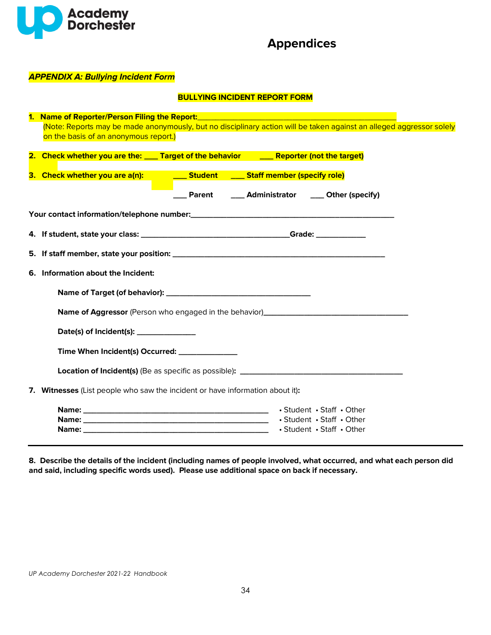

# **Appendices**

#### <span id="page-33-1"></span>*APPENDIX A: Bullying Incident Form*

#### <span id="page-33-0"></span>**BULLYING INCIDENT REPORT FORM**

| 1. Name of Reporter/Person Filing the Report:<br>1. Name of Reporter/Person Filing the Report:                       |                                                                                         |  |  |  |  |  |
|----------------------------------------------------------------------------------------------------------------------|-----------------------------------------------------------------------------------------|--|--|--|--|--|
| (Note: Reports may be made anonymously, but no disciplinary action will be taken against an alleged aggressor solely |                                                                                         |  |  |  |  |  |
|                                                                                                                      | on the basis of an anonymous report.)                                                   |  |  |  |  |  |
|                                                                                                                      |                                                                                         |  |  |  |  |  |
|                                                                                                                      | 2. Check whether you are the: ___ Target of the behavior ____ Reporter (not the target) |  |  |  |  |  |
|                                                                                                                      |                                                                                         |  |  |  |  |  |
|                                                                                                                      |                                                                                         |  |  |  |  |  |
|                                                                                                                      |                                                                                         |  |  |  |  |  |
|                                                                                                                      | __ Parent ____ Administrator ____ Other (specify)                                       |  |  |  |  |  |
|                                                                                                                      |                                                                                         |  |  |  |  |  |
|                                                                                                                      |                                                                                         |  |  |  |  |  |
|                                                                                                                      | 4. If student, state your class: __________________________________Grade: ___________   |  |  |  |  |  |
|                                                                                                                      |                                                                                         |  |  |  |  |  |
|                                                                                                                      |                                                                                         |  |  |  |  |  |
|                                                                                                                      |                                                                                         |  |  |  |  |  |
|                                                                                                                      | 6. Information about the Incident:                                                      |  |  |  |  |  |
|                                                                                                                      |                                                                                         |  |  |  |  |  |
|                                                                                                                      |                                                                                         |  |  |  |  |  |
|                                                                                                                      |                                                                                         |  |  |  |  |  |
|                                                                                                                      |                                                                                         |  |  |  |  |  |
|                                                                                                                      |                                                                                         |  |  |  |  |  |
|                                                                                                                      | Date(s) of Incident(s): ______________                                                  |  |  |  |  |  |
|                                                                                                                      |                                                                                         |  |  |  |  |  |
|                                                                                                                      | Time When Incident(s) Occurred: ____________                                            |  |  |  |  |  |
|                                                                                                                      |                                                                                         |  |  |  |  |  |
|                                                                                                                      |                                                                                         |  |  |  |  |  |
|                                                                                                                      | 7. Witnesses (List people who saw the incident or have information about it):           |  |  |  |  |  |
|                                                                                                                      |                                                                                         |  |  |  |  |  |
|                                                                                                                      | • Student • Staff • Other                                                               |  |  |  |  |  |
|                                                                                                                      | • Student • Staff • Other                                                               |  |  |  |  |  |
|                                                                                                                      | • Student • Staff • Other<br><b>Name:</b> Name:                                         |  |  |  |  |  |
|                                                                                                                      |                                                                                         |  |  |  |  |  |

**8. Describe the details of the incident (including names of people involved, what occurred, and what each person did and said, including specific words used). Please use additional space on back if necessary.**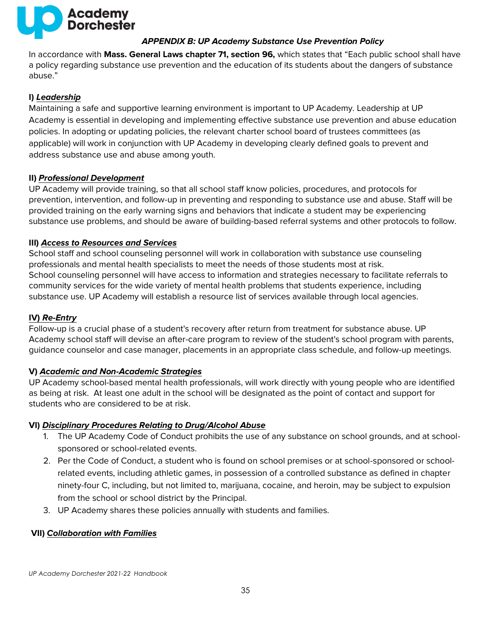

### <span id="page-34-0"></span>*APPENDIX B: UP Academy Substance Use Prevention Policy*

In accordance with **Mass. General Laws chapter 71, section 96,** which states that "Each public school shall have a policy regarding substance use prevention and the education of its students about the dangers of substance abuse."

## **I)** *Leadership*

Maintaining a safe and supportive learning environment is important to UP Academy. Leadership at UP Academy is essential in developing and implementing effective substance use prevention and abuse education policies. In adopting or updating policies, the relevant charter school board of trustees committees (as applicable) will work in conjunction with UP Academy in developing clearly defined goals to prevent and address substance use and abuse among youth.

### **II)** *Professional Development*

UP Academy will provide training, so that all school staff know policies, procedures, and protocols for prevention, intervention, and follow-up in preventing and responding to substance use and abuse. Staff will be provided training on the early warning signs and behaviors that indicate a student may be experiencing substance use problems, and should be aware of building-based referral systems and other protocols to follow.

### **III)** *Access to Resources and Services*

School staff and school counseling personnel will work in collaboration with substance use counseling professionals and mental health specialists to meet the needs of those students most at risk. School counseling personnel will have access to information and strategies necessary to facilitate referrals to community services for the wide variety of mental health problems that students experience, including substance use. UP Academy will establish a resource list of services available through local agencies.

#### **IV)** *Re-Entry*

Follow-up is a crucial phase of a student's recovery after return from treatment for substance abuse. UP Academy school staff will devise an after-care program to review of the student's school program with parents, guidance counselor and case manager, placements in an appropriate class schedule, and follow-up meetings.

#### **V)** *Academic and Non-Academic Strategies*

UP Academy school-based mental health professionals, will work directly with young people who are identified as being at risk. At least one adult in the school will be designated as the point of contact and support for students who are considered to be at risk.

## **VI)** *Disciplinary Procedures Relating to Drug/Alcohol Abuse*

- 1. The UP Academy Code of Conduct prohibits the use of any substance on school grounds, and at schoolsponsored or school-related events.
- 2. Per the Code of Conduct, a student who is found on school premises or at school-sponsored or schoolrelated events, including athletic games, in possession of a controlled substance as defined in chapter ninety-four C, including, but not limited to, marijuana, cocaine, and heroin, may be subject to expulsion from the school or school district by the Principal.
- 3. UP Academy shares these policies annually with students and families.

## **VII)** *Collaboration with Families*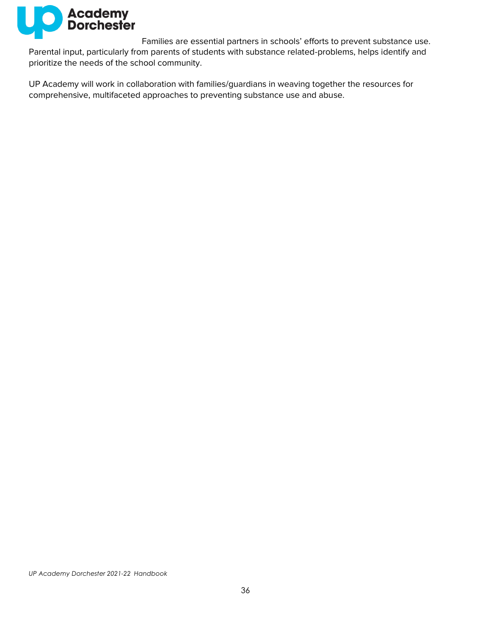

Families are essential partners in schools' efforts to prevent substance use. Parental input, particularly from parents of students with substance related-problems, helps identify and prioritize the needs of the school community.

UP Academy will work in collaboration with families/guardians in weaving together the resources for comprehensive, multifaceted approaches to preventing substance use and abuse.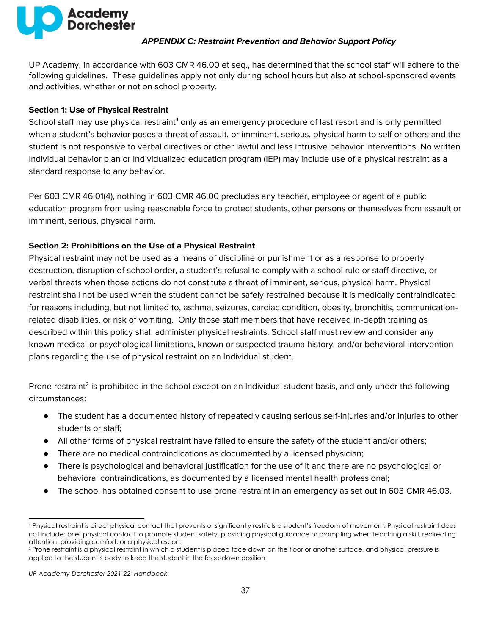

#### *APPENDIX C: Restraint Prevention and Behavior Support Policy*

UP Academy, in accordance with 603 CMR 46.00 et seq., has determined that the school staff will adhere to the following guidelines. These guidelines apply not only during school hours but also at school-sponsored events and activities, whether or not on school property.

#### **Section 1: Use of Physical Restraint**

School staff may use physical restraint**<sup>1</sup>** only as an emergency procedure of last resort and is only permitted when a student's behavior poses a threat of assault, or imminent, serious, physical harm to self or others and the student is not responsive to verbal directives or other lawful and less intrusive behavior interventions. No written Individual behavior plan or Individualized education program (IEP) may include use of a physical restraint as a standard response to any behavior.

Per 603 CMR 46.01(4), nothing in 603 CMR 46.00 precludes any teacher, employee or agent of a public education program from using reasonable force to protect students, other persons or themselves from assault or imminent, serious, physical harm.

#### **Section 2: Prohibitions on the Use of a Physical Restraint**

Physical restraint may not be used as a means of discipline or punishment or as a response to property destruction, disruption of school order, a student's refusal to comply with a school rule or staff directive, or verbal threats when those actions do not constitute a threat of imminent, serious, physical harm. Physical restraint shall not be used when the student cannot be safely restrained because it is medically contraindicated for reasons including, but not limited to, asthma, seizures, cardiac condition, obesity, bronchitis, communicationrelated disabilities, or risk of vomiting. Only those staff members that have received in-depth training as described within this policy shall administer physical restraints. School staff must review and consider any known medical or psychological limitations, known or suspected trauma history, and/or behavioral intervention plans regarding the use of physical restraint on an Individual student.

Prone restraint<sup>2</sup> is prohibited in the school except on an Individual student basis, and only under the following circumstances:

- The student has a documented history of repeatedly causing serious self-injuries and/or injuries to other students or staff;
- All other forms of physical restraint have failed to ensure the safety of the student and/or others;
- There are no medical contraindications as documented by a licensed physician;
- There is psychological and behavioral justification for the use of it and there are no psychological or behavioral contraindications, as documented by a licensed mental health professional;
- The school has obtained consent to use prone restraint in an emergency as set out in 603 CMR 46.03.

 $\overline{a}$ <sup>1</sup> Physical restraint is direct physical contact that prevents or significantly restricts a student's freedom of movement. Physical restraint does not include: brief physical contact to promote student safety, providing physical guidance or prompting when teaching a skill, redirecting attention, providing comfort, or a physical escort.

<sup>&</sup>lt;sup>2</sup> Prone restraint is a physical restraint in which a student is placed face down on the floor or another surface, and physical pressure is applied to the student's body to keep the student in the face-down position.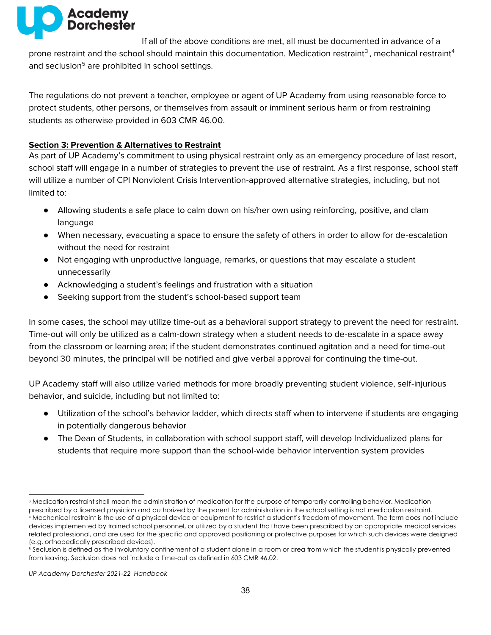

If all of the above conditions are met, all must be documented in advance of a prone restraint and the school should maintain this documentation. Medication restraint<sup>3</sup>, mechanical restraint<sup>4</sup> and seclusion<sup>5</sup> are prohibited in school settings.

The regulations do not prevent a teacher, employee or agent of UP Academy from using reasonable force to protect students, other persons, or themselves from assault or imminent serious harm or from restraining students as otherwise provided in 603 CMR 46.00.

#### **Section 3: Prevention & Alternatives to Restraint**

As part of UP Academy's commitment to using physical restraint only as an emergency procedure of last resort, school staff will engage in a number of strategies to prevent the use of restraint. As a first response, school staff will utilize a number of CPI Nonviolent Crisis Intervention-approved alternative strategies, including, but not limited to:

- Allowing students a safe place to calm down on his/her own using reinforcing, positive, and clam language
- When necessary, evacuating a space to ensure the safety of others in order to allow for de-escalation without the need for restraint
- Not engaging with unproductive language, remarks, or questions that may escalate a student unnecessarily
- Acknowledging a student's feelings and frustration with a situation
- Seeking support from the student's school-based support team

In some cases, the school may utilize time-out as a behavioral support strategy to prevent the need for restraint. Time-out will only be utilized as a calm-down strategy when a student needs to de-escalate in a space away from the classroom or learning area; if the student demonstrates continued agitation and a need for time-out beyond 30 minutes, the principal will be notified and give verbal approval for continuing the time-out.

UP Academy staff will also utilize varied methods for more broadly preventing student violence, self-injurious behavior, and suicide, including but not limited to:

- Utilization of the school's behavior ladder, which directs staff when to intervene if students are engaging in potentially dangerous behavior
- The Dean of Students, in collaboration with school support staff, will develop Individualized plans for students that require more support than the school-wide behavior intervention system provides

 $\overline{a}$ <sup>3</sup> Medication restraint shall mean the administration of medication for the purpose of temporarily controlling behavior. Medication prescribed by a licensed physician and authorized by the parent for administration in the school setting is not medication restraint. <sup>4</sup> Mechanical restraint is the use of a physical device or equipment to restrict a student's freedom of movement. The term does not include devices implemented by trained school personnel, or utilized by a student that have been prescribed by an appropriate medical services related professional, and are used for the specific and approved positioning or protective purposes for which such devices were designed (e.g. orthopedically prescribed devices).

<sup>5</sup> Seclusion is defined as the involuntary confinement of a student alone in a room or area from which the student is physically prevented from leaving. Seclusion does not include a time-out as defined in 603 CMR 46.02.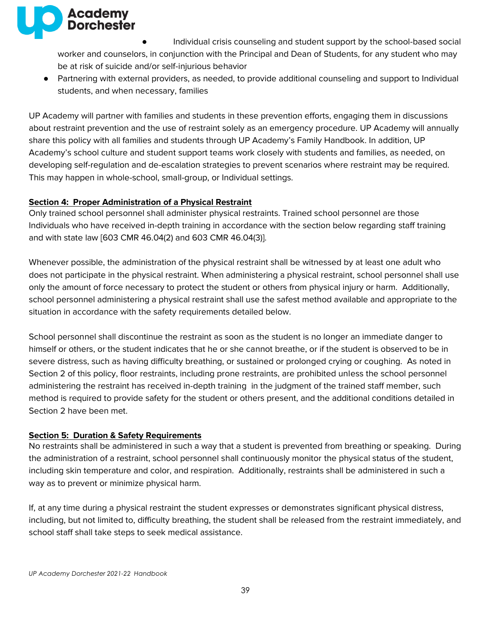

Individual crisis counseling and student support by the school-based social worker and counselors, in conjunction with the Principal and Dean of Students, for any student who may be at risk of suicide and/or self-injurious behavior

● Partnering with external providers, as needed, to provide additional counseling and support to Individual students, and when necessary, families

UP Academy will partner with families and students in these prevention efforts, engaging them in discussions about restraint prevention and the use of restraint solely as an emergency procedure. UP Academy will annually share this policy with all families and students through UP Academy's Family Handbook. In addition, UP Academy's school culture and student support teams work closely with students and families, as needed, on developing self-regulation and de-escalation strategies to prevent scenarios where restraint may be required. This may happen in whole-school, small-group, or Individual settings.

#### **Section 4: Proper Administration of a Physical Restraint**

Only trained school personnel shall administer physical restraints. Trained school personnel are those Individuals who have received in-depth training in accordance with the section below regarding staff training and with state law [603 CMR 46.04(2) and 603 CMR 46.04(3)].

Whenever possible, the administration of the physical restraint shall be witnessed by at least one adult who does not participate in the physical restraint. When administering a physical restraint, school personnel shall use only the amount of force necessary to protect the student or others from physical injury or harm. Additionally, school personnel administering a physical restraint shall use the safest method available and appropriate to the situation in accordance with the safety requirements detailed below.

School personnel shall discontinue the restraint as soon as the student is no longer an immediate danger to himself or others, or the student indicates that he or she cannot breathe, or if the student is observed to be in severe distress, such as having difficulty breathing, or sustained or prolonged crying or coughing. As noted in Section 2 of this policy, floor restraints, including prone restraints, are prohibited unless the school personnel administering the restraint has received in-depth training in the judgment of the trained staff member, such method is required to provide safety for the student or others present, and the additional conditions detailed in Section 2 have been met.

#### **Section 5: Duration & Safety Requirements**

No restraints shall be administered in such a way that a student is prevented from breathing or speaking. During the administration of a restraint, school personnel shall continuously monitor the physical status of the student, including skin temperature and color, and respiration. Additionally, restraints shall be administered in such a way as to prevent or minimize physical harm.

If, at any time during a physical restraint the student expresses or demonstrates significant physical distress, including, but not limited to, difficulty breathing, the student shall be released from the restraint immediately, and school staff shall take steps to seek medical assistance.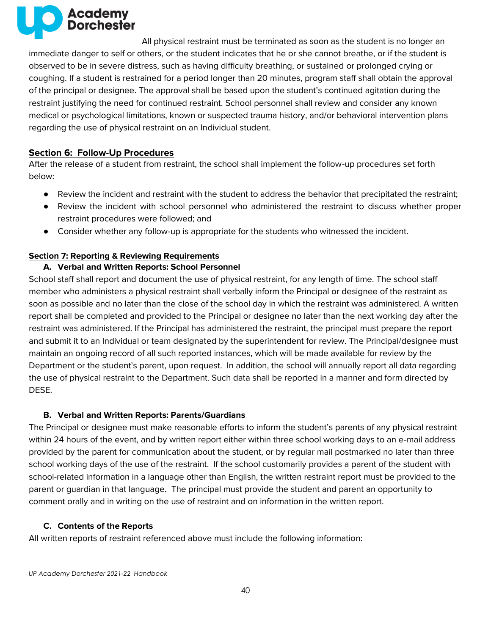

All physical restraint must be terminated as soon as the student is no longer an immediate danger to self or others, or the student indicates that he or she cannot breathe, or if the student is observed to be in severe distress, such as having difficulty breathing, or sustained or prolonged crying or coughing. If a student is restrained for a period longer than 20 minutes, program staff shall obtain the approval of the principal or designee. The approval shall be based upon the student's continued agitation during the restraint justifying the need for continued restraint. School personnel shall review and consider any known medical or psychological limitations, known or suspected trauma history, and/or behavioral intervention plans regarding the use of physical restraint on an Individual student.

#### **Section 6: Follow-Up Procedures**

After the release of a student from restraint, the school shall implement the follow-up procedures set forth below:

- Review the incident and restraint with the student to address the behavior that precipitated the restraint;
- Review the incident with school personnel who administered the restraint to discuss whether proper restraint procedures were followed; and
- Consider whether any follow-up is appropriate for the students who witnessed the incident.

#### **Section 7: Reporting & Reviewing Requirements**

#### **A. Verbal and Written Reports: School Personnel**

School staff shall report and document the use of physical restraint, for any length of time. The school staff member who administers a physical restraint shall verbally inform the Principal or designee of the restraint as soon as possible and no later than the close of the school day in which the restraint was administered. A written report shall be completed and provided to the Principal or designee no later than the next working day after the restraint was administered. If the Principal has administered the restraint, the principal must prepare the report and submit it to an Individual or team designated by the superintendent for review. The Principal/designee must maintain an ongoing record of all such reported instances, which will be made available for review by the Department or the student's parent, upon request. In addition, the school will annually report all data regarding the use of physical restraint to the Department. Such data shall be reported in a manner and form directed by DESE.

#### **B. Verbal and Written Reports: Parents/Guardians**

The Principal or designee must make reasonable efforts to inform the student's parents of any physical restraint within 24 hours of the event, and by written report either within three school working days to an e-mail address provided by the parent for communication about the student, or by regular mail postmarked no later than three school working days of the use of the restraint. If the school customarily provides a parent of the student with school-related information in a language other than English, the written restraint report must be provided to the parent or guardian in that language. The principal must provide the student and parent an opportunity to comment orally and in writing on the use of restraint and on information in the written report.

#### **C. Contents of the Reports**

All written reports of restraint referenced above must include the following information: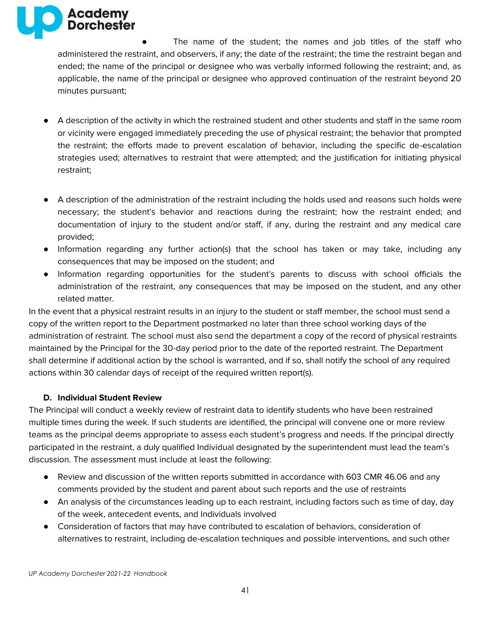

The name of the student; the names and job titles of the staff who administered the restraint, and observers, if any; the date of the restraint; the time the restraint began and ended; the name of the principal or designee who was verbally informed following the restraint; and, as applicable, the name of the principal or designee who approved continuation of the restraint beyond 20 minutes pursuant;

- A description of the activity in which the restrained student and other students and staff in the same room or vicinity were engaged immediately preceding the use of physical restraint; the behavior that prompted the restraint; the efforts made to prevent escalation of behavior, including the specific de-escalation strategies used; alternatives to restraint that were attempted; and the justification for initiating physical restraint;
- A description of the administration of the restraint including the holds used and reasons such holds were necessary; the student's behavior and reactions during the restraint; how the restraint ended; and documentation of injury to the student and/or staff, if any, during the restraint and any medical care provided;
- Information regarding any further action(s) that the school has taken or may take, including any consequences that may be imposed on the student; and
- Information regarding opportunities for the student's parents to discuss with school officials the administration of the restraint, any consequences that may be imposed on the student, and any other related matter.

In the event that a physical restraint results in an injury to the student or staff member, the school must send a copy of the written report to the Department postmarked no later than three school working days of the administration of restraint. The school must also send the department a copy of the record of physical restraints maintained by the Principal for the 30-day period prior to the date of the reported restraint. The Department shall determine if additional action by the school is warranted, and if so, shall notify the school of any required actions within 30 calendar days of receipt of the required written report(s).

#### **D. Individual Student Review**

The Principal will conduct a weekly review of restraint data to identify students who have been restrained multiple times during the week. If such students are identified, the principal will convene one or more review teams as the principal deems appropriate to assess each student's progress and needs. If the principal directly participated in the restraint, a duly qualified Individual designated by the superintendent must lead the team's discussion. The assessment must include at least the following:

- Review and discussion of the written reports submitted in accordance with 603 CMR 46.06 and any comments provided by the student and parent about such reports and the use of restraints
- An analysis of the circumstances leading up to each restraint, including factors such as time of day, day of the week, antecedent events, and Individuals involved
- Consideration of factors that may have contributed to escalation of behaviors, consideration of alternatives to restraint, including de-escalation techniques and possible interventions, and such other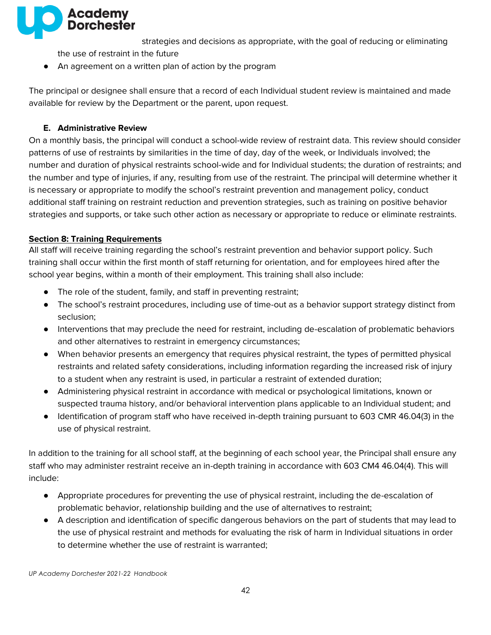

strategies and decisions as appropriate, with the goal of reducing or eliminating the use of restraint in the future

An agreement on a written plan of action by the program

The principal or designee shall ensure that a record of each Individual student review is maintained and made available for review by the Department or the parent, upon request.

#### **E. Administrative Review**

On a monthly basis, the principal will conduct a school-wide review of restraint data. This review should consider patterns of use of restraints by similarities in the time of day, day of the week, or Individuals involved; the number and duration of physical restraints school-wide and for Individual students; the duration of restraints; and the number and type of injuries, if any, resulting from use of the restraint. The principal will determine whether it is necessary or appropriate to modify the school's restraint prevention and management policy, conduct additional staff training on restraint reduction and prevention strategies, such as training on positive behavior strategies and supports, or take such other action as necessary or appropriate to reduce or eliminate restraints.

#### **Section 8: Training Requirements**

All staff will receive training regarding the school's restraint prevention and behavior support policy. Such training shall occur within the first month of staff returning for orientation, and for employees hired after the school year begins, within a month of their employment. This training shall also include:

- The role of the student, family, and staff in preventing restraint;
- The school's restraint procedures, including use of time-out as a behavior support strategy distinct from seclusion;
- Interventions that may preclude the need for restraint, including de-escalation of problematic behaviors and other alternatives to restraint in emergency circumstances;
- When behavior presents an emergency that requires physical restraint, the types of permitted physical restraints and related safety considerations, including information regarding the increased risk of injury to a student when any restraint is used, in particular a restraint of extended duration;
- Administering physical restraint in accordance with medical or psychological limitations, known or suspected trauma history, and/or behavioral intervention plans applicable to an Individual student; and
- Identification of program staff who have received in-depth training pursuant to 603 CMR 46.04(3) in the use of physical restraint.

In addition to the training for all school staff, at the beginning of each school year, the Principal shall ensure any staff who may administer restraint receive an in-depth training in accordance with 603 CM4 46.04(4). This will include:

- Appropriate procedures for preventing the use of physical restraint, including the de-escalation of problematic behavior, relationship building and the use of alternatives to restraint;
- A description and identification of specific dangerous behaviors on the part of students that may lead to the use of physical restraint and methods for evaluating the risk of harm in Individual situations in order to determine whether the use of restraint is warranted;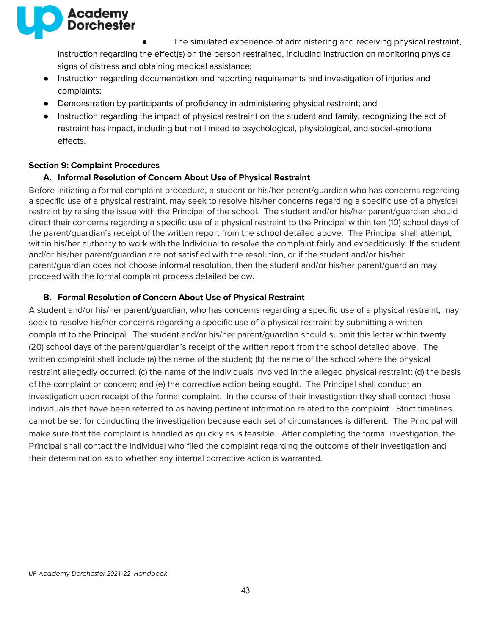

The simulated experience of administering and receiving physical restraint, instruction regarding the effect(s) on the person restrained, including instruction on monitoring physical signs of distress and obtaining medical assistance;

- Instruction regarding documentation and reporting requirements and investigation of injuries and complaints;
- Demonstration by participants of proficiency in administering physical restraint; and
- Instruction regarding the impact of physical restraint on the student and family, recognizing the act of restraint has impact, including but not limited to psychological, physiological, and social-emotional effects.

#### **Section 9: Complaint Procedures**

#### **A. Informal Resolution of Concern About Use of Physical Restraint**

Before initiating a formal complaint procedure, a student or his/her parent/guardian who has concerns regarding a specific use of a physical restraint, may seek to resolve his/her concerns regarding a specific use of a physical restraint by raising the issue with the Principal of the school. The student and/or his/her parent/guardian should direct their concerns regarding a specific use of a physical restraint to the Principal within ten (10) school days of the parent/guardian's receipt of the written report from the school detailed above. The Principal shall attempt, within his/her authority to work with the Individual to resolve the complaint fairly and expeditiously. If the student and/or his/her parent/guardian are not satisfied with the resolution, or if the student and/or his/her parent/guardian does not choose informal resolution, then the student and/or his/her parent/guardian may proceed with the formal complaint process detailed below.

#### **B. Formal Resolution of Concern About Use of Physical Restraint**

A student and/or his/her parent/guardian, who has concerns regarding a specific use of a physical restraint, may seek to resolve his/her concerns regarding a specific use of a physical restraint by submitting a written complaint to the Principal. The student and/or his/her parent/guardian should submit this letter within twenty (20) school days of the parent/guardian's receipt of the written report from the school detailed above. The written complaint shall include (a) the name of the student; (b) the name of the school where the physical restraint allegedly occurred; (c) the name of the Individuals involved in the alleged physical restraint; (d) the basis of the complaint or concern; and (e) the corrective action being sought. The Principal shall conduct an investigation upon receipt of the formal complaint. In the course of their investigation they shall contact those Individuals that have been referred to as having pertinent information related to the complaint. Strict timelines cannot be set for conducting the investigation because each set of circumstances is different. The Principal will make sure that the complaint is handled as quickly as is feasible. After completing the formal investigation, the Principal shall contact the Individual who filed the complaint regarding the outcome of their investigation and their determination as to whether any internal corrective action is warranted.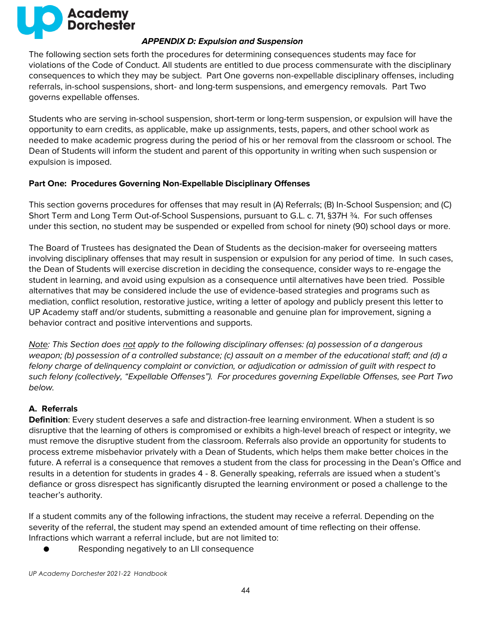

#### *APPENDIX D: Expulsion and Suspension*

The following section sets forth the procedures for determining consequences students may face for violations of the Code of Conduct. All students are entitled to due process commensurate with the disciplinary consequences to which they may be subject. Part One governs non-expellable disciplinary offenses, including referrals, in-school suspensions, short- and long-term suspensions, and emergency removals. Part Two governs expellable offenses.

Students who are serving in-school suspension, short-term or long-term suspension, or expulsion will have the opportunity to earn credits, as applicable, make up assignments, tests, papers, and other school work as needed to make academic progress during the period of his or her removal from the classroom or school. The Dean of Students will inform the student and parent of this opportunity in writing when such suspension or expulsion is imposed.

#### **Part One: Procedures Governing Non-Expellable Disciplinary Offenses**

This section governs procedures for offenses that may result in (A) Referrals; (B) In-School Suspension; and (C) Short Term and Long Term Out-of-School Suspensions, pursuant to G.L. c. 71, §37H ¾. For such offenses under this section, no student may be suspended or expelled from school for ninety (90) school days or more.

The Board of Trustees has designated the Dean of Students as the decision-maker for overseeing matters involving disciplinary offenses that may result in suspension or expulsion for any period of time. In such cases, the Dean of Students will exercise discretion in deciding the consequence, consider ways to re-engage the student in learning, and avoid using expulsion as a consequence until alternatives have been tried. Possible alternatives that may be considered include the use of evidence-based strategies and programs such as mediation, conflict resolution, restorative justice, writing a letter of apology and publicly present this letter to UP Academy staff and/or students, submitting a reasonable and genuine plan for improvement, signing a behavior contract and positive interventions and supports.

*Note: This Section does not apply to the following disciplinary offenses: (a) possession of a dangerous weapon; (b) possession of a controlled substance; (c) assault on a member of the educational staff; and (d) a felony charge of delinquency complaint or conviction, or adjudication or admission of guilt with respect to such felony (collectively, "Expellable Offenses"). For procedures governing Expellable Offenses, see Part Two below.* 

#### **A. Referrals**

**Definition**: Every student deserves a safe and distraction-free learning environment. When a student is so disruptive that the learning of others is compromised or exhibits a high-level breach of respect or integrity, we must remove the disruptive student from the classroom. Referrals also provide an opportunity for students to process extreme misbehavior privately with a Dean of Students, which helps them make better choices in the future. A referral is a consequence that removes a student from the class for processing in the Dean's Office and results in a detention for students in grades 4 - 8. Generally speaking, referrals are issued when a student's defiance or gross disrespect has significantly disrupted the learning environment or posed a challenge to the teacher's authority.

If a student commits any of the following infractions, the student may receive a referral. Depending on the severity of the referral, the student may spend an extended amount of time reflecting on their offense. Infractions which warrant a referral include, but are not limited to:

Responding negatively to an LII consequence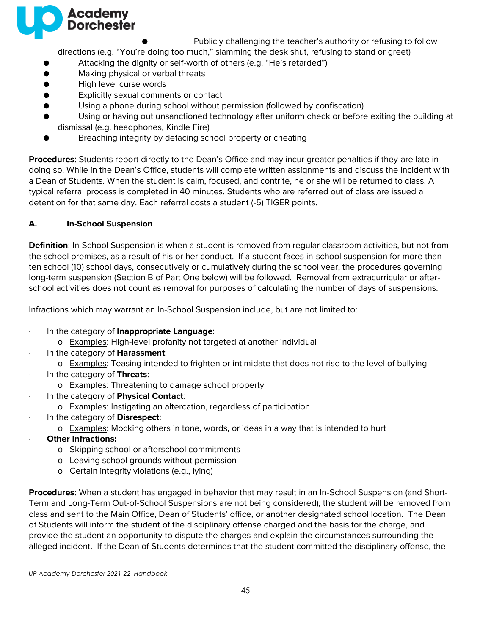

Publicly challenging the teacher's authority or refusing to follow

directions (e.g. "You're doing too much," slamming the desk shut, refusing to stand or greet)

- Attacking the dignity or self-worth of others (e.g. "He's retarded")
- Making physical or verbal threats
- High level curse words
- Explicitly sexual comments or contact
- Using a phone during school without permission (followed by confiscation)
- Using or having out unsanctioned technology after uniform check or before exiting the building at dismissal (e.g. headphones, Kindle Fire)
- Breaching integrity by defacing school property or cheating

**Procedures**: Students report directly to the Dean's Office and may incur greater penalties if they are late in doing so. While in the Dean's Office, students will complete written assignments and discuss the incident with a Dean of Students. When the student is calm, focused, and contrite, he or she will be returned to class. A typical referral process is completed in 40 minutes. Students who are referred out of class are issued a detention for that same day. Each referral costs a student (-5) TIGER points.

#### **A. In-School Suspension**

**Definition**: In-School Suspension is when a student is removed from regular classroom activities, but not from the school premises, as a result of his or her conduct. If a student faces in-school suspension for more than ten school (10) school days, consecutively or cumulatively during the school year, the procedures governing long-term suspension (Section B of Part One below) will be followed. Removal from extracurricular or afterschool activities does not count as removal for purposes of calculating the number of days of suspensions.

Infractions which may warrant an In-School Suspension include, but are not limited to:

- · In the category of **Inappropriate Language**:
	- o Examples: High-level profanity not targeted at another individual
- · In the category of **Harassment**:
	- o Examples: Teasing intended to frighten or intimidate that does not rise to the level of bullying
- · In the category of **Threats**:
	- o Examples: Threatening to damage school property
- · In the category of **Physical Contact**:
	- o Examples: Instigating an altercation, regardless of participation
- · In the category of **Disrespect**:
	- o Examples: Mocking others in tone, words, or ideas in a way that is intended to hurt
- · **Other Infractions:**
	- o Skipping school or afterschool commitments
	- o Leaving school grounds without permission
	- o Certain integrity violations (e.g., lying)

**Procedures**: When a student has engaged in behavior that may result in an In-School Suspension (and Short-Term and Long-Term Out-of-School Suspensions are not being considered), the student will be removed from class and sent to the Main Office, Dean of Students' office, or another designated school location. The Dean of Students will inform the student of the disciplinary offense charged and the basis for the charge, and provide the student an opportunity to dispute the charges and explain the circumstances surrounding the alleged incident. If the Dean of Students determines that the student committed the disciplinary offense, the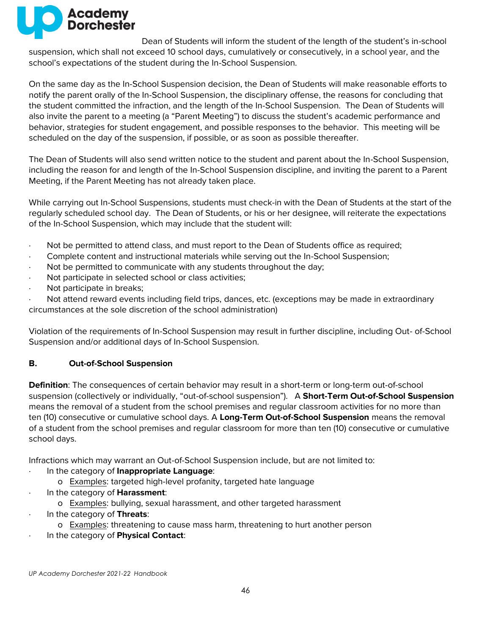

Dean of Students will inform the student of the length of the student's in-school suspension, which shall not exceed 10 school days, cumulatively or consecutively, in a school year, and the school's expectations of the student during the In-School Suspension.

On the same day as the In-School Suspension decision, the Dean of Students will make reasonable efforts to notify the parent orally of the In-School Suspension, the disciplinary offense, the reasons for concluding that the student committed the infraction, and the length of the In-School Suspension. The Dean of Students will also invite the parent to a meeting (a "Parent Meeting") to discuss the student's academic performance and behavior, strategies for student engagement, and possible responses to the behavior. This meeting will be scheduled on the day of the suspension, if possible, or as soon as possible thereafter.

The Dean of Students will also send written notice to the student and parent about the In-School Suspension, including the reason for and length of the In-School Suspension discipline, and inviting the parent to a Parent Meeting, if the Parent Meeting has not already taken place.

While carrying out In-School Suspensions, students must check-in with the Dean of Students at the start of the regularly scheduled school day. The Dean of Students, or his or her designee, will reiterate the expectations of the In-School Suspension, which may include that the student will:

- · Not be permitted to attend class, and must report to the Dean of Students office as required;
- · Complete content and instructional materials while serving out the In-School Suspension;
- Not be permitted to communicate with any students throughout the day;
- Not participate in selected school or class activities;
- Not participate in breaks;

Not attend reward events including field trips, dances, etc. (exceptions may be made in extraordinary circumstances at the sole discretion of the school administration)

Violation of the requirements of In-School Suspension may result in further discipline, including Out- of-School Suspension and/or additional days of In-School Suspension.

#### **B. Out-of-School Suspension**

**Definition**: The consequences of certain behavior may result in a short-term or long-term out-of-school suspension (collectively or individually, "out-of-school suspension"). A **Short-Term Out-of-School Suspension** means the removal of a student from the school premises and regular classroom activities for no more than ten (10) consecutive or cumulative school days. A **Long-Term Out-of-School Suspension** means the removal of a student from the school premises and regular classroom for more than ten (10) consecutive or cumulative school days.

Infractions which may warrant an Out-of-School Suspension include, but are not limited to:

- · In the category of **Inappropriate Language**:
	- o Examples: targeted high-level profanity, targeted hate language
- · In the category of **Harassment**:
	- o Examples: bullying, sexual harassment, and other targeted harassment
- · In the category of **Threats**:
	- o Examples: threatening to cause mass harm, threatening to hurt another person
- · In the category of **Physical Contact**: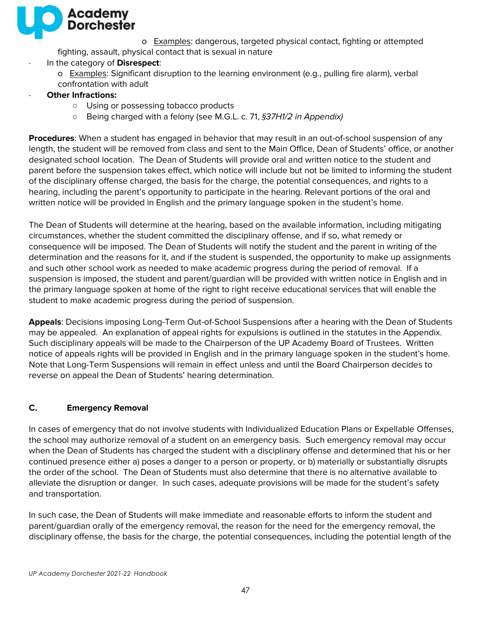

o Examples: dangerous, targeted physical contact, fighting or attempted

fighting, assault, physical contact that is sexual in nature

- · In the category of **Disrespect**:
	- o Examples: Significant disruption to the learning environment (e.g., pulling fire alarm), verbal confrontation with adult
- · **Other Infractions:**
	- Using or possessing tobacco products
	- Being charged with a felony (see M.G.L. c. 71, *§37H1/2 in Appendix)*

**Procedures**: When a student has engaged in behavior that may result in an out-of-school suspension of any length, the student will be removed from class and sent to the Main Office, Dean of Students' office, or another designated school location. The Dean of Students will provide oral and written notice to the student and parent before the suspension takes effect, which notice will include but not be limited to informing the student of the disciplinary offense charged, the basis for the charge, the potential consequences, and rights to a hearing, including the parent's opportunity to participate in the hearing. Relevant portions of the oral and written notice will be provided in English and the primary language spoken in the student's home.

The Dean of Students will determine at the hearing, based on the available information, including mitigating circumstances, whether the student committed the disciplinary offense, and if so, what remedy or consequence will be imposed. The Dean of Students will notify the student and the parent in writing of the determination and the reasons for it, and if the student is suspended, the opportunity to make up assignments and such other school work as needed to make academic progress during the period of removal. If a suspension is imposed, the student and parent/guardian will be provided with written notice in English and in the primary language spoken at home of the right to right receive educational services that will enable the student to make academic progress during the period of suspension.

**Appeals**: Decisions imposing Long-Term Out-of-School Suspensions after a hearing with the Dean of Students may be appealed. An explanation of appeal rights for expulsions is outlined in the statutes in the Appendix. Such disciplinary appeals will be made to the Chairperson of the UP Academy Board of Trustees. Written notice of appeals rights will be provided in English and in the primary language spoken in the student's home. Note that Long-Term Suspensions will remain in effect unless and until the Board Chairperson decides to reverse on appeal the Dean of Students' hearing determination.

#### **C. Emergency Removal**

In cases of emergency that do not involve students with Individualized Education Plans or Expellable Offenses, the school may authorize removal of a student on an emergency basis. Such emergency removal may occur when the Dean of Students has charged the student with a disciplinary offense and determined that his or her continued presence either a) poses a danger to a person or property, or b) materially or substantially disrupts the order of the school. The Dean of Students must also determine that there is no alternative available to alleviate the disruption or danger. In such cases, adequate provisions will be made for the student's safety and transportation.

In such case, the Dean of Students will make immediate and reasonable efforts to inform the student and parent/guardian orally of the emergency removal, the reason for the need for the emergency removal, the disciplinary offense, the basis for the charge, the potential consequences, including the potential length of the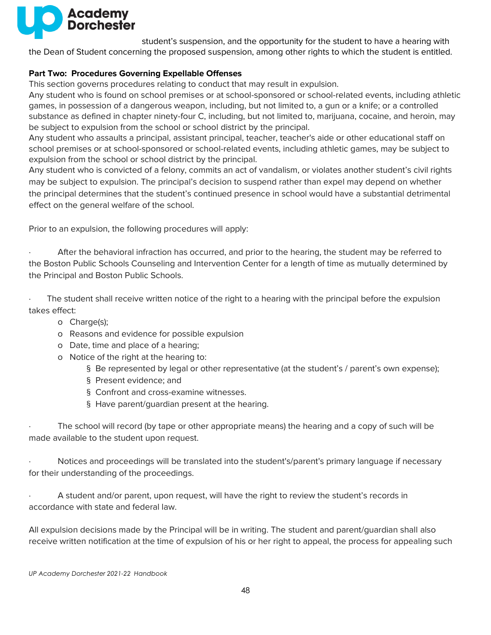

student's suspension, and the opportunity for the student to have a hearing with

the Dean of Student concerning the proposed suspension, among other rights to which the student is entitled.

#### **Part Two: Procedures Governing Expellable Offenses**

This section governs procedures relating to conduct that may result in expulsion.

Any student who is found on school premises or at school-sponsored or school-related events, including athletic games, in possession of a dangerous weapon, including, but not limited to, a gun or a knife; or a controlled substance as defined in chapter ninety-four C, including, but not limited to, marijuana, cocaine, and heroin, may be subject to expulsion from the school or school district by the principal.

Any student who assaults a principal, assistant principal, teacher, teacher's aide or other educational staff on school premises or at school-sponsored or school-related events, including athletic games, may be subject to expulsion from the school or school district by the principal.

Any student who is convicted of a felony, commits an act of vandalism, or violates another student's civil rights may be subject to expulsion. The principal's decision to suspend rather than expel may depend on whether the principal determines that the student's continued presence in school would have a substantial detrimental effect on the general welfare of the school.

Prior to an expulsion, the following procedures will apply:

After the behavioral infraction has occurred, and prior to the hearing, the student may be referred to the Boston Public Schools Counseling and Intervention Center for a length of time as mutually determined by the Principal and Boston Public Schools.

The student shall receive written notice of the right to a hearing with the principal before the expulsion takes effect:

- o Charge(s);
- o Reasons and evidence for possible expulsion
- o Date, time and place of a hearing;
- o Notice of the right at the hearing to:
	- § Be represented by legal or other representative (at the student's / parent's own expense);
	- § Present evidence; and
	- § Confront and cross-examine witnesses.
	- § Have parent/guardian present at the hearing.

The school will record (by tape or other appropriate means) the hearing and a copy of such will be made available to the student upon request.

· Notices and proceedings will be translated into the student's/parent's primary language if necessary for their understanding of the proceedings.

· A student and/or parent, upon request, will have the right to review the student's records in accordance with state and federal law.

All expulsion decisions made by the Principal will be in writing. The student and parent/guardian shall also receive written notification at the time of expulsion of his or her right to appeal, the process for appealing such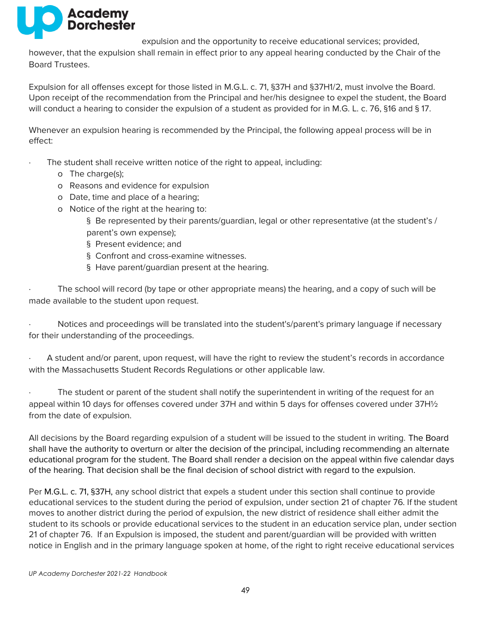

expulsion and the opportunity to receive educational services; provided,

however, that the expulsion shall remain in effect prior to any appeal hearing conducted by the Chair of the Board Trustees.

Expulsion for all offenses except for those listed in M.G.L. c. 71, §37H and §37H1/2, must involve the Board. Upon receipt of the recommendation from the Principal and her/his designee to expel the student, the Board will conduct a hearing to consider the expulsion of a student as provided for in M.G. L. c. 76, §16 and § 17.

Whenever an expulsion hearing is recommended by the Principal, the following appeal process will be in effect:

The student shall receive written notice of the right to appeal, including:

- o The charge(s);
- o Reasons and evidence for expulsion
- o Date, time and place of a hearing;
- o Notice of the right at the hearing to:

§ Be represented by their parents/guardian, legal or other representative (at the student's / parent's own expense);

- § Present evidence; and
- § Confront and cross-examine witnesses.
- § Have parent/guardian present at the hearing.

The school will record (by tape or other appropriate means) the hearing, and a copy of such will be made available to the student upon request.

Notices and proceedings will be translated into the student's/parent's primary language if necessary for their understanding of the proceedings.

A student and/or parent, upon request, will have the right to review the student's records in accordance with the Massachusetts Student Records Regulations or other applicable law.

The student or parent of the student shall notify the superintendent in writing of the request for an appeal within 10 days for offenses covered under 37H and within 5 days for offenses covered under 37H½ from the date of expulsion.

All decisions by the Board regarding expulsion of a student will be issued to the student in writing. The Board shall have the authority to overturn or alter the decision of the principal, including recommending an alternate educational program for the student. The Board shall render a decision on the appeal within five calendar days of the hearing. That decision shall be the final decision of school district with regard to the expulsion.

Per M.G.L. c. 71, §37H, any school district that expels a student under this section shall continue to provide educational services to the student during the period of expulsion, under section 21 of chapter 76. If the student moves to another district during the period of expulsion, the new district of residence shall either admit the student to its schools or provide educational services to the student in an education service plan, under section 21 of chapter 76. If an Expulsion is imposed, the student and parent/guardian will be provided with written notice in English and in the primary language spoken at home, of the right to right receive educational services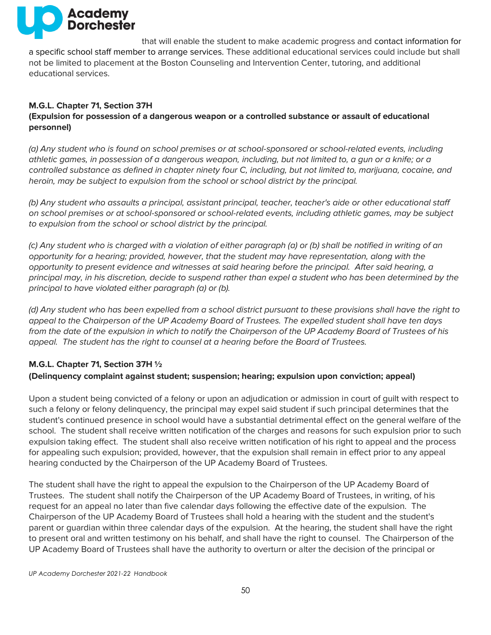

that will enable the student to make academic progress and contact information for a specific school staff member to arrange services. These additional educational services could include but shall not be limited to placement at the Boston Counseling and Intervention Center, tutoring, and additional educational services.

#### **M.G.L. Chapter 71, Section 37H (Expulsion for possession of a dangerous weapon or a controlled substance or assault of educational personnel)**

*(a) Any student who is found on school premises or at school-sponsored or school-related events, including athletic games, in possession of a dangerous weapon, including, but not limited to, a gun or a knife; or a controlled substance as defined in chapter ninety four C, including, but not limited to, marijuana, cocaine, and heroin, may be subject to expulsion from the school or school district by the principal.*

*(b) Any student who assaults a principal, assistant principal, teacher, teacher's aide or other educational staff on school premises or at school-sponsored or school-related events, including athletic games, may be subject to expulsion from the school or school district by the principal.*

*(c) Any student who is charged with a violation of either paragraph (a) or (b) shall be notified in writing of an opportunity for a hearing; provided, however, that the student may have representation, along with the opportunity to present evidence and witnesses at said hearing before the principal. After said hearing, a principal may, in his discretion, decide to suspend rather than expel a student who has been determined by the principal to have violated either paragraph (a) or (b).*

*(d) Any student who has been expelled from a school district pursuant to these provisions shall have the right to appeal to the Chairperson of the UP Academy Board of Trustees. The expelled student shall have ten days from the date of the expulsion in which to notify the Chairperson of the UP Academy Board of Trustees of his appeal. The student has the right to counsel at a hearing before the Board of Trustees.* 

#### **M.G.L. Chapter 71, Section 37H ½**

#### **(Delinquency complaint against student; suspension; hearing; expulsion upon conviction; appeal)**

Upon a student being convicted of a felony or upon an adjudication or admission in court of guilt with respect to such a felony or felony delinquency, the principal may expel said student if such principal determines that the student's continued presence in school would have a substantial detrimental effect on the general welfare of the school. The student shall receive written notification of the charges and reasons for such expulsion prior to such expulsion taking effect. The student shall also receive written notification of his right to appeal and the process for appealing such expulsion; provided, however, that the expulsion shall remain in effect prior to any appeal hearing conducted by the Chairperson of the UP Academy Board of Trustees.

The student shall have the right to appeal the expulsion to the Chairperson of the UP Academy Board of Trustees. The student shall notify the Chairperson of the UP Academy Board of Trustees, in writing, of his request for an appeal no later than five calendar days following the effective date of the expulsion. The Chairperson of the UP Academy Board of Trustees shall hold a hearing with the student and the student's parent or guardian within three calendar days of the expulsion. At the hearing, the student shall have the right to present oral and written testimony on his behalf, and shall have the right to counsel. The Chairperson of the UP Academy Board of Trustees shall have the authority to overturn or alter the decision of the principal or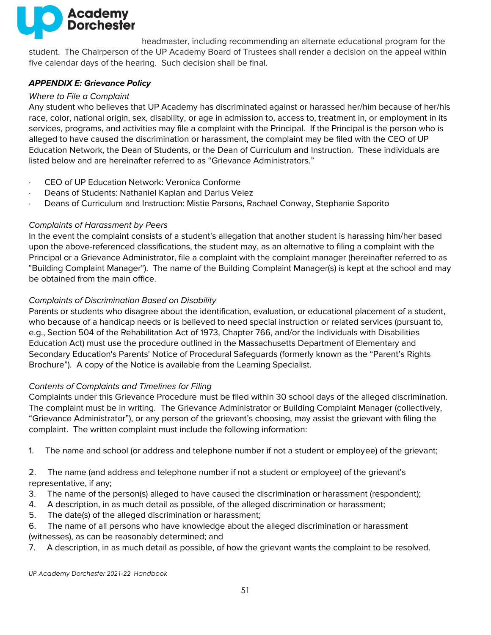

headmaster, including recommending an alternate educational program for the student. The Chairperson of the UP Academy Board of Trustees shall render a decision on the appeal within five calendar days of the hearing. Such decision shall be final.

#### *APPENDIX E: Grievance Policy*

#### *Where to File a Complaint*

Any student who believes that UP Academy has discriminated against or harassed her/him because of her/his race, color, national origin, sex, disability, or age in admission to, access to, treatment in, or employment in its services, programs, and activities may file a complaint with the Principal. If the Principal is the person who is alleged to have caused the discrimination or harassment, the complaint may be filed with the CEO of UP Education Network, the Dean of Students, or the Dean of Curriculum and Instruction. These individuals are listed below and are hereinafter referred to as "Grievance Administrators."

- · CEO of UP Education Network: Veronica Conforme
- Deans of Students: Nathaniel Kaplan and Darius Velez
- · Deans of Curriculum and Instruction: Mistie Parsons, Rachael Conway, Stephanie Saporito

#### *Complaints of Harassment by Peers*

In the event the complaint consists of a student's allegation that another student is harassing him/her based upon the above-referenced classifications, the student may, as an alternative to filing a complaint with the Principal or a Grievance Administrator, file a complaint with the complaint manager (hereinafter referred to as "Building Complaint Manager"). The name of the Building Complaint Manager(s) is kept at the school and may be obtained from the main office.

#### *Complaints of Discrimination Based on Disability*

Parents or students who disagree about the identification, evaluation, or educational placement of a student, who because of a handicap needs or is believed to need special instruction or related services (pursuant to, e.g., Section 504 of the Rehabilitation Act of 1973, Chapter 766, and/or the Individuals with Disabilities Education Act) must use the procedure outlined in the Massachusetts Department of Elementary and Secondary Education's Parents' Notice of Procedural Safeguards (formerly known as the "Parent's Rights Brochure"). A copy of the Notice is available from the Learning Specialist.

#### *Contents of Complaints and Timelines for Filing*

Complaints under this Grievance Procedure must be filed within 30 school days of the alleged discrimination. The complaint must be in writing. The Grievance Administrator or Building Complaint Manager (collectively, "Grievance Administrator"), or any person of the grievant's choosing, may assist the grievant with filing the complaint. The written complaint must include the following information:

1. The name and school (or address and telephone number if not a student or employee) of the grievant;

2. The name (and address and telephone number if not a student or employee) of the grievant's representative, if any;

- 3. The name of the person(s) alleged to have caused the discrimination or harassment (respondent);
- 4. A description, in as much detail as possible, of the alleged discrimination or harassment;
- 5. The date(s) of the alleged discrimination or harassment;
- 6. The name of all persons who have knowledge about the alleged discrimination or harassment (witnesses), as can be reasonably determined; and
- 7. A description, in as much detail as possible, of how the grievant wants the complaint to be resolved.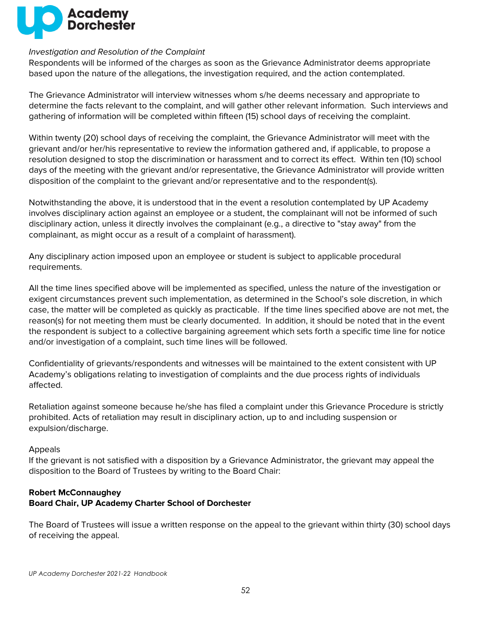

#### *Investigation and Resolution of the Complaint*

Respondents will be informed of the charges as soon as the Grievance Administrator deems appropriate based upon the nature of the allegations, the investigation required, and the action contemplated.

The Grievance Administrator will interview witnesses whom s/he deems necessary and appropriate to determine the facts relevant to the complaint, and will gather other relevant information. Such interviews and gathering of information will be completed within fifteen (15) school days of receiving the complaint.

Within twenty (20) school days of receiving the complaint, the Grievance Administrator will meet with the grievant and/or her/his representative to review the information gathered and, if applicable, to propose a resolution designed to stop the discrimination or harassment and to correct its effect. Within ten (10) school days of the meeting with the grievant and/or representative, the Grievance Administrator will provide written disposition of the complaint to the grievant and/or representative and to the respondent(s).

Notwithstanding the above, it is understood that in the event a resolution contemplated by UP Academy involves disciplinary action against an employee or a student, the complainant will not be informed of such disciplinary action, unless it directly involves the complainant (e.g., a directive to "stay away" from the complainant, as might occur as a result of a complaint of harassment).

Any disciplinary action imposed upon an employee or student is subject to applicable procedural requirements.

All the time lines specified above will be implemented as specified, unless the nature of the investigation or exigent circumstances prevent such implementation, as determined in the School's sole discretion, in which case, the matter will be completed as quickly as practicable. If the time lines specified above are not met, the reason(s) for not meeting them must be clearly documented. In addition, it should be noted that in the event the respondent is subject to a collective bargaining agreement which sets forth a specific time line for notice and/or investigation of a complaint, such time lines will be followed.

Confidentiality of grievants/respondents and witnesses will be maintained to the extent consistent with UP Academy's obligations relating to investigation of complaints and the due process rights of individuals affected.

Retaliation against someone because he/she has filed a complaint under this Grievance Procedure is strictly prohibited. Acts of retaliation may result in disciplinary action, up to and including suspension or expulsion/discharge.

#### Appeals

If the grievant is not satisfied with a disposition by a Grievance Administrator, the grievant may appeal the disposition to the Board of Trustees by writing to the Board Chair:

#### **Robert McConnaughey Board Chair, UP Academy Charter School of Dorchester**

The Board of Trustees will issue a written response on the appeal to the grievant within thirty (30) school days of receiving the appeal.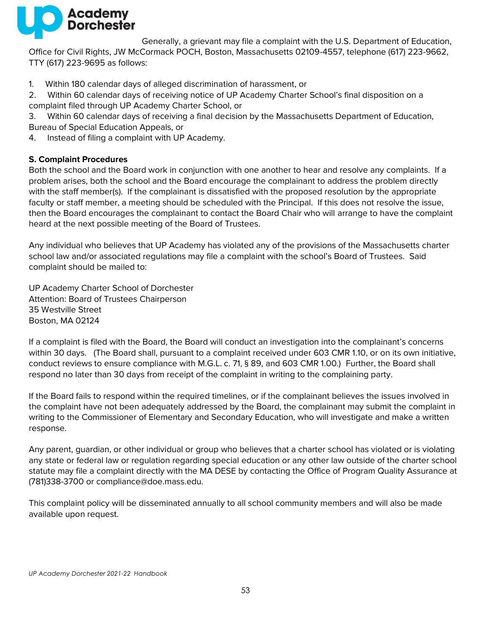

Generally, a grievant may file a complaint with the U.S. Department of Education,

Office for Civil Rights, JW McCormack POCH, Boston, Massachusetts 02109-4557, telephone (617) 223-9662, TTY (617) 223-9695 as follows:

1. Within 180 calendar days of alleged discrimination of harassment, or

2. Within 60 calendar days of receiving notice of UP Academy Charter School's final disposition on a complaint filed through UP Academy Charter School, or

3. Within 60 calendar days of receiving a final decision by the Massachusetts Department of Education, Bureau of Special Education Appeals, or

4. Instead of filing a complaint with UP Academy.

#### **S. Complaint Procedures**

Both the school and the Board work in conjunction with one another to hear and resolve any complaints. If a problem arises, both the school and the Board encourage the complainant to address the problem directly with the staff member(s). If the complainant is dissatisfied with the proposed resolution by the appropriate faculty or staff member, a meeting should be scheduled with the Principal. If this does not resolve the issue, then the Board encourages the complainant to contact the Board Chair who will arrange to have the complaint heard at the next possible meeting of the Board of Trustees.

Any individual who believes that UP Academy has violated any of the provisions of the Massachusetts charter school law and/or associated regulations may file a complaint with the school's Board of Trustees. Said complaint should be mailed to:

UP Academy Charter School of Dorchester Attention: Board of Trustees Chairperson 35 Westville Street Boston, MA 02124

If a complaint is filed with the Board, the Board will conduct an investigation into the complainant's concerns within 30 days. (The Board shall, pursuant to a complaint received under 603 CMR 1.10, or on its own initiative, conduct reviews to ensure compliance with M.G.L. c. 71, § 89, and 603 CMR 1.00.) Further, the Board shall respond no later than 30 days from receipt of the complaint in writing to the complaining party.

If the Board fails to respond within the required timelines, or if the complainant believes the issues involved in the complaint have not been adequately addressed by the Board, the complainant may submit the complaint in writing to the Commissioner of Elementary and Secondary Education, who will investigate and make a written response.

Any parent, guardian, or other individual or group who believes that a charter school has violated or is violating any state or federal law or regulation regarding special education or any other law outside of the charter school statute may file a complaint directly with the MA DESE by contacting the Office of Program Quality Assurance at (781)338-3700 or compliance@doe.mass.edu.

This complaint policy will be disseminated annually to all school community members and will also be made available upon request.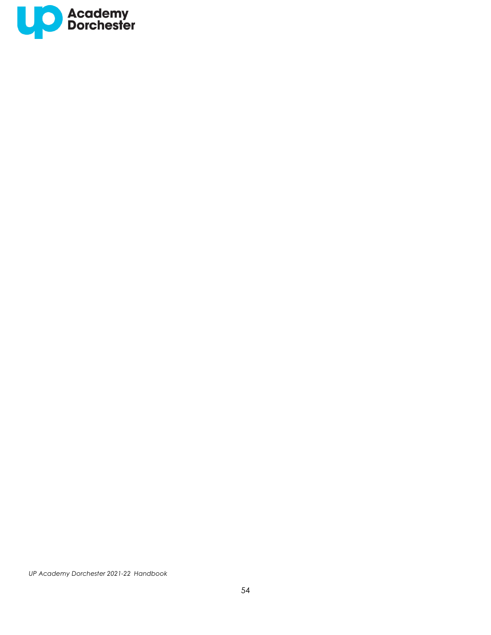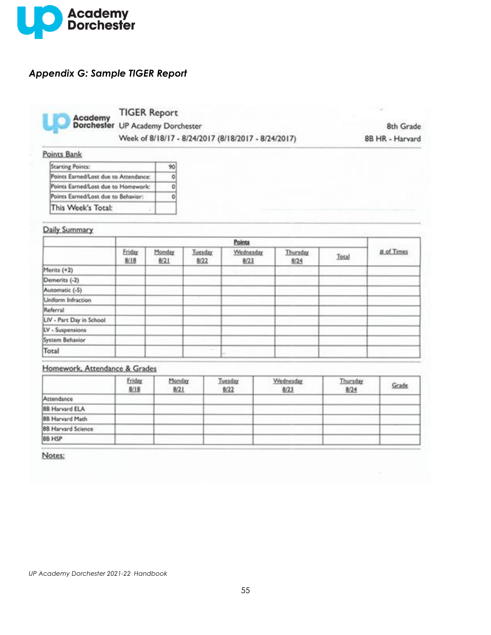

## *Appendix G: Sample TIGER Report*



## **TIGER Report** Academy<br>Dorchester UP Academy Dorchester

Week of 8/18/17 - 8/24/2017 (8/18/2017 - 8/24/2017)

8th Grade 8B HR - Harvard

#### Points Bank

| <b>Starting Points:</b>               |   |
|---------------------------------------|---|
| Points Earned/Lost due to Attendance: | ٥ |
| Points Earned/Lost due to Homework:   | ö |
| Points Earned/Lost due to Behavior:   | ö |
| This Week's Total:                    |   |

#### Daily Summary

|                          | Points         |                |                 |                   |                  |       |            |
|--------------------------|----------------|----------------|-----------------|-------------------|------------------|-------|------------|
|                          | Friday<br>8/18 | Monday<br>8/21 | Tuesday<br>8/22 | Wednesday<br>8/23 | Thursday<br>8/24 | Total | # of Times |
| Merits (+2)              |                |                |                 |                   |                  |       |            |
| Demerits (-2)            |                |                |                 |                   |                  |       |            |
| Automatic (-5)           |                |                |                 |                   |                  |       |            |
| Uniform Infraction       |                |                |                 |                   |                  |       |            |
| Referral                 |                |                |                 |                   |                  |       |            |
| LIV - Part Day in School |                |                |                 |                   |                  |       |            |
| LV - Suspensions         |                |                |                 |                   |                  |       |            |
| System Behavior          |                |                |                 |                   |                  |       |            |
| Total                    |                |                |                 |                   |                  |       |            |

#### Homework, Attendance & Grades

|                    | Friday<br>8/18 | Monday<br>8/21 | Tuesday<br>8/22 | Wednesday<br>8/23 | Thursday<br>8/24 | Grade |
|--------------------|----------------|----------------|-----------------|-------------------|------------------|-------|
| Attendance         |                |                |                 |                   |                  |       |
| 8B Harvard ELA     |                |                |                 |                   |                  |       |
| 88 Harvard Mach    |                |                |                 |                   |                  |       |
| 8B Harvard Science |                |                |                 |                   |                  |       |
| <b>8B HSP</b>      |                |                |                 |                   |                  |       |

Notes: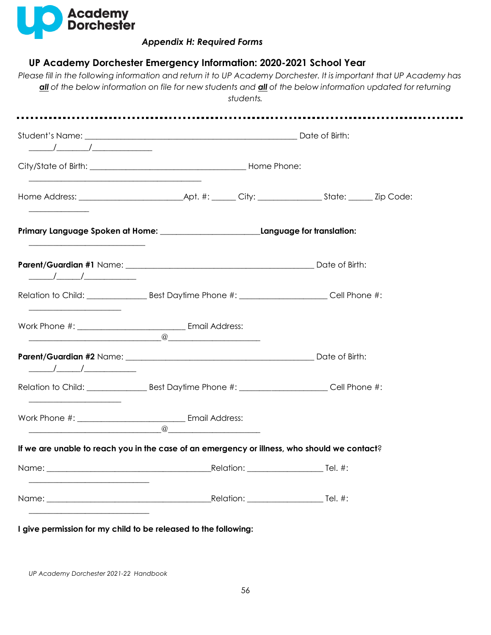

## *Appendix H: Required Forms*

## **UP Academy Dorchester Emergency Information: 2020-2021 School Year**

|                                                                                                                                                                                                                                                                                                                     | students.                                                                                    | Please fill in the following information and return it to UP Academy Dorchester. It is important that UP Academy has<br>all of the below information on file for new students and all of the below information updated for returning |
|---------------------------------------------------------------------------------------------------------------------------------------------------------------------------------------------------------------------------------------------------------------------------------------------------------------------|----------------------------------------------------------------------------------------------|--------------------------------------------------------------------------------------------------------------------------------------------------------------------------------------------------------------------------------------|
| $\frac{1}{2}$ $\frac{1}{2}$ $\frac{1}{2}$ $\frac{1}{2}$ $\frac{1}{2}$ $\frac{1}{2}$ $\frac{1}{2}$ $\frac{1}{2}$ $\frac{1}{2}$ $\frac{1}{2}$ $\frac{1}{2}$ $\frac{1}{2}$ $\frac{1}{2}$ $\frac{1}{2}$ $\frac{1}{2}$ $\frac{1}{2}$ $\frac{1}{2}$ $\frac{1}{2}$ $\frac{1}{2}$ $\frac{1}{2}$ $\frac{1}{2}$ $\frac{1}{2}$ |                                                                                              |                                                                                                                                                                                                                                      |
| <u> 1989 - Johann Barn, amerikan bernama di sebagai bernama di sebagai bernama di sebagai bernama di sebagai bern</u>                                                                                                                                                                                               |                                                                                              |                                                                                                                                                                                                                                      |
|                                                                                                                                                                                                                                                                                                                     |                                                                                              |                                                                                                                                                                                                                                      |
|                                                                                                                                                                                                                                                                                                                     | Primary Language Spoken at Home: ______________________________Language for translation:     |                                                                                                                                                                                                                                      |
| $\frac{1}{2}$ $\frac{1}{2}$ $\frac{1}{2}$ $\frac{1}{2}$ $\frac{1}{2}$ $\frac{1}{2}$ $\frac{1}{2}$ $\frac{1}{2}$ $\frac{1}{2}$ $\frac{1}{2}$ $\frac{1}{2}$ $\frac{1}{2}$ $\frac{1}{2}$ $\frac{1}{2}$ $\frac{1}{2}$ $\frac{1}{2}$ $\frac{1}{2}$ $\frac{1}{2}$ $\frac{1}{2}$ $\frac{1}{2}$ $\frac{1}{2}$ $\frac{1}{2}$ |                                                                                              |                                                                                                                                                                                                                                      |
|                                                                                                                                                                                                                                                                                                                     |                                                                                              |                                                                                                                                                                                                                                      |
|                                                                                                                                                                                                                                                                                                                     |                                                                                              |                                                                                                                                                                                                                                      |
| $\frac{1}{\sqrt{2\pi}}$                                                                                                                                                                                                                                                                                             |                                                                                              |                                                                                                                                                                                                                                      |
| <u> 1980 - Jan James James, martin amerikan ba</u>                                                                                                                                                                                                                                                                  |                                                                                              |                                                                                                                                                                                                                                      |
|                                                                                                                                                                                                                                                                                                                     | $\circleda$                                                                                  |                                                                                                                                                                                                                                      |
|                                                                                                                                                                                                                                                                                                                     | If we are unable to reach you in the case of an emergency or illness, who should we contact? |                                                                                                                                                                                                                                      |
|                                                                                                                                                                                                                                                                                                                     |                                                                                              |                                                                                                                                                                                                                                      |
|                                                                                                                                                                                                                                                                                                                     |                                                                                              |                                                                                                                                                                                                                                      |
| <u> 1980 - Johann Barbara, martin a</u>                                                                                                                                                                                                                                                                             | I give permission for my child to be released to the following:                              |                                                                                                                                                                                                                                      |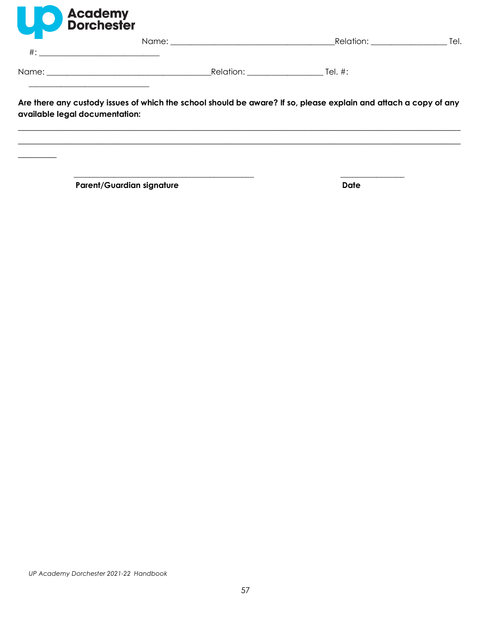

\_\_\_\_\_\_\_\_\_\_\_\_\_\_\_\_\_\_\_\_\_\_\_\_\_\_\_\_\_\_

 $\overline{\phantom{a}}$ 

|   | $1 \sim 2 \sim 2$<br>une | ~ ה<br>$-1 - 1$<br>λr | lel. |
|---|--------------------------|-----------------------|------|
| # |                          |                       |      |

| Name: | kelation – | ັ |  |
|-------|------------|---|--|
|       |            |   |  |

**Are there any custody issues of which the school should be aware? If so, please explain and attach a copy of any available legal documentation:**

 $\_$  , and the set of the set of the set of the set of the set of the set of the set of the set of the set of the set of the set of the set of the set of the set of the set of the set of the set of the set of the set of th  $\_$  , and the set of the set of the set of the set of the set of the set of the set of the set of the set of the set of the set of the set of the set of the set of the set of the set of the set of the set of the set of th

 $\frac{1}{2}$  ,  $\frac{1}{2}$  ,  $\frac{1}{2}$  ,  $\frac{1}{2}$  ,  $\frac{1}{2}$  ,  $\frac{1}{2}$  ,  $\frac{1}{2}$  ,  $\frac{1}{2}$  ,  $\frac{1}{2}$  ,  $\frac{1}{2}$  ,  $\frac{1}{2}$  ,  $\frac{1}{2}$  ,  $\frac{1}{2}$  ,  $\frac{1}{2}$  ,  $\frac{1}{2}$  ,  $\frac{1}{2}$  ,  $\frac{1}{2}$  ,  $\frac{1}{2}$  ,  $\frac{1$ 

Parent/Guardian signature **Date** Date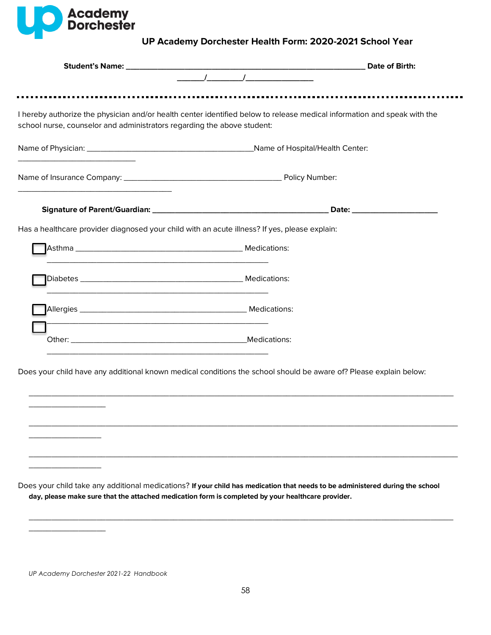

**UP Academy Dorchester Health Form: 2020-2021 School Year**

|                                                                                                                                                                                                     | <b>Date of Birth:</b>                      |   |
|-----------------------------------------------------------------------------------------------------------------------------------------------------------------------------------------------------|--------------------------------------------|---|
|                                                                                                                                                                                                     | $\begin{array}{ccc} & I & I & \end{array}$ |   |
|                                                                                                                                                                                                     |                                            | . |
|                                                                                                                                                                                                     |                                            |   |
| I hereby authorize the physician and/or health center identified below to release medical information and speak with the<br>school nurse, counselor and administrators regarding the above student: |                                            |   |
|                                                                                                                                                                                                     |                                            |   |
|                                                                                                                                                                                                     |                                            |   |
|                                                                                                                                                                                                     |                                            |   |
|                                                                                                                                                                                                     |                                            |   |
|                                                                                                                                                                                                     |                                            |   |
|                                                                                                                                                                                                     |                                            |   |
|                                                                                                                                                                                                     |                                            |   |
| Has a healthcare provider diagnosed your child with an acute illness? If yes, please explain:                                                                                                       |                                            |   |
|                                                                                                                                                                                                     |                                            |   |
|                                                                                                                                                                                                     |                                            |   |
|                                                                                                                                                                                                     |                                            |   |
|                                                                                                                                                                                                     |                                            |   |
|                                                                                                                                                                                                     |                                            |   |
|                                                                                                                                                                                                     |                                            |   |
|                                                                                                                                                                                                     |                                            |   |
|                                                                                                                                                                                                     |                                            |   |
| Does your child have any additional known medical conditions the school should be aware of? Please explain below:                                                                                   |                                            |   |
|                                                                                                                                                                                                     |                                            |   |
|                                                                                                                                                                                                     |                                            |   |
|                                                                                                                                                                                                     |                                            |   |
|                                                                                                                                                                                                     |                                            |   |
|                                                                                                                                                                                                     |                                            |   |
|                                                                                                                                                                                                     |                                            |   |
|                                                                                                                                                                                                     |                                            |   |

Does your child take any additional medications? **If your child has medication that needs to be administered during the school day, please make sure that the attached medication form is completed by your healthcare provider.** 

 $\Box$ 

*UP Academy Dorchester 2021-22 Handbook* 

\_\_\_\_\_\_\_\_\_\_\_\_\_\_\_\_\_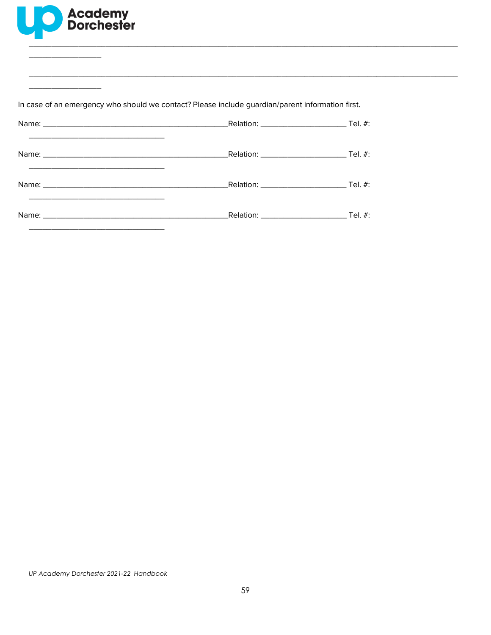

 $\overline{\phantom{a}}$ 

In case of an emergency who should we contact? Please include guardian/parent information first.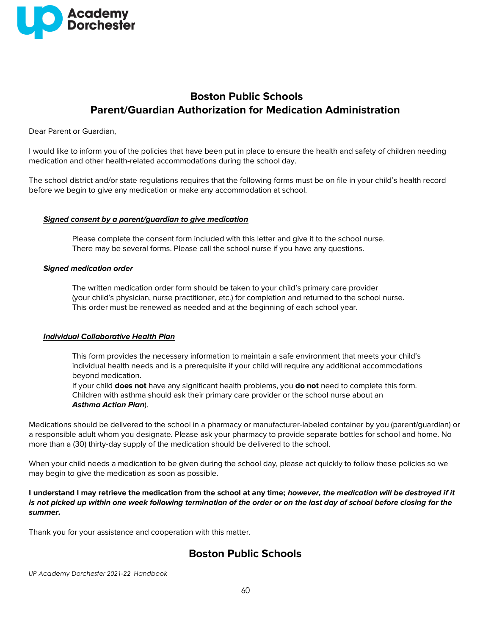

## **Boston Public Schools Parent/Guardian Authorization for Medication Administration**

Dear Parent or Guardian,

I would like to inform you of the policies that have been put in place to ensure the health and safety of children needing medication and other health-related accommodations during the school day.

The school district and/or state regulations requires that the following forms must be on file in your child's health record before we begin to give any medication or make any accommodation at school.

#### *Signed consent by a parent/guardian to give medication*

Please complete the consent form included with this letter and give it to the school nurse. There may be several forms. Please call the school nurse if you have any questions.

#### *Signed medication order*

The written medication order form should be taken to your child's primary care provider (your child's physician, nurse practitioner, etc.) for completion and returned to the school nurse. This order must be renewed as needed and at the beginning of each school year.

#### *Individual Collaborative Health Plan*

This form provides the necessary information to maintain a safe environment that meets your child's individual health needs and is a prerequisite if your child will require any additional accommodations beyond medication.

If your child **does not** have any significant health problems, you **do not** need to complete this form. Children with asthma should ask their primary care provider or the school nurse about an *Asthma Action Plan*).

Medications should be delivered to the school in a pharmacy or manufacturer-labeled container by you (parent/guardian) or a responsible adult whom you designate. Please ask your pharmacy to provide separate bottles for school and home. No more than a (30) thirty-day supply of the medication should be delivered to the school.

When your child needs a medication to be given during the school day, please act quickly to follow these policies so we may begin to give the medication as soon as possible.

#### **I understand I may retrieve the medication from the school at any time;** *however, the medication will be destroyed if it is not picked up within one week following termination of the order or on the last day of school before closing for the summer.*

Thank you for your assistance and cooperation with this matter.

## **Boston Public Schools**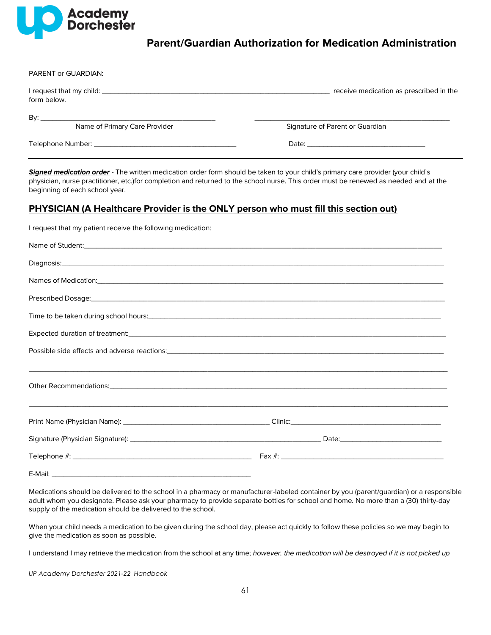

## **Parent/Guardian Authorization for Medication Administration**

| <b>PARENT or GUARDIAN:</b>    |                                         |
|-------------------------------|-----------------------------------------|
| form below.                   | receive medication as prescribed in the |
| Bv:                           |                                         |
| Name of Primary Care Provider | Signature of Parent or Guardian         |

Telephone Number: \_\_\_\_\_\_\_\_\_\_\_\_\_\_\_\_\_\_\_\_\_\_\_\_\_\_\_\_\_\_\_\_\_\_\_ Date: \_\_\_\_\_\_\_\_\_\_\_\_\_\_\_\_\_\_\_\_\_\_\_\_\_\_\_\_\_

*Signed medication order -* The written medication order form should be taken to your child's primary care provider (your child's physician, nurse practitioner, etc.)for completion and returned to the school nurse. This order must be renewed as needed and at the beginning of each school year.

#### **PHYSICIAN (A Healthcare Provider is the ONLY person who must fill this section out)**

I request that my patient receive the following medication:

| ,我们也不会有什么?""我们的人,我们也不会有什么?""我们的人,我们也不会有什么?""我们的人,我们也不会有什么?""我们的人,我们也不会有什么?""我们的人 |  |
|----------------------------------------------------------------------------------|--|
| ,我们也不会有什么?""我们的人,我们也不会有什么?""我们的人,我们也不会有什么?""我们的人,我们也不会有什么?""我们的人,我们也不会有什么?""我们的人 |  |
|                                                                                  |  |
|                                                                                  |  |
|                                                                                  |  |

Medications should be delivered to the school in a pharmacy or manufacturer-labeled container by you (parent/guardian) or a responsible adult whom you designate. Please ask your pharmacy to provide separate bottles for school and home. No more than a (30) thirty-day supply of the medication should be delivered to the school.

When your child needs a medication to be given during the school day, please act quickly to follow these policies so we may begin to give the medication as soon as possible.

I understand I may retrieve the medication from the school at any time; *however, the medication will be destroyed if it is not picked up*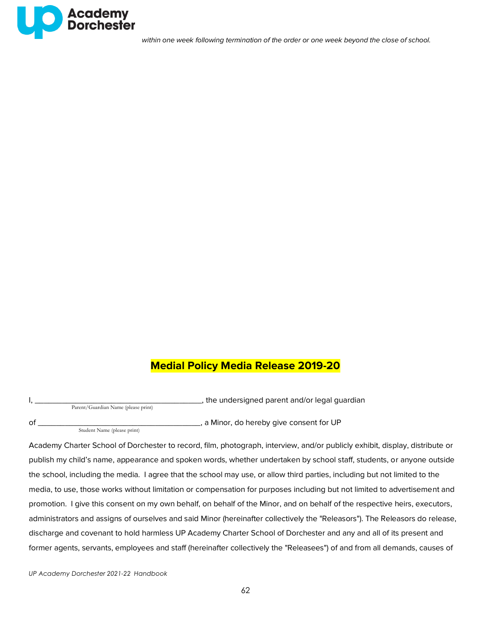

*within one week following termination of the order or one week beyond the close of school.*

## **Medial Policy Media Release 2019-20**

I, \_\_\_\_\_\_\_\_\_\_\_\_\_\_\_\_\_\_\_\_\_\_\_\_\_\_\_\_\_\_\_\_\_\_\_\_\_, the undersigned parent and/or legal guardian Parent/Guardian Name (please print)

of \_\_\_\_\_\_\_\_\_\_\_\_\_\_\_\_\_\_\_\_\_\_\_\_\_\_\_\_\_\_\_\_\_\_\_\_, a Minor, do hereby give consent for UP

Student Name (please print)

Academy Charter School of Dorchester to record, film, photograph, interview, and/or publicly exhibit, display, distribute or publish my child's name, appearance and spoken words, whether undertaken by school staff, students, or anyone outside the school, including the media. I agree that the school may use, or allow third parties, including but not limited to the media, to use, those works without limitation or compensation for purposes including but not limited to advertisement and promotion. I give this consent on my own behalf, on behalf of the Minor, and on behalf of the respective heirs, executors, administrators and assigns of ourselves and said Minor (hereinafter collectively the "Releasors"). The Releasors do release, discharge and covenant to hold harmless UP Academy Charter School of Dorchester and any and all of its present and former agents, servants, employees and staff (hereinafter collectively the "Releasees") of and from all demands, causes of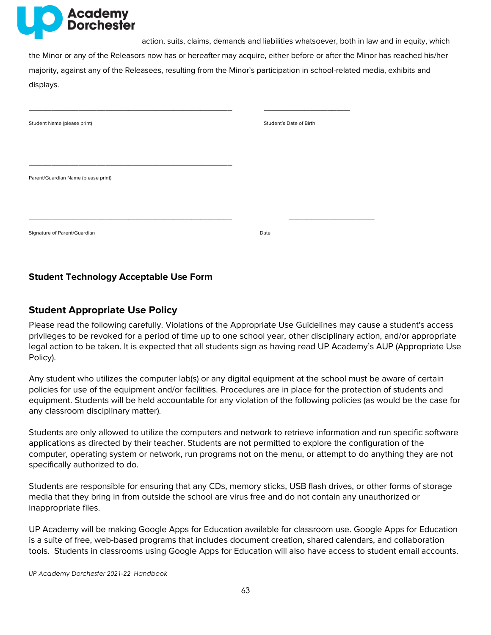

action, suits, claims, demands and liabilities whatsoever, both in law and in equity, which

the Minor or any of the Releasors now has or hereafter may acquire, either before or after the Minor has reached his/her majority, against any of the Releasees, resulting from the Minor's participation in school-related media, exhibits and displays.

| Student Name (please print)         | Student's Date of Birth |  |
|-------------------------------------|-------------------------|--|
|                                     |                         |  |
|                                     |                         |  |
| Parent/Guardian Name (please print) |                         |  |
|                                     |                         |  |
|                                     |                         |  |
| Signature of Parent/Guardian        | Date                    |  |
|                                     |                         |  |

#### **Student Technology Acceptable Use Form**

## **Student Appropriate Use Policy**

Please read the following carefully. Violations of the Appropriate Use Guidelines may cause a student's access privileges to be revoked for a period of time up to one school year, other disciplinary action, and/or appropriate legal action to be taken. It is expected that all students sign as having read UP Academy's AUP (Appropriate Use Policy).

Any student who utilizes the computer lab(s) or any digital equipment at the school must be aware of certain policies for use of the equipment and/or facilities. Procedures are in place for the protection of students and equipment. Students will be held accountable for any violation of the following policies (as would be the case for any classroom disciplinary matter).

Students are only allowed to utilize the computers and network to retrieve information and run specific software applications as directed by their teacher. Students are not permitted to explore the configuration of the computer, operating system or network, run programs not on the menu, or attempt to do anything they are not specifically authorized to do.

Students are responsible for ensuring that any CDs, memory sticks, USB flash drives, or other forms of storage media that they bring in from outside the school are virus free and do not contain any unauthorized or inappropriate files.

UP Academy will be making Google Apps for Education available for classroom use. Google Apps for Education is a suite of free, web-based programs that includes document creation, shared calendars, and collaboration tools. Students in classrooms using Google Apps for Education will also have access to student email accounts.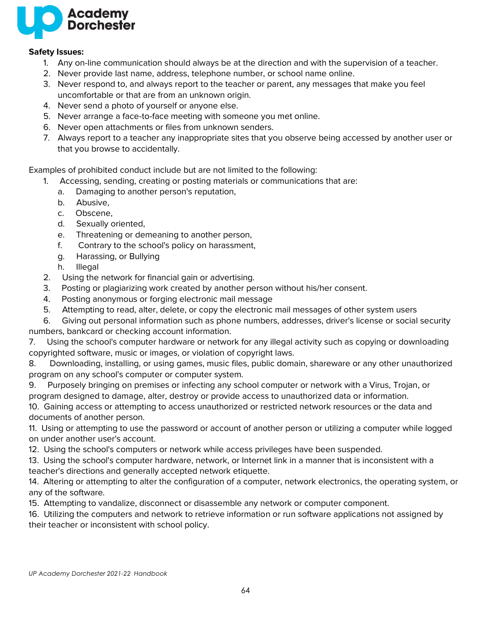

#### **Safety Issues:**

- 1. Any on-line communication should always be at the direction and with the supervision of a teacher.
- 2. Never provide last name, address, telephone number, or school name online.
- 3. Never respond to, and always report to the teacher or parent, any messages that make you feel uncomfortable or that are from an unknown origin.
- 4. Never send a photo of yourself or anyone else.
- 5. Never arrange a face-to-face meeting with someone you met online.
- 6. Never open attachments or files from unknown senders.
- 7. Always report to a teacher any inappropriate sites that you observe being accessed by another user or that you browse to accidentally.

Examples of prohibited conduct include but are not limited to the following:

- 1. Accessing, sending, creating or posting materials or communications that are:
	- a. Damaging to another person's reputation,
	- b. Abusive,
	- c. Obscene,
	- d. Sexually oriented,
	- e. Threatening or demeaning to another person,
	- f. Contrary to the school's policy on harassment,
	- g. Harassing, or Bullying
	- h. Illegal
- 2. Using the network for financial gain or advertising.
- 3. Posting or plagiarizing work created by another person without his/her consent.
- 4. Posting anonymous or forging electronic mail message
- 5. Attempting to read, alter, delete, or copy the electronic mail messages of other system users

6. Giving out personal information such as phone numbers, addresses, driver's license or social security numbers, bankcard or checking account information.

7. Using the school's computer hardware or network for any illegal activity such as copying or downloading copyrighted software, music or images, or violation of copyright laws.

8. Downloading, installing, or using games, music files, public domain, shareware or any other unauthorized program on any school's computer or computer system.

9. Purposely bringing on premises or infecting any school computer or network with a Virus, Trojan, or program designed to damage, alter, destroy or provide access to unauthorized data or information.

10. Gaining access or attempting to access unauthorized or restricted network resources or the data and documents of another person.

11. Using or attempting to use the password or account of another person or utilizing a computer while logged on under another user's account.

12. Using the school's computers or network while access privileges have been suspended.

13. Using the school's computer hardware, network, or Internet link in a manner that is inconsistent with a teacher's directions and generally accepted network etiquette.

14. Altering or attempting to alter the configuration of a computer, network electronics, the operating system, or any of the software.

15. Attempting to vandalize, disconnect or disassemble any network or computer component.

16. Utilizing the computers and network to retrieve information or run software applications not assigned by their teacher or inconsistent with school policy.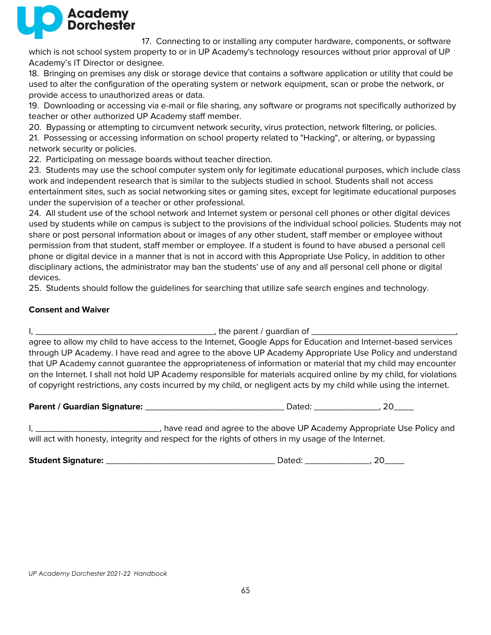

17. Connecting to or installing any computer hardware, components, or software

which is not school system property to or in UP Academy's technology resources without prior approval of UP Academy's IT Director or designee.

18. Bringing on premises any disk or storage device that contains a software application or utility that could be used to alter the configuration of the operating system or network equipment, scan or probe the network, or provide access to unauthorized areas or data.

19. Downloading or accessing via e-mail or file sharing, any software or programs not specifically authorized by teacher or other authorized UP Academy staff member.

20. Bypassing or attempting to circumvent network security, virus protection, network filtering, or policies.

21. Possessing or accessing information on school property related to "Hacking", or altering, or bypassing network security or policies.

22. Participating on message boards without teacher direction.

23. Students may use the school computer system only for legitimate educational purposes, which include class work and independent research that is similar to the subjects studied in school. Students shall not access entertainment sites, such as social networking sites or gaming sites, except for legitimate educational purposes under the supervision of a teacher or other professional.

24. All student use of the school network and Internet system or personal cell phones or other digital devices used by students while on campus is subject to the provisions of the individual school policies. Students may not share or post personal information about or images of any other student, staff member or employee without permission from that student, staff member or employee. If a student is found to have abused a personal cell phone or digital device in a manner that is not in accord with this Appropriate Use Policy, in addition to other disciplinary actions, the administrator may ban the students' use of any and all personal cell phone or digital devices.

25. Students should follow the guidelines for searching that utilize safe search engines and technology.

#### **Consent and Waiver**

 $I, \underline{\hspace{1cm}}$  the parent / quardian of  $\underline{\hspace{1cm}}$ 

agree to allow my child to have access to the Internet, Google Apps for Education and Internet-based services through UP Academy. I have read and agree to the above UP Academy Appropriate Use Policy and understand that UP Academy cannot guarantee the appropriateness of information or material that my child may encounter on the Internet. I shall not hold UP Academy responsible for materials acquired online by my child, for violations of copyright restrictions, any costs incurred by my child, or negligent acts by my child while using the internet.

**Parent / Guardian Signature:** \_\_\_\_\_\_\_\_\_\_\_\_\_\_\_\_\_\_\_\_\_\_\_\_\_\_\_\_ Dated: \_\_\_\_\_\_\_\_\_\_\_\_\_, 20\_\_\_\_

I, \_\_\_\_\_\_\_\_\_\_\_\_\_\_\_\_\_\_\_\_\_\_\_\_\_\_\_\_\_\_, have read and agree to the above UP Academy Appropriate Use Policy and will act with honesty, integrity and respect for the rights of others in my usage of the Internet.

| <b>Student Signature:</b> | Dated: |  |
|---------------------------|--------|--|
|---------------------------|--------|--|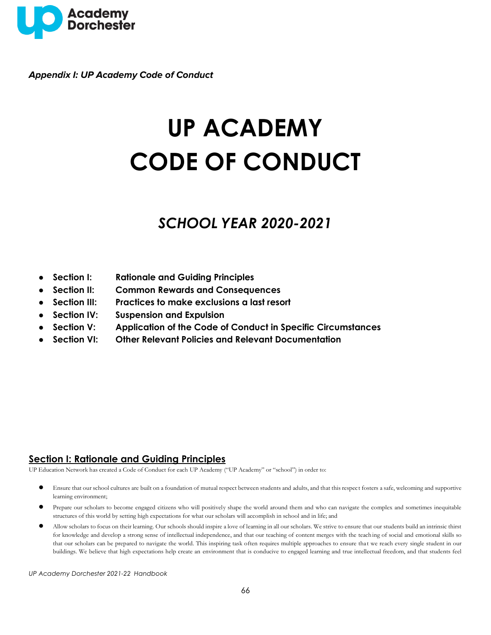

*Appendix I: UP Academy Code of Conduct*

# **UP ACADEMY CODE OF CONDUCT**

## *SCHOOL YEAR 2020-2021*

- **Section I: Rationale and Guiding Principles**
- Section II: Common Rewards and Consequences
- **Section III: Practices to make exclusions a last resort**
- **Section IV:** Suspension and Expulsion
- **Section V: Application of the Code of Conduct in Specific Circumstances**
- **Section VI: Other Relevant Policies and Relevant Documentation**

#### **Section I: Rationale and Guiding Principles**

UP Education Network has created a Code of Conduct for each UP Academy ("UP Academy" or "school") in order to:

- Ensure that our school cultures are built on a foundation of mutual respect between students and adults, and that this respec t fosters a safe, welcoming and supportive learning environment;
- Prepare our scholars to become engaged citizens who will positively shape the world around them and who can navigate the complex and sometimes inequitable structures of this world by setting high expectations for what our scholars will accomplish in school and in life; and
- Allow scholars to focus on their learning. Our schools should inspire a love of learning in all our scholars. We strive to ensure that our students build an intrinsic thirst for knowledge and develop a strong sense of intellectual independence, and that our teaching of content merges with the teach ing of social and emotional skills so that our scholars can be prepared to navigate the world. This inspiring task often requires multiple approaches to ensure tha t we reach every single student in our buildings. We believe that high expectations help create an environment that is conducive to engaged learning and true intellectual freedom, and that students feel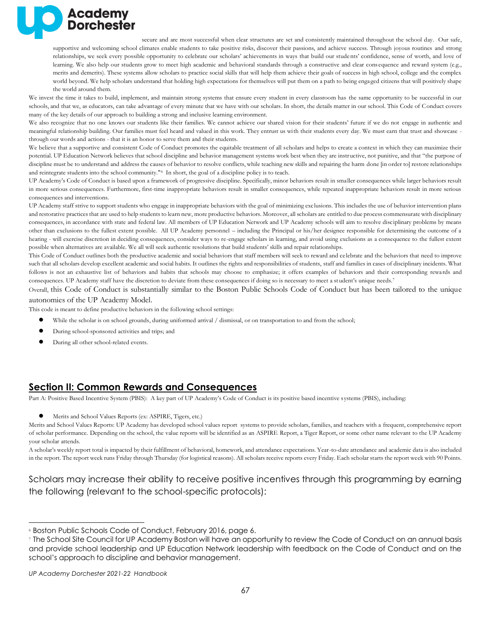

secure and are most successful when clear structures are set and consistently maintained throughout the school day. Our safe, supportive and welcoming school climates enable students to take positive risks, discover their passions, and achieve success. Through joyous routines and strong relationships, we seek every possible opportunity to celebrate our scholars' achievements in ways that build our students' confidence, sense of worth, and love of learning. We also help our students grow to meet high academic and behavioral standards through a constructive and clear cons equence and reward system (e.g., merits and demerits). These systems allow scholars to practice social skills that will help them achieve their goals of success in high school, college and the complex world beyond. We help scholars understand that holding high expectations for themselves will put them on a path to being engaged citizens that will positively shape the world around them.

We invest the time it takes to build, implement, and maintain strong systems that ensure every student in every classroom has the same opportunity to be successful in our schools, and that we, as educators, can take advantage of every minute that we have with our scholars. In short, the details matter in our school. This Code of Conduct covers many of the key details of our approach to building a strong and inclusive learning environment.

We also recognize that no one knows our students like their families. We cannot achieve our shared vision for their students' future if we do not engage in authentic and meaningful relationship building. Our families must feel heard and valued in this work. They entrust us with their students every day. We must earn that trust and showcase through our words and actions - that it is an honor to serve them and their students.

We believe that a supportive and consistent Code of Conduct promotes the equitable treatment of all scholars and helps to create a context in which they can maximize their potential. UP Education Network believes that school discipline and behavior management systems work best when they are instructive, not punitive, and that "the purpose of discipline must be to understand and address the causes of behavior to resolve conflicts, while teaching new skills and repairing the harm done [in order to] restore relationships and reintegrate students into the school community.<sup>"6</sup> In short, the goal of a discipline policy is to teach.

UP Academy's Code of Conduct is based upon a framework of progressive discipline. Specifically, minor behaviors result in smaller consequences while larger behaviors result in more serious consequences. Furthermore, first-time inappropriate behaviors result in smaller consequences, while repeated inappropriate behaviors result in more serious consequences and interventions.

UP Academy staff strive to support students who engage in inappropriate behaviors with the goal of minimizing exclusions. This includes the use of behavior intervention plans and restorative practices that are used to help students to learn new, more productive behaviors. Moreover, all scholars are entitled to due process commensurate with disciplinary consequences, in accordance with state and federal law. All members of UP Education Network and UP Academy schools will aim to resolve disc iplinary problems by means other than exclusions to the fullest extent possible. All UP Academy personnel – including the Principal or his/her designee responsible for determining the outcome of a hearing - will exercise discretion in deciding consequences, consider ways to re-engage scholars in learning, and avoid using exclusions as a consequence to the fullest extent possible when alternatives are available. We all will seek authentic resolutions that build students' skills and repair relationships.

This Code of Conduct outlines both the productive academic and social behaviors that staff members will seek to reward and ce lebrate and the behaviors that need to improve such that all scholars develop excellent academic and social habits. It outlines the rights and responsibilities of students, staff and families in cases of disciplinary incidents. What follows is not an exhaustive list of behaviors and habits that schools may choose to emphasize; it offers examples of behaviors and their corresponding rewards and consequences. UP Academy staff have the discretion to deviate from these consequences if doing so is necessary to meet a student's unique needs.<sup>7</sup>

Overall, this Code of Conduct is substantially similar to the Boston Public Schools Code of Conduct but has been tailored to the unique autonomies of the UP Academy Model.

This code is meant to define productive behaviors in the following school settings:

- While the scholar is on school grounds, during uniformed arrival / dismissal, or on transportation to and from the school;
- During school-sponsored activities and trips; and
- During all other school-related events.

#### **Section II: Common Rewards and Consequences**

Part A: Positive Based Incentive System (PBIS): A key part of UP Academy's Code of Conduct is its positive based incentive systems (PBIS), including:

● Merits and School Values Reports (ex: ASPIRE, Tigers, etc.)

Merits and School Values Reports: UP Academy has developed school values report systems to provide scholars, families, and teachers with a frequent, comprehensive report of scholar performance. Depending on the school, the value reports will be identified as an ASPIRE Report, a Tiger Report, or some other name relevant to the UP Academy your scholar attends.

A scholar's weekly report total is impacted by their fulfillment of behavioral, homework, and attendance expectations. Year-to-date attendance and academic data is also included in the report. The report week runs Friday through Thursday (for logistical reasons). All scholars receive reports every Friday. Each scholar starts the report week with 90 Points.

Scholars may increase their ability to receive positive incentives through this programming by earning the following (relevant to the school-specific protocols):

*UP Academy Dorchester 2021-22 Handbook* 

 $\overline{a}$ 

<sup>6</sup> Boston Public Schools Code of Conduct, February 2016, page 6.

<sup>7</sup> The School Site Council for UP Academy Boston will have an opportunity to review the Code of Conduct on an annual basis and provide school leadership and UP Education Network leadership with feedback on the Code of Conduct and on the school's approach to discipline and behavior management.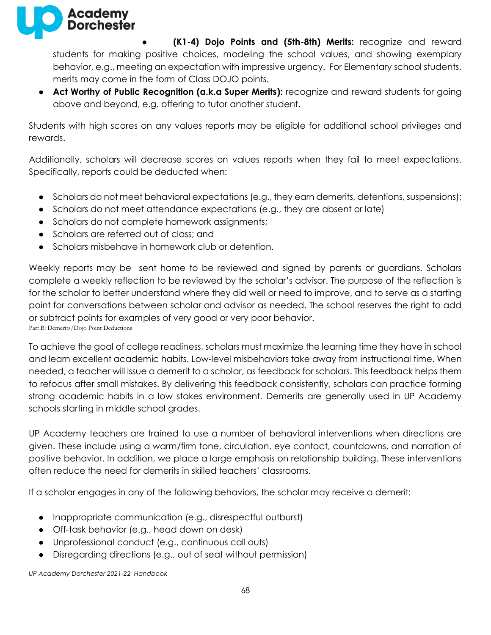

● **(K1-4) Dojo Points and (5th-8th) Merits:** recognize and reward students for making positive choices, modeling the school values, and showing exemplary behavior, e.g., meeting an expectation with impressive urgency. For Elementary school students, merits may come in the form of Class DOJO points.

**• Act Worthy of Public Recognition (a.k.a Super Merits):** recognize and reward students for going above and beyond, e.g. offering to tutor another student.

Students with high scores on any values reports may be eligible for additional school privileges and rewards.

Additionally, scholars will decrease scores on values reports when they fail to meet expectations. Specifically, reports could be deducted when:

- Scholars do not meet behavioral expectations (e.g., they earn demerits, detentions, suspensions);
- Scholars do not meet attendance expectations (e.g., they are absent or late)
- Scholars do not complete homework assignments;
- Scholars are referred out of class; and
- Scholars misbehave in homework club or detention.

Weekly reports may be sent home to be reviewed and signed by parents or guardians. Scholars complete a weekly reflection to be reviewed by the scholar's advisor. The purpose of the reflection is for the scholar to better understand where they did well or need to improve, and to serve as a starting point for conversations between scholar and advisor as needed. The school reserves the right to add or subtract points for examples of very good or very poor behavior. Part B: Demerits/Dojo Point Deductions

To achieve the goal of college readiness, scholars must maximize the learning time they have in school and learn excellent academic habits. Low-level misbehaviors take away from instructional time. When needed, a teacher will issue a demerit to a scholar, as feedback for scholars. This feedback helps them to refocus after small mistakes. By delivering this feedback consistently, scholars can practice forming strong academic habits in a low stakes environment. Demerits are generally used in UP Academy schools starting in middle school grades.

UP Academy teachers are trained to use a number of behavioral interventions when directions are given. These include using a warm/firm tone, circulation, eye contact, countdowns, and narration of positive behavior. In addition, we place a large emphasis on relationship building. These interventions often reduce the need for demerits in skilled teachers' classrooms.

If a scholar engages in any of the following behaviors, the scholar may receive a demerit:

- Inappropriate communication (e.g., disrespectful outburst)
- Off-task behavior (e.g., head down on desk)
- Unprofessional conduct (e.g., continuous call outs)
- Disregarding directions (e.g., out of seat without permission)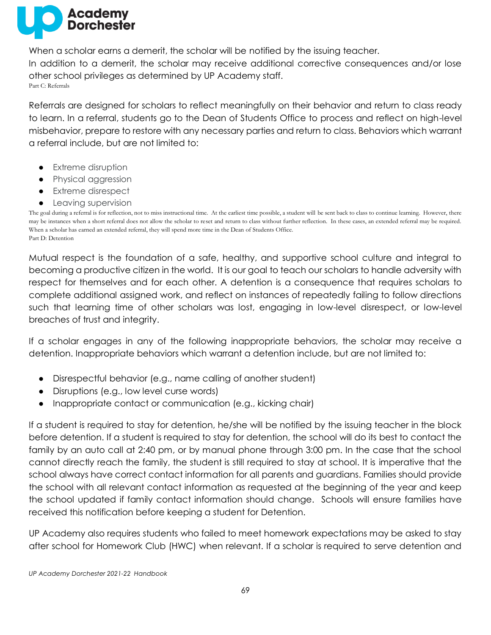

When a scholar earns a demerit, the scholar will be notified by the issuing teacher.

In addition to a demerit, the scholar may receive additional corrective consequences and/or lose other school privileges as determined by UP Academy staff. Part C: Referrals

Referrals are designed for scholars to reflect meaningfully on their behavior and return to class ready to learn. In a referral, students go to the Dean of Students Office to process and reflect on high-level misbehavior, prepare to restore with any necessary parties and return to class. Behaviors which warrant a referral include, but are not limited to:

- Extreme disruption
- Physical aggression
- Extreme disrespect
- Leaving supervision

The goal during a referral is for reflection, not to miss instructional time. At the earliest time possible, a student will be sent back to class to continue learning. However, there may be instances when a short referral does not allow the scholar to reset and return to class without further reflection. In these cases, an extended referral may be required. When a scholar has earned an extended referral, they will spend more time in the Dean of Students Office. Part D: Detention

Mutual respect is the foundation of a safe, healthy, and supportive school culture and integral to becoming a productive citizen in the world. It is our goal to teach our scholars to handle adversity with respect for themselves and for each other. A detention is a consequence that requires scholars to complete additional assigned work, and reflect on instances of repeatedly failing to follow directions such that learning time of other scholars was lost, engaging in low-level disrespect, or low-level breaches of trust and integrity.

If a scholar engages in any of the following inappropriate behaviors, the scholar may receive a detention. Inappropriate behaviors which warrant a detention include, but are not limited to:

- Disrespectful behavior (e.g., name calling of another student)
- Disruptions (e.g., low level curse words)
- Inappropriate contact or communication (e.g., kicking chair)

If a student is required to stay for detention, he/she will be notified by the issuing teacher in the block before detention. If a student is required to stay for detention, the school will do its best to contact the family by an auto call at 2:40 pm, or by manual phone through 3:00 pm. In the case that the school cannot directly reach the family, the student is still required to stay at school. It is imperative that the school always have correct contact information for all parents and guardians. Families should provide the school with all relevant contact information as requested at the beginning of the year and keep the school updated if family contact information should change. Schools will ensure families have received this notification before keeping a student for Detention.

UP Academy also requires students who failed to meet homework expectations may be asked to stay after school for Homework Club (HWC) when relevant. If a scholar is required to serve detention and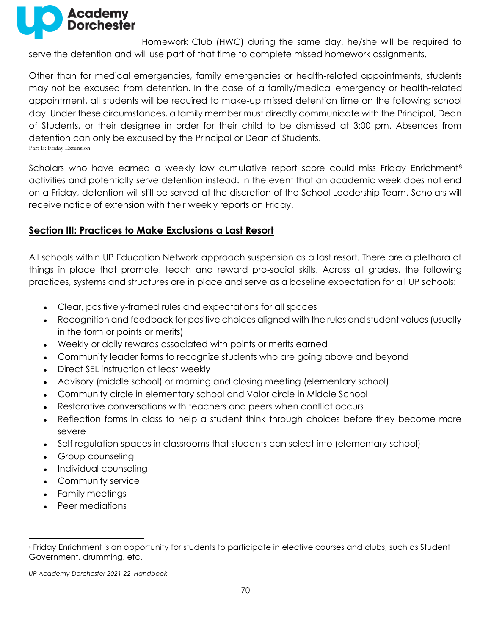

Homework Club (HWC) during the same day, he/she will be required to serve the detention and will use part of that time to complete missed homework assignments.

Other than for medical emergencies, family emergencies or health-related appointments, students may not be excused from detention. In the case of a family/medical emergency or health-related appointment, all students will be required to make-up missed detention time on the following school day. Under these circumstances, a family member must directly communicate with the Principal, Dean of Students, or their designee in order for their child to be dismissed at 3:00 pm. Absences from detention can only be excused by the Principal or Dean of Students. Part E: Friday Extension

Scholars who have earned a weekly low cumulative report score could miss Friday Enrichment<sup>8</sup> activities and potentially serve detention instead. In the event that an academic week does not end on a Friday, detention will still be served at the discretion of the School Leadership Team. Scholars will receive notice of extension with their weekly reports on Friday.

## **Section III: Practices to Make Exclusions a Last Resort**

All schools within UP Education Network approach suspension as a last resort. There are a plethora of things in place that promote, teach and reward pro-social skills. Across all grades, the following practices, systems and structures are in place and serve as a baseline expectation for all UP schools:

- Clear, positively-framed rules and expectations for all spaces
- Recognition and feedback for positive choices aligned with the rules and student values (usually in the form or points or merits)
- Weekly or daily rewards associated with points or merits earned
- Community leader forms to recognize students who are going above and beyond
- Direct SEL instruction at least weekly
- Advisory (middle school) or morning and closing meeting (elementary school)
- Community circle in elementary school and Valor circle in Middle School
- Restorative conversations with teachers and peers when conflict occurs
- Reflection forms in class to help a student think through choices before they become more severe
- Self regulation spaces in classrooms that students can select into (elementary school)
- Group counseling
- Individual counseling
- Community service
- Family meetings
- Peer mediations

 $\overline{a}$ 

<sup>8</sup> Friday Enrichment is an opportunity for students to participate in elective courses and clubs, such as Student Government, drumming, etc.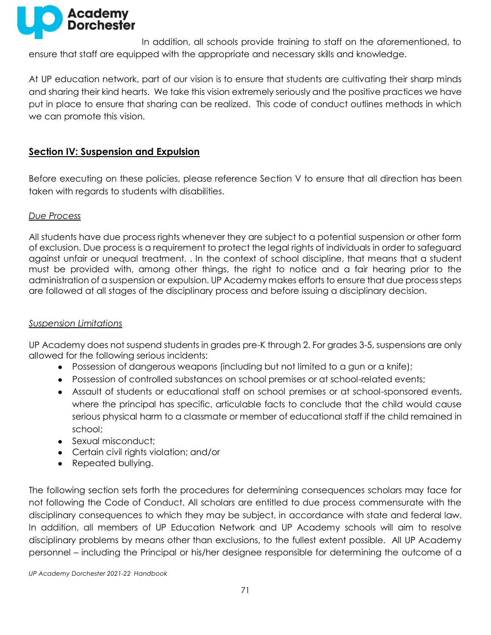

In addition, all schools provide training to staff on the aforementioned, to ensure that staff are equipped with the appropriate and necessary skills and knowledge.

At UP education network, part of our vision is to ensure that students are cultivating their sharp minds and sharing their kind hearts. We take this vision extremely seriously and the positive practices we have put in place to ensure that sharing can be realized. This code of conduct outlines methods in which we can promote this vision.

## **Section IV: Suspension and Expulsion**

Before executing on these policies, please reference Section V to ensure that all direction has been taken with regards to students with disabilities.

#### *Due Process*

All students have due process rights whenever they are subject to a potential suspension or other form of exclusion. Due process is a requirement to protect the legal rights of individuals in order to safeguard against unfair or unequal treatment. . In the context of school discipline, that means that a student must be provided with, among other things, the right to notice and a fair hearing prior to the administration of a suspension or expulsion. UP Academy makes efforts to ensure that due process steps are followed at all stages of the disciplinary process and before issuing a disciplinary decision.

#### *Suspension Limitations*

UP Academy does not suspend students in grades pre-K through 2. For grades 3-5, suspensions are only allowed for the following serious incidents:

- Possession of dangerous weapons (including but not limited to a gun or a knife);
- Possession of controlled substances on school premises or at school-related events;
- Assault of students or educational staff on school premises or at school-sponsored events, where the principal has specific, articulable facts to conclude that the child would cause serious physical harm to a classmate or member of educational staff if the child remained in school;
- Sexual misconduct;
- Certain civil rights violation; and/or
- Repeated bullying.

The following section sets forth the procedures for determining consequences scholars may face for not following the Code of Conduct. All scholars are entitled to due process commensurate with the disciplinary consequences to which they may be subject, in accordance with state and federal law. In addition, all members of UP Education Network and UP Academy schools will aim to resolve disciplinary problems by means other than exclusions, to the fullest extent possible. All UP Academy personnel – including the Principal or his/her designee responsible for determining the outcome of a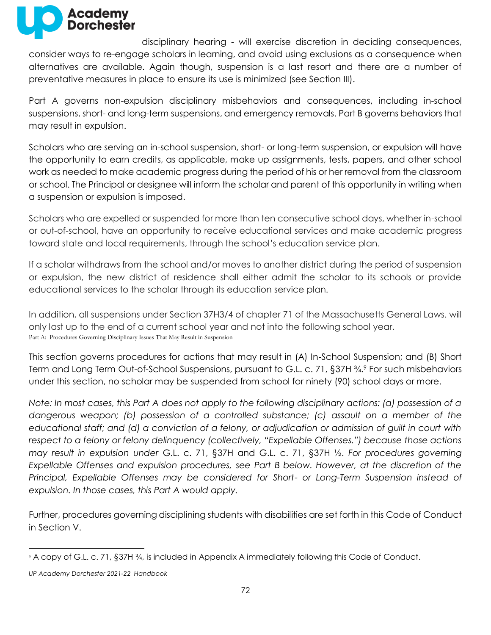

disciplinary hearing - will exercise discretion in deciding consequences, consider ways to re-engage scholars in learning, and avoid using exclusions as a consequence when alternatives are available. Again though, suspension is a last resort and there are a number of preventative measures in place to ensure its use is minimized (see Section III).

Part A governs non-expulsion disciplinary misbehaviors and consequences, including in-school suspensions, short- and long-term suspensions, and emergency removals. Part B governs behaviors that may result in expulsion.

Scholars who are serving an in-school suspension, short- or long-term suspension, or expulsion will have the opportunity to earn credits, as applicable, make up assignments, tests, papers, and other school work as needed to make academic progress during the period of his or her removal from the classroom or school. The Principal or designee will inform the scholar and parent of this opportunity in writing when a suspension or expulsion is imposed.

Scholars who are expelled or suspended for more than ten consecutive school days, whether in-school or out-of-school, have an opportunity to receive educational services and make academic progress toward state and local requirements, through the school's education service plan.

If a scholar withdraws from the school and/or moves to another district during the period of suspension or expulsion, the new district of residence shall either admit the scholar to its schools or provide educational services to the scholar through its education service plan.

In addition, all suspensions under Section 37H3/4 of chapter 71 of the Massachusetts General Laws. will only last up to the end of a current school year and not into the following school year. Part A: Procedures Governing Disciplinary Issues That May Result in Suspension

This section governs procedures for actions that may result in (A) In-School Suspension; and (B) Short Term and Long Term Out-of-School Suspensions, pursuant to G.L. c. 71, §37H 34.9 For such misbehaviors under this section, no scholar may be suspended from school for ninety (90) school days or more.

*Note: In most cases, this Part A does not apply to the following disciplinary actions: (a) possession of a dangerous weapon; (b) possession of a controlled substance; (c) assault on a member of the educational staff; and (d) a conviction of a felony, or adjudication or admission of guilt in court with respect to a felony or felony delinquency (collectively, "Expellable Offenses.") because those actions may result in expulsion under* G.L. c. 71, §37H and G.L. c. 71, §37H ½. *For procedures governing Expellable Offenses and expulsion procedures, see Part B below. However, at the discretion of the Principal, Expellable Offenses may be considered for Short- or Long-Term Suspension instead of expulsion. In those cases, this Part A would apply.* 

Further, procedures governing disciplining students with disabilities are set forth in this Code of Conduct in Section V.

*UP Academy Dorchester 2021-22 Handbook* 

 $\overline{a}$ 

<sup>9</sup> A copy of G.L. c. 71, §37H ¾, is included in Appendix A immediately following this Code of Conduct.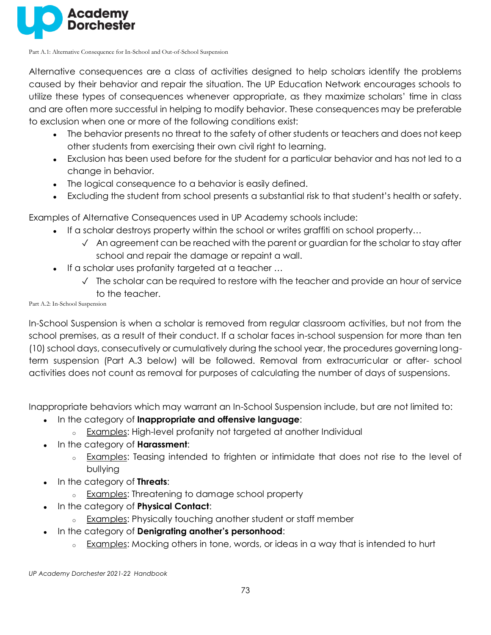

Part A.1: Alternative Consequence for In-School and Out-of-School Suspension

Alternative consequences are a class of activities designed to help scholars identify the problems caused by their behavior and repair the situation. The UP Education Network encourages schools to utilize these types of consequences whenever appropriate, as they maximize scholars' time in class and are often more successful in helping to modify behavior. These consequences may be preferable to exclusion when one or more of the following conditions exist:

- The behavior presents no threat to the safety of other students or teachers and does not keep other students from exercising their own civil right to learning.
- Exclusion has been used before for the student for a particular behavior and has not led to a change in behavior.
- The logical consequence to a behavior is easily defined.
- Excluding the student from school presents a substantial risk to that student's health or safety.

Examples of Alternative Consequences used in UP Academy schools include:

- If a scholar destroys property within the school or writes graffiti on school property...
	- ✓ An agreement can be reached with the parent or guardian for the scholar to stay after school and repair the damage or repaint a wall.
- If a scholar uses profanity targeted at a teacher ...
	- ✓ The scholar can be required to restore with the teacher and provide an hour of service to the teacher.

Part A.2: In-School Suspension

In-School Suspension is when a scholar is removed from regular classroom activities, but not from the school premises, as a result of their conduct. If a scholar faces in-school suspension for more than ten (10) school days, consecutively or cumulatively during the school year, the procedures governing longterm suspension (Part A.3 below) will be followed. Removal from extracurricular or after- school activities does not count as removal for purposes of calculating the number of days of suspensions.

Inappropriate behaviors which may warrant an In-School Suspension include, but are not limited to:

- In the category of **Inappropriate and offensive language**:
	- o Examples: High-level profanity not targeted at another Individual
- In the category of **Harassment**:
	- o Examples: Teasing intended to frighten or intimidate that does not rise to the level of bullying
- In the category of **Threats:** 
	- o Examples: Threatening to damage school property
- In the category of **Physical Contact**:
	- o Examples: Physically touching another student or staff member
- In the category of **Denigrating another's personhood**:
	- o Examples: Mocking others in tone, words, or ideas in a way that is intended to hurt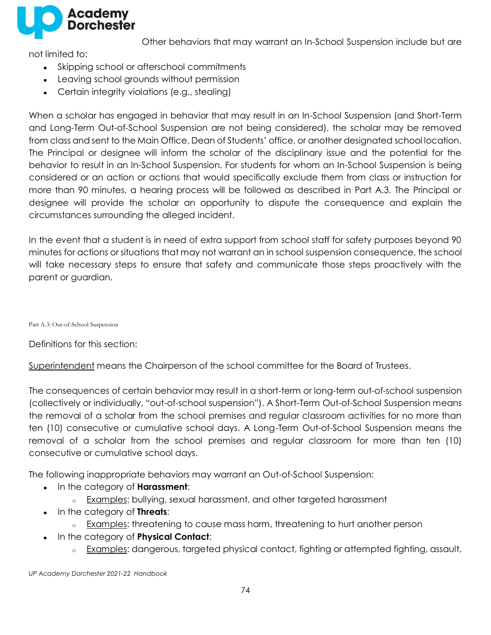

Other behaviors that may warrant an In-School Suspension include but are

not limited to:

- Skipping school or afterschool commitments
- Leaving school grounds without permission
- Certain integrity violations (e.g., stealing)

When a scholar has engaged in behavior that may result in an In-School Suspension (and Short-Term and Long-Term Out-of-School Suspension are not being considered), the scholar may be removed from class and sent to the Main Office, Dean of Students' office, or another designated school location. The Principal or designee will inform the scholar of the disciplinary issue and the potential for the behavior to result in an In-School Suspension. For students for whom an In-School Suspension is being considered or an action or actions that would specifically exclude them from class or instruction for more than 90 minutes, a hearing process will be followed as described in Part A.3. The Principal or designee will provide the scholar an opportunity to dispute the consequence and explain the circumstances surrounding the alleged incident.

In the event that a student is in need of extra support from school staff for safety purposes beyond 90 minutes for actions or situations that may not warrant an in school suspension consequence, the school will take necessary steps to ensure that safety and communicate those steps proactively with the parent or guardian.

Part A.3: Out-of-School Suspension

Definitions for this section:

Superintendent means the Chairperson of the school committee for the Board of Trustees.

The consequences of certain behavior may result in a short-term or long-term out-of-school suspension (collectively or individually, "out-of-school suspension"). A Short-Term Out-of-School Suspension means the removal of a scholar from the school premises and regular classroom activities for no more than ten (10) consecutive or cumulative school days. A Long-Term Out-of-School Suspension means the removal of a scholar from the school premises and regular classroom for more than ten (10) consecutive or cumulative school days.

The following inappropriate behaviors may warrant an Out-of-School Suspension:

- In the category of **Harassment**:
	- o Examples: bullying, sexual harassment, and other targeted harassment
- In the category of **Threats**:
	- S Examples: threatening to cause mass harm, threatening to hurt another person
- In the category of **Physical Contact:** 
	- o Examples: dangerous, targeted physical contact, fighting or attempted fighting, assault,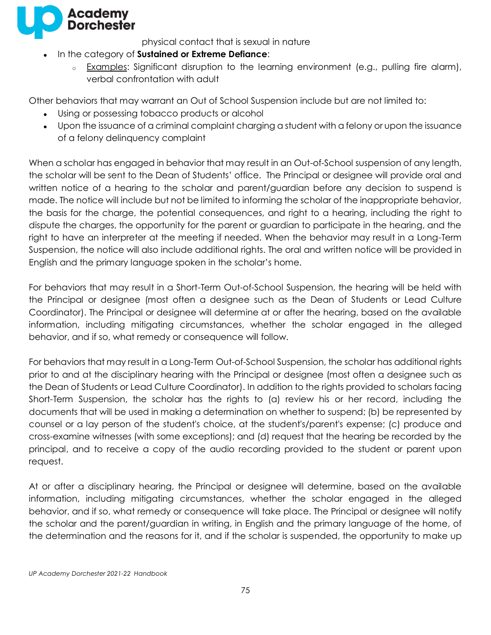

physical contact that is sexual in nature

- In the category of **Sustained or Extreme Defiance**:
	- o Examples: Significant disruption to the learning environment (e.g., pulling fire alarm), verbal confrontation with adult

Other behaviors that may warrant an Out of School Suspension include but are not limited to:

- Using or possessing tobacco products or alcohol
- Upon the issuance of a criminal complaint charging a student with a felony or upon the issuance of a felony delinquency complaint

When a scholar has engaged in behavior that may result in an Out-of-School suspension of any length, the scholar will be sent to the Dean of Students' office. The Principal or designee will provide oral and written notice of a hearing to the scholar and parent/guardian before any decision to suspend is made. The notice will include but not be limited to informing the scholar of the inappropriate behavior, the basis for the charge, the potential consequences, and right to a hearing, including the right to dispute the charges, the opportunity for the parent or guardian to participate in the hearing, and the right to have an interpreter at the meeting if needed. When the behavior may result in a Long-Term Suspension, the notice will also include additional rights. The oral and written notice will be provided in English and the primary language spoken in the scholar's home.

For behaviors that may result in a Short-Term Out-of-School Suspension, the hearing will be held with the Principal or designee (most often a designee such as the Dean of Students or Lead Culture Coordinator). The Principal or designee will determine at or after the hearing, based on the available information, including mitigating circumstances, whether the scholar engaged in the alleged behavior, and if so, what remedy or consequence will follow.

For behaviors that may result in a Long-Term Out-of-School Suspension, the scholar has additional rights prior to and at the disciplinary hearing with the Principal or designee (most often a designee such as the Dean of Students or Lead Culture Coordinator). In addition to the rights provided to scholars facing Short-Term Suspension, the scholar has the rights to (a) review his or her record, including the documents that will be used in making a determination on whether to suspend; (b) be represented by counsel or a lay person of the student's choice, at the student's/parent's expense; (c) produce and cross-examine witnesses (with some exceptions); and (d) request that the hearing be recorded by the principal, and to receive a copy of the audio recording provided to the student or parent upon request.

At or after a disciplinary hearing, the Principal or designee will determine, based on the available information, including mitigating circumstances, whether the scholar engaged in the alleged behavior, and if so, what remedy or consequence will take place. The Principal or designee will notify the scholar and the parent/guardian in writing, in English and the primary language of the home, of the determination and the reasons for it, and if the scholar is suspended, the opportunity to make up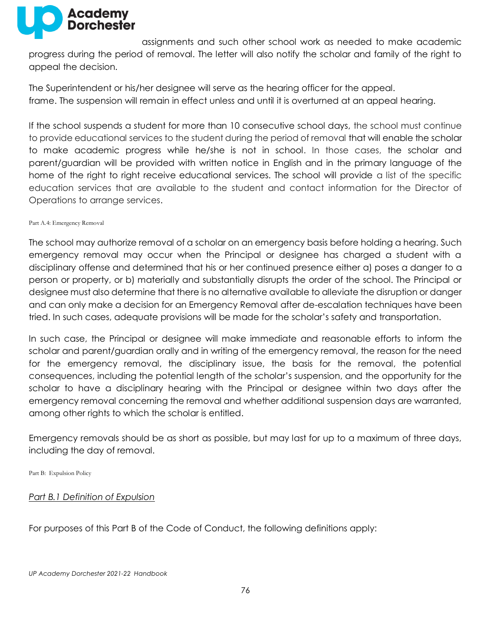

assignments and such other school work as needed to make academic progress during the period of removal. The letter will also notify the scholar and family of the right to appeal the decision.

The Superintendent or his/her designee will serve as the hearing officer for the appeal. frame. The suspension will remain in effect unless and until it is overturned at an appeal hearing.

If the school suspends a student for more than 10 consecutive school days, the school must continue to provide educational services to the student during the period of removal that will enable the scholar to make academic progress while he/she is not in school. In those cases, the scholar and parent/guardian will be provided with written notice in English and in the primary language of the home of the right to right receive educational services. The school will provide a list of the specific education services that are available to the student and contact information for the Director of Operations to arrange services.

Part A.4: Emergency Removal

The school may authorize removal of a scholar on an emergency basis before holding a hearing. Such emergency removal may occur when the Principal or designee has charged a student with a disciplinary offense and determined that his or her continued presence either a) poses a danger to a person or property, or b) materially and substantially disrupts the order of the school. The Principal or designee must also determine that there is no alternative available to alleviate the disruption or danger and can only make a decision for an Emergency Removal after de-escalation techniques have been tried. In such cases, adequate provisions will be made for the scholar's safety and transportation.

In such case, the Principal or designee will make immediate and reasonable efforts to inform the scholar and parent/guardian orally and in writing of the emergency removal, the reason for the need for the emergency removal, the disciplinary issue, the basis for the removal, the potential consequences, including the potential length of the scholar's suspension, and the opportunity for the scholar to have a disciplinary hearing with the Principal or designee within two days after the emergency removal concerning the removal and whether additional suspension days are warranted, among other rights to which the scholar is entitled.

Emergency removals should be as short as possible, but may last for up to a maximum of three days, including the day of removal.

Part B: Expulsion Policy

*Part B.1 Definition of Expulsion*

For purposes of this Part B of the Code of Conduct, the following definitions apply: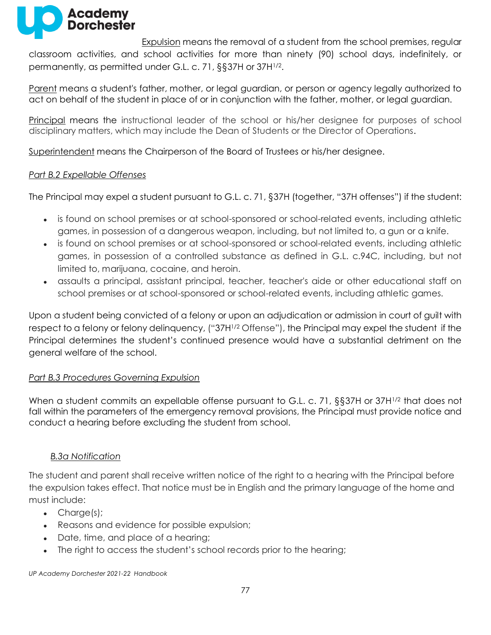

Expulsion means the removal of a student from the school premises, regular classroom activities, and school activities for more than ninety (90) school days, indefinitely, or permanently, as permitted under G.L. c. 71, §§37H or 37H1/2 .

Parent means a student's father, mother, or legal guardian, or person or agency legally authorized to act on behalf of the student in place of or in conjunction with the father, mother, or legal guardian*.*

Principal means the instructional leader of the school or his/her designee for purposes of school disciplinary matters, which may include the Dean of Students or the Director of Operations.

Superintendent means the Chairperson of the Board of Trustees or his/her designee.

### *Part B.2 Expellable Offenses*

The Principal may expel a student pursuant to G.L. c. 71, §37H (together, "37H offenses") if the student:

- is found on school premises or at school-sponsored or school-related events, including athletic games, in possession of a dangerous weapon, including, but not limited to, a gun or a knife.
- is found on school premises or at school-sponsored or school-related events, including athletic games, in possession of a controlled substance as defined in G.L. c.94C, including, but not limited to, marijuana, cocaine, and heroin.
- assaults a principal, assistant principal, teacher, teacher's aide or other educational staff on school premises or at school-sponsored or school-related events, including athletic games.

Upon a student being convicted of a felony or upon an adjudication or admission in court of guilt with respect to a felony or felony delinguency, ("37H<sup>1/2</sup> Offense"), the Principal may expel the student if the Principal determines the student's continued presence would have a substantial detriment on the general welfare of the school.

### *Part B.3 Procedures Governing Expulsion*

When a student commits an expellable offense pursuant to G.L. c. 71, §§37H or 37H<sup>1/2</sup> that does not fall within the parameters of the emergency removal provisions, the Principal must provide notice and conduct a hearing before excluding the student from school.

# *B.3a Notification*

The student and parent shall receive written notice of the right to a hearing with the Principal before the expulsion takes effect. That notice must be in English and the primary language of the home and must include:

- $Charge(s)$ ;
- Reasons and evidence for possible expulsion;
- Date, time, and place of a hearing;
- The right to access the student's school records prior to the hearing;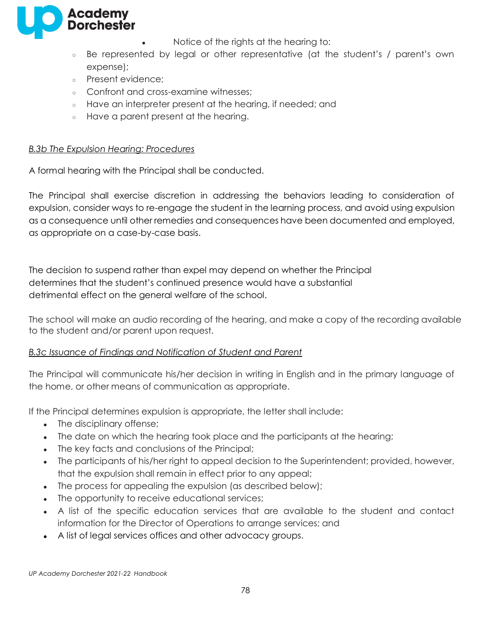

- Notice of the rights at the hearing to:
- Be represented by legal or other representative (at the student's / parent's own expense);
- Present evidence;
- Confront and cross-examine witnesses;
- Have an interpreter present at the hearing, if needed; and
- Have a parent present at the hearing.

#### *B.3b The Expulsion Hearing: Procedures*

A formal hearing with the Principal shall be conducted.

The Principal shall exercise discretion in addressing the behaviors leading to consideration of expulsion, consider ways to re-engage the student in the learning process, and avoid using expulsion as a consequence until other remedies and consequences have been documented and employed, as appropriate on a case-by-case basis.

The decision to suspend rather than expel may depend on whether the Principal determines that the student's continued presence would have a substantial detrimental effect on the general welfare of the school.

The school will make an audio recording of the hearing, and make a copy of the recording available to the student and/or parent upon request.

#### *B.3c Issuance of Findings and Notification of Student and Parent*

The Principal will communicate his/her decision in writing in English and in the primary language of the home, or other means of communication as appropriate.

If the Principal determines expulsion is appropriate, the letter shall include:

- The disciplinary offense;
- The date on which the hearing took place and the participants at the hearing;
- The key facts and conclusions of the Principal;
- The participants of his/her right to appeal decision to the Superintendent; provided, however, that the expulsion shall remain in effect prior to any appeal;
- The process for appealing the expulsion (as described below);
- The opportunity to receive educational services;
- A list of the specific education services that are available to the student and contact information for the Director of Operations to arrange services; and
- A list of legal services offices and other advocacy groups.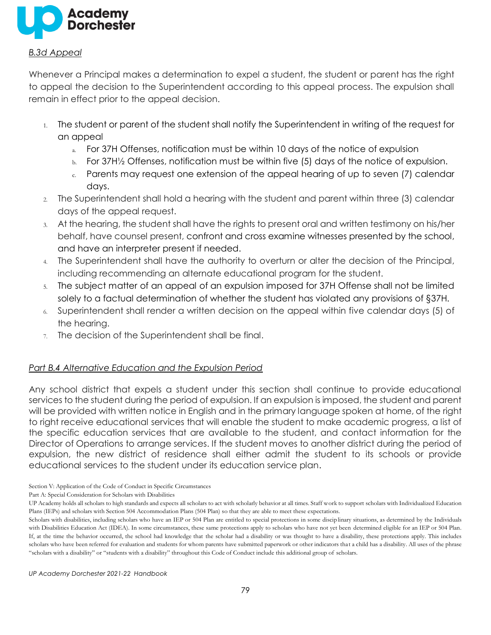

#### *B.3d Appeal*

Whenever a Principal makes a determination to expel a student, the student or parent has the right to appeal the decision to the Superintendent according to this appeal process. The expulsion shall remain in effect prior to the appeal decision.

- 1. The student or parent of the student shall notify the Superintendent in writing of the request for an appeal
	- a. For 37H Offenses, notification must be within 10 days of the notice of expulsion
	- b. For 37H $\frac{1}{2}$  Offenses, notification must be within five (5) days of the notice of expulsion.
	- c. Parents may request one extension of the appeal hearing of up to seven (7) calendar days.
- 2. The Superintendent shall hold a hearing with the student and parent within three (3) calendar days of the appeal request.
- 3. At the hearing, the student shall have the rights to present oral and written testimony on his/her behalf, have counsel present, confront and cross examine witnesses presented by the school, and have an interpreter present if needed.
- 4. The Superintendent shall have the authority to overturn or alter the decision of the Principal, including recommending an alternate educational program for the student.
- 5. The subject matter of an appeal of an expulsion imposed for 37H Offense shall not be limited solely to a factual determination of whether the student has violated any provisions of §37H.
- 6. Superintendent shall render a written decision on the appeal within five calendar days (5) of the hearing.
- 7. The decision of the Superintendent shall be final.

### *Part B.4 Alternative Education and the Expulsion Period*

Any school district that expels a student under this section shall continue to provide educational services to the student during the period of expulsion. If an expulsion is imposed, the student and parent will be provided with written notice in English and in the primary language spoken at home, of the right to right receive educational services that will enable the student to make academic progress, a list of the specific education services that are available to the student, and contact information for the Director of Operations to arrange services. If the student moves to another district during the period of expulsion, the new district of residence shall either admit the student to its schools or provide educational services to the student under its education service plan.

- Section V: Application of the Code of Conduct in Specific Circumstances
- Part A: Special Consideration for Scholars with Disabilities

UP Academy holds all scholars to high standards and expects all scholars to act with scholarly behavior at all times. Staff work to support scholars with Individualized Education Plans (IEPs) and scholars with Section 504 Accommodation Plans (504 Plan) so that they are able to meet these expectations.

Scholars with disabilities, including scholars who have an IEP or 504 Plan are entitled to special protections in some disciplinary situations, as determined by the Individuals with Disabilities Education Act (IDEA). In some circumstances, these same protections apply to scholars who have not yet been determined eligible for an IEP or 504 Plan. If, at the time the behavior occurred, the school had knowledge that the scholar had a disability or was thought to have a disability, these protections apply. This includes scholars who have been referred for evaluation and students for whom parents have submitted paperwork or other indicators that a child has a disability. All uses of the phrase "scholars with a disability" or "students with a disability" throughout this Code of Conduct include this additional group of scholars.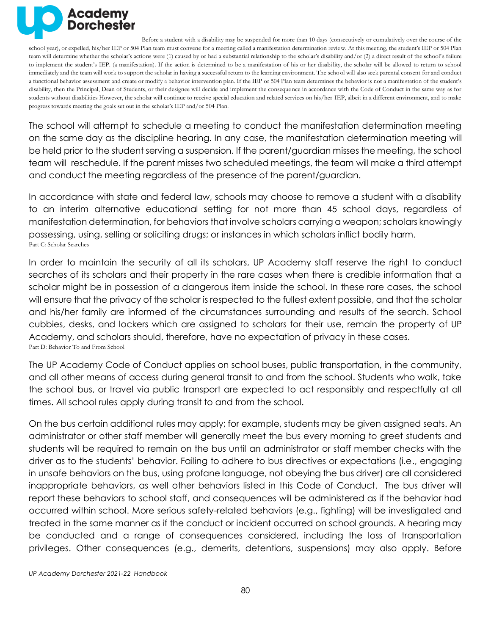

Before a student with a disability may be suspended for more than 10 days (consecutively or cumulatively over the course of the school year), or expelled, his/her IEP or 504 Plan team must convene for a meeting called a manifestation determination review. At this meeting, the student's IEP or 504 Plan team will determine whether the scholar's actions were (1) caused by or had a substantial relationship to the scholar's disability and/or (2) a direct result of the school's failure to implement the student's IEP. (a manifestation). If the action is determined to be a manifestation of his or her disabi lity, the scholar will be allowed to return to school immediately and the team will work to support the scholar in having a successful return to the learning environment. The school will also seek parental consent for and conduct a functional behavior assessment and create or modify a behavior intervention plan. If the IEP or 504 Plan team determines the behavior is not a manife station of the student's disability, then the Principal, Dean of Students, or their designee will decide and implement the consequence in accordance with the Code of Conduct in the same way as for students without disabilities However, the scholar will continue to receive special education and related services on his/her IEP, albeit in a different environment, and to make progress towards meeting the goals set out in the scholar's IEP and/or 504 Plan.

The school will attempt to schedule a meeting to conduct the manifestation determination meeting on the same day as the discipline hearing. In any case, the manifestation determination meeting will be held prior to the student serving a suspension. If the parent/guardian misses the meeting, the school team will reschedule. If the parent misses two scheduled meetings, the team will make a third attempt and conduct the meeting regardless of the presence of the parent/guardian.

In accordance with state and federal law, schools may choose to remove a student with a disability to an interim alternative educational setting for not more than 45 school days, regardless of manifestation determination, for behaviors that involve scholars carrying a weapon; scholars knowingly possessing, using, selling or soliciting drugs; or instances in which scholars inflict bodily harm. Part C: Scholar Searches

In order to maintain the security of all its scholars, UP Academy staff reserve the right to conduct searches of its scholars and their property in the rare cases when there is credible information that a scholar might be in possession of a dangerous item inside the school. In these rare cases, the school will ensure that the privacy of the scholar is respected to the fullest extent possible, and that the scholar and his/her family are informed of the circumstances surrounding and results of the search. School cubbies, desks, and lockers which are assigned to scholars for their use, remain the property of UP Academy, and scholars should, therefore, have no expectation of privacy in these cases. Part D: Behavior To and From School

The UP Academy Code of Conduct applies on school buses, public transportation, in the community, and all other means of access during general transit to and from the school. Students who walk, take the school bus, or travel via public transport are expected to act responsibly and respectfully at all times. All school rules apply during transit to and from the school.

On the bus certain additional rules may apply; for example, students may be given assigned seats. An administrator or other staff member will generally meet the bus every morning to greet students and students will be required to remain on the bus until an administrator or staff member checks with the driver as to the students' behavior. Failing to adhere to bus directives or expectations (i.e., engaging in unsafe behaviors on the bus, using profane language, not obeying the bus driver) are all considered inappropriate behaviors, as well other behaviors listed in this Code of Conduct. The bus driver will report these behaviors to school staff, and consequences will be administered as if the behavior had occurred within school. More serious safety-related behaviors (e.g., fighting) will be investigated and treated in the same manner as if the conduct or incident occurred on school grounds. A hearing may be conducted and a range of consequences considered, including the loss of transportation privileges. Other consequences (e.g., demerits, detentions, suspensions) may also apply. Before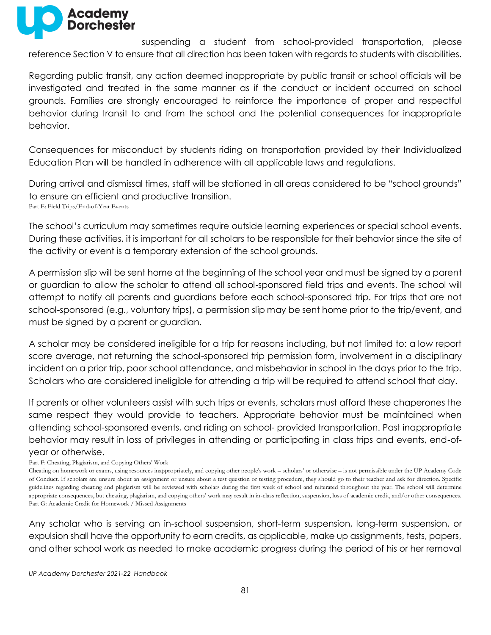

suspending a student from school-provided transportation, please reference Section V to ensure that all direction has been taken with regards to students with disabilities.

Regarding public transit, any action deemed inappropriate by public transit or school officials will be investigated and treated in the same manner as if the conduct or incident occurred on school grounds. Families are strongly encouraged to reinforce the importance of proper and respectful behavior during transit to and from the school and the potential consequences for inappropriate behavior.

Consequences for misconduct by students riding on transportation provided by their Individualized Education Plan will be handled in adherence with all applicable laws and regulations.

During arrival and dismissal times, staff will be stationed in all areas considered to be "school grounds" to ensure an efficient and productive transition. Part E: Field Trips/End-of-Year Events

The school's curriculum may sometimes require outside learning experiences or special school events. During these activities, it is important for all scholars to be responsible for their behavior since the site of the activity or event is a temporary extension of the school grounds.

A permission slip will be sent home at the beginning of the school year and must be signed by a parent or guardian to allow the scholar to attend all school-sponsored field trips and events. The school will attempt to notify all parents and guardians before each school-sponsored trip. For trips that are not school-sponsored (e.g., voluntary trips), a permission slip may be sent home prior to the trip/event, and must be signed by a parent or guardian.

A scholar may be considered ineligible for a trip for reasons including, but not limited to: a low report score average, not returning the school-sponsored trip permission form, involvement in a disciplinary incident on a prior trip, poor school attendance, and misbehavior in school in the days prior to the trip. Scholars who are considered ineligible for attending a trip will be required to attend school that day.

If parents or other volunteers assist with such trips or events, scholars must afford these chaperones the same respect they would provide to teachers. Appropriate behavior must be maintained when attending school-sponsored events, and riding on school- provided transportation. Past inappropriate behavior may result in loss of privileges in attending or participating in class trips and events, end-ofyear or otherwise.

Part F: Cheating, Plagiarism, and Copying Others' Work

Any scholar who is serving an in-school suspension, short-term suspension, long-term suspension, or expulsion shall have the opportunity to earn credits, as applicable, make up assignments, tests, papers, and other school work as needed to make academic progress during the period of his or her removal

Cheating on homework or exams, using resources inappropriately, and copying other people's work – scholars' or otherwise – is not permissible under the UP Academy Code of Conduct. If scholars are unsure about an assignment or unsure about a test question or testing procedure, they should go to their teacher and ask for direction. Specific guidelines regarding cheating and plagiarism will be reviewed with scholars during the first week of school and reiterated throughout the year. The school will determine appropriate consequences, but cheating, plagiarism, and copying others' work may result in in-class reflection, suspension, loss of academic credit, and/or other consequences. Part G: Academic Credit for Homework / Missed Assignments